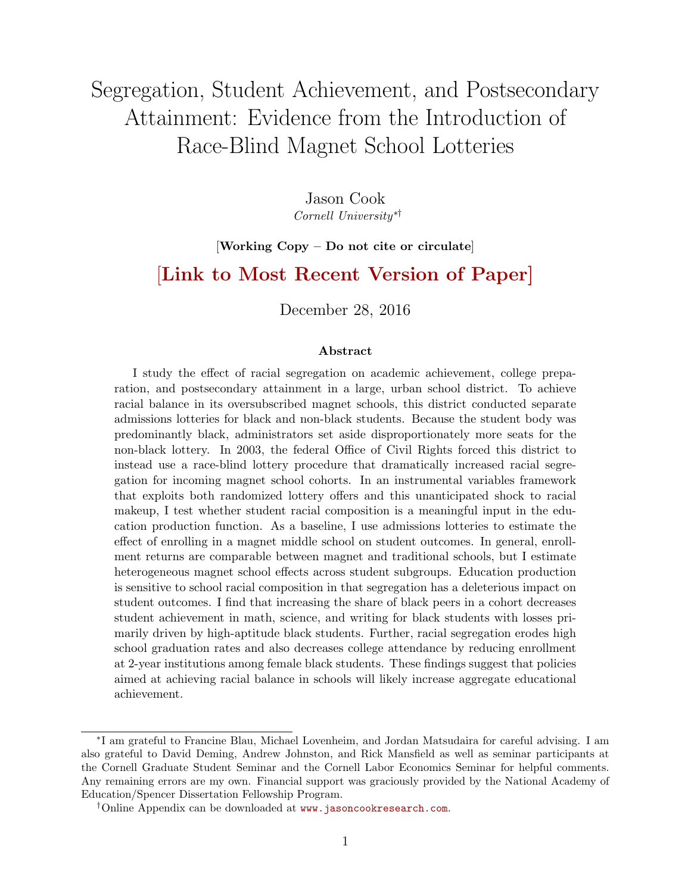# Segregation, Student Achievement, and Postsecondary Attainment: Evidence from the Introduction of Race-Blind Magnet School Lotteries

Jason Cook Cornell University∗†

#### [Working Copy – Do not cite or circulate]

## [[Link to Most Recent Version of Paper\]](https://sites.google.com/site/jasonblainecook/job-market-paper)

December 28, 2016

#### Abstract

I study the effect of racial segregation on academic achievement, college preparation, and postsecondary attainment in a large, urban school district. To achieve racial balance in its oversubscribed magnet schools, this district conducted separate admissions lotteries for black and non-black students. Because the student body was predominantly black, administrators set aside disproportionately more seats for the non-black lottery. In 2003, the federal Office of Civil Rights forced this district to instead use a race-blind lottery procedure that dramatically increased racial segregation for incoming magnet school cohorts. In an instrumental variables framework that exploits both randomized lottery offers and this unanticipated shock to racial makeup, I test whether student racial composition is a meaningful input in the education production function. As a baseline, I use admissions lotteries to estimate the effect of enrolling in a magnet middle school on student outcomes. In general, enrollment returns are comparable between magnet and traditional schools, but I estimate heterogeneous magnet school effects across student subgroups. Education production is sensitive to school racial composition in that segregation has a deleterious impact on student outcomes. I find that increasing the share of black peers in a cohort decreases student achievement in math, science, and writing for black students with losses primarily driven by high-aptitude black students. Further, racial segregation erodes high school graduation rates and also decreases college attendance by reducing enrollment at 2-year institutions among female black students. These findings suggest that policies aimed at achieving racial balance in schools will likely increase aggregate educational achievement.

<sup>∗</sup> I am grateful to Francine Blau, Michael Lovenheim, and Jordan Matsudaira for careful advising. I am also grateful to David Deming, Andrew Johnston, and Rick Mansfield as well as seminar participants at the Cornell Graduate Student Seminar and the Cornell Labor Economics Seminar for helpful comments. Any remaining errors are my own. Financial support was graciously provided by the National Academy of Education/Spencer Dissertation Fellowship Program.

<sup>†</sup>Online Appendix can be downloaded at [www.jasoncookresearch.com](https://sites.google.com/site/jasonblainecook/job-market-paper).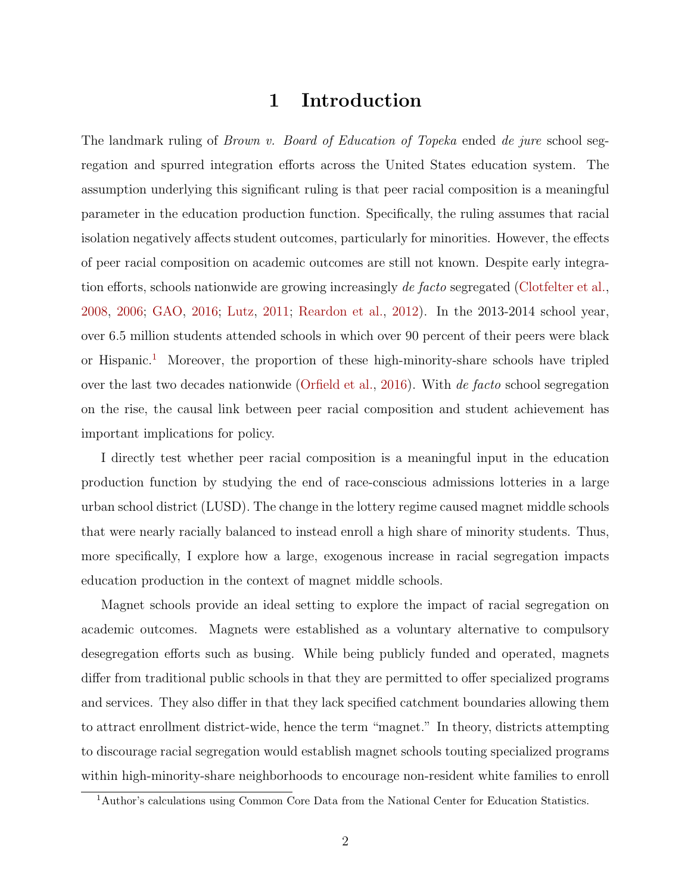## 1 Introduction

The landmark ruling of *Brown v. Board of Education of Topeka* ended de jure school segregation and spurred integration efforts across the United States education system. The assumption underlying this significant ruling is that peer racial composition is a meaningful parameter in the education production function. Specifically, the ruling assumes that racial isolation negatively affects student outcomes, particularly for minorities. However, the effects of peer racial composition on academic outcomes are still not known. Despite early integration efforts, schools nationwide are growing increasingly de facto segregated [\(Clotfelter et al.,](#page-35-0) [2008,](#page-35-0) [2006;](#page-35-1) [GAO,](#page-36-0) [2016;](#page-36-0) [Lutz,](#page-36-1) [2011;](#page-36-1) [Reardon et al.,](#page-36-2) [2012\)](#page-36-2). In the 2013-2014 school year, over 6.5 million students attended schools in which over 90 percent of their peers were black or Hispanic.<sup>[1](#page-1-0)</sup> Moreover, the proportion of these high-minority-share schools have tripled over the last two decades nationwide [\(Orfield et al.,](#page-36-3) [2016\)](#page-36-3). With de facto school segregation on the rise, the causal link between peer racial composition and student achievement has important implications for policy.

I directly test whether peer racial composition is a meaningful input in the education production function by studying the end of race-conscious admissions lotteries in a large urban school district (LUSD). The change in the lottery regime caused magnet middle schools that were nearly racially balanced to instead enroll a high share of minority students. Thus, more specifically, I explore how a large, exogenous increase in racial segregation impacts education production in the context of magnet middle schools.

Magnet schools provide an ideal setting to explore the impact of racial segregation on academic outcomes. Magnets were established as a voluntary alternative to compulsory desegregation efforts such as busing. While being publicly funded and operated, magnets differ from traditional public schools in that they are permitted to offer specialized programs and services. They also differ in that they lack specified catchment boundaries allowing them to attract enrollment district-wide, hence the term "magnet." In theory, districts attempting to discourage racial segregation would establish magnet schools touting specialized programs within high-minority-share neighborhoods to encourage non-resident white families to enroll

<span id="page-1-0"></span><sup>&</sup>lt;sup>1</sup>Author's calculations using Common Core Data from the National Center for Education Statistics.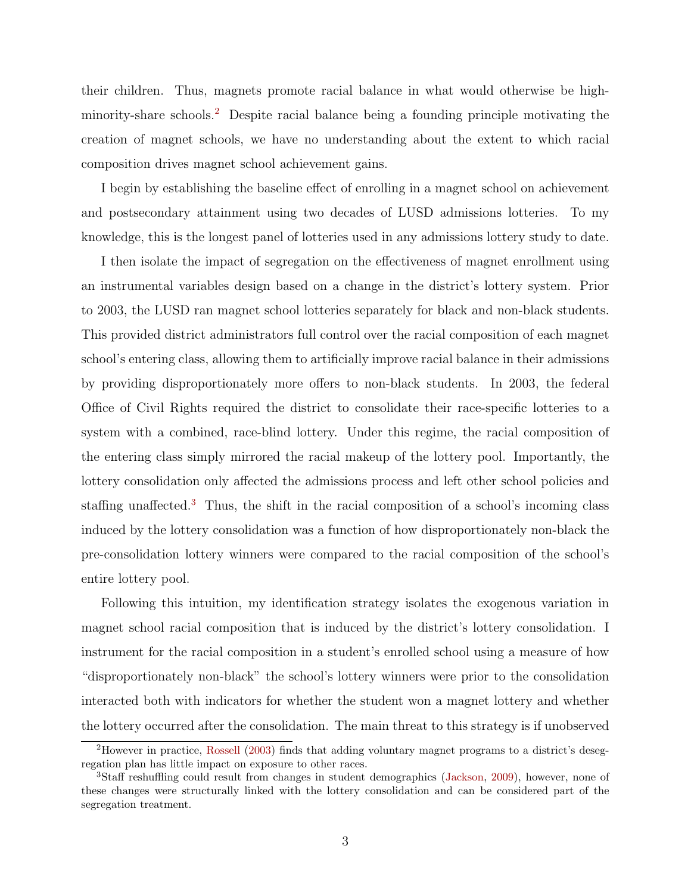their children. Thus, magnets promote racial balance in what would otherwise be highminority-share schools.[2](#page-2-0) Despite racial balance being a founding principle motivating the creation of magnet schools, we have no understanding about the extent to which racial composition drives magnet school achievement gains.

I begin by establishing the baseline effect of enrolling in a magnet school on achievement and postsecondary attainment using two decades of LUSD admissions lotteries. To my knowledge, this is the longest panel of lotteries used in any admissions lottery study to date.

I then isolate the impact of segregation on the effectiveness of magnet enrollment using an instrumental variables design based on a change in the district's lottery system. Prior to 2003, the LUSD ran magnet school lotteries separately for black and non-black students. This provided district administrators full control over the racial composition of each magnet school's entering class, allowing them to artificially improve racial balance in their admissions by providing disproportionately more offers to non-black students. In 2003, the federal Office of Civil Rights required the district to consolidate their race-specific lotteries to a system with a combined, race-blind lottery. Under this regime, the racial composition of the entering class simply mirrored the racial makeup of the lottery pool. Importantly, the lottery consolidation only affected the admissions process and left other school policies and staffing unaffected.[3](#page-2-1) Thus, the shift in the racial composition of a school's incoming class induced by the lottery consolidation was a function of how disproportionately non-black the pre-consolidation lottery winners were compared to the racial composition of the school's entire lottery pool.

Following this intuition, my identification strategy isolates the exogenous variation in magnet school racial composition that is induced by the district's lottery consolidation. I instrument for the racial composition in a student's enrolled school using a measure of how "disproportionately non-black" the school's lottery winners were prior to the consolidation interacted both with indicators for whether the student won a magnet lottery and whether the lottery occurred after the consolidation. The main threat to this strategy is if unobserved

<span id="page-2-0"></span><sup>2</sup>However in practice, [Rossell](#page-36-4) [\(2003\)](#page-36-4) finds that adding voluntary magnet programs to a district's desegregation plan has little impact on exposure to other races.

<span id="page-2-1"></span><sup>3</sup>Staff reshuffling could result from changes in student demographics [\(Jackson,](#page-36-5) [2009\)](#page-36-5), however, none of these changes were structurally linked with the lottery consolidation and can be considered part of the segregation treatment.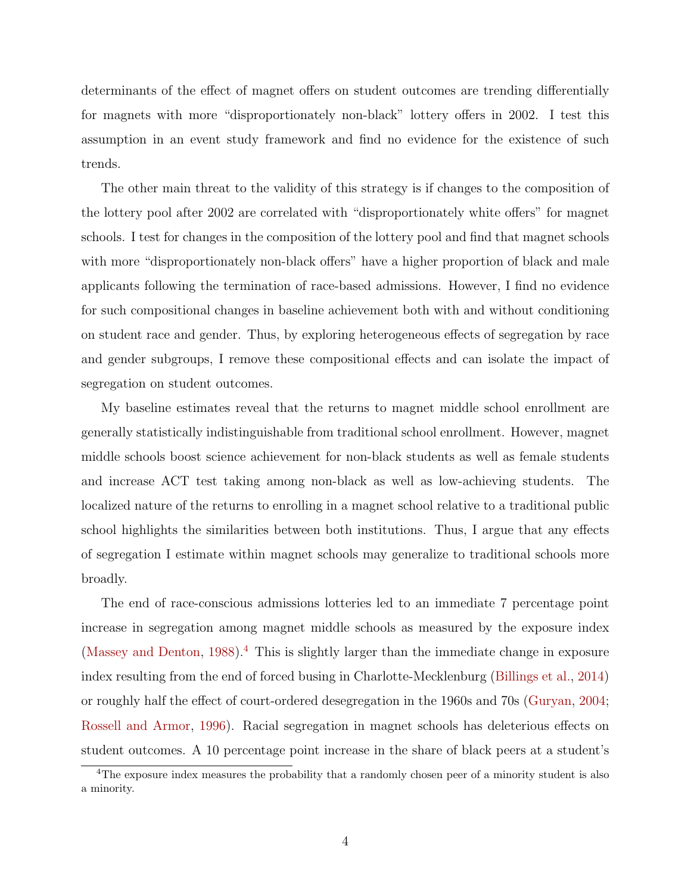determinants of the effect of magnet offers on student outcomes are trending differentially for magnets with more "disproportionately non-black" lottery offers in 2002. I test this assumption in an event study framework and find no evidence for the existence of such trends.

The other main threat to the validity of this strategy is if changes to the composition of the lottery pool after 2002 are correlated with "disproportionately white offers" for magnet schools. I test for changes in the composition of the lottery pool and find that magnet schools with more "disproportionately non-black offers" have a higher proportion of black and male applicants following the termination of race-based admissions. However, I find no evidence for such compositional changes in baseline achievement both with and without conditioning on student race and gender. Thus, by exploring heterogeneous effects of segregation by race and gender subgroups, I remove these compositional effects and can isolate the impact of segregation on student outcomes.

My baseline estimates reveal that the returns to magnet middle school enrollment are generally statistically indistinguishable from traditional school enrollment. However, magnet middle schools boost science achievement for non-black students as well as female students and increase ACT test taking among non-black as well as low-achieving students. The localized nature of the returns to enrolling in a magnet school relative to a traditional public school highlights the similarities between both institutions. Thus, I argue that any effects of segregation I estimate within magnet schools may generalize to traditional schools more broadly.

The end of race-conscious admissions lotteries led to an immediate 7 percentage point increase in segregation among magnet middle schools as measured by the exposure index [\(Massey and Denton,](#page-36-6) [1988\)](#page-36-6).<sup>[4](#page-3-0)</sup> This is slightly larger than the immediate change in exposure index resulting from the end of forced busing in Charlotte-Mecklenburg [\(Billings et al.,](#page-35-2) [2014\)](#page-35-2) or roughly half the effect of court-ordered desegregation in the 1960s and 70s [\(Guryan,](#page-36-7) [2004;](#page-36-7) [Rossell and Armor,](#page-36-8) [1996\)](#page-36-8). Racial segregation in magnet schools has deleterious effects on student outcomes. A 10 percentage point increase in the share of black peers at a student's

<span id="page-3-0"></span><sup>&</sup>lt;sup>4</sup>The exposure index measures the probability that a randomly chosen peer of a minority student is also a minority.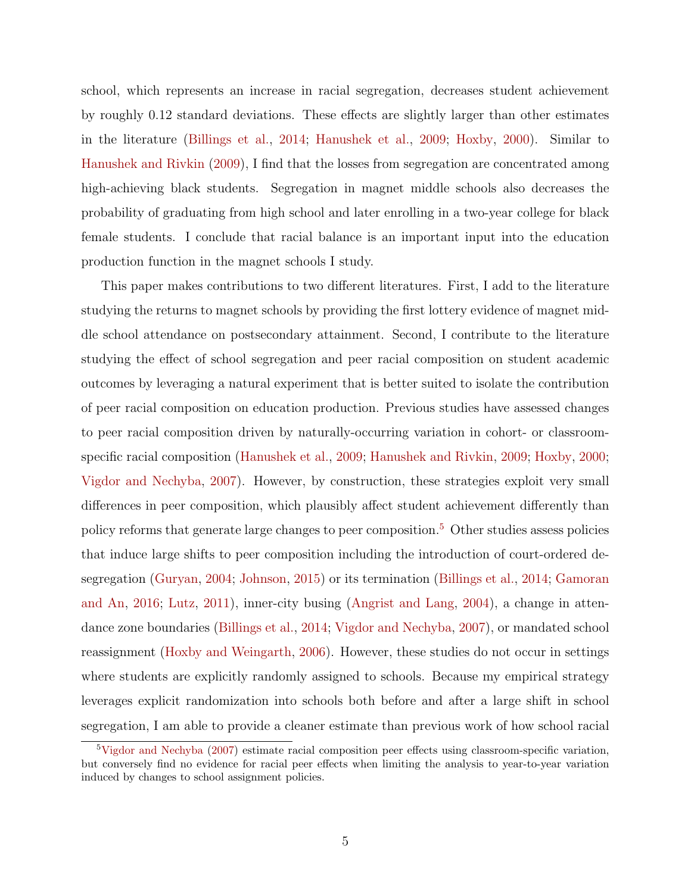school, which represents an increase in racial segregation, decreases student achievement by roughly 0.12 standard deviations. These effects are slightly larger than other estimates in the literature [\(Billings et al.,](#page-35-2) [2014;](#page-35-2) [Hanushek et al.,](#page-36-9) [2009;](#page-36-9) [Hoxby,](#page-36-10) [2000\)](#page-36-10). Similar to [Hanushek and Rivkin](#page-36-11) [\(2009\)](#page-36-11), I find that the losses from segregation are concentrated among high-achieving black students. Segregation in magnet middle schools also decreases the probability of graduating from high school and later enrolling in a two-year college for black female students. I conclude that racial balance is an important input into the education production function in the magnet schools I study.

This paper makes contributions to two different literatures. First, I add to the literature studying the returns to magnet schools by providing the first lottery evidence of magnet middle school attendance on postsecondary attainment. Second, I contribute to the literature studying the effect of school segregation and peer racial composition on student academic outcomes by leveraging a natural experiment that is better suited to isolate the contribution of peer racial composition on education production. Previous studies have assessed changes to peer racial composition driven by naturally-occurring variation in cohort- or classroomspecific racial composition [\(Hanushek et al.,](#page-36-9) [2009;](#page-36-9) [Hanushek and Rivkin,](#page-36-11) [2009;](#page-36-11) [Hoxby,](#page-36-10) [2000;](#page-36-10) [Vigdor and Nechyba,](#page-37-0) [2007\)](#page-37-0). However, by construction, these strategies exploit very small differences in peer composition, which plausibly affect student achievement differently than policy reforms that generate large changes to peer composition.[5](#page-4-0) Other studies assess policies that induce large shifts to peer composition including the introduction of court-ordered desegregation [\(Guryan,](#page-36-7) [2004;](#page-36-7) [Johnson,](#page-36-12) [2015\)](#page-36-12) or its termination [\(Billings et al.,](#page-35-2) [2014;](#page-35-2) [Gamoran](#page-35-3) [and An,](#page-35-3) [2016;](#page-35-3) [Lutz,](#page-36-1) [2011\)](#page-36-1), inner-city busing [\(Angrist and Lang,](#page-35-4) [2004\)](#page-35-4), a change in attendance zone boundaries [\(Billings et al.,](#page-35-2) [2014;](#page-35-2) [Vigdor and Nechyba,](#page-37-0) [2007\)](#page-37-0), or mandated school reassignment [\(Hoxby and Weingarth,](#page-36-13) [2006\)](#page-36-13). However, these studies do not occur in settings where students are explicitly randomly assigned to schools. Because my empirical strategy leverages explicit randomization into schools both before and after a large shift in school segregation, I am able to provide a cleaner estimate than previous work of how school racial

<span id="page-4-0"></span><sup>5</sup>[Vigdor and Nechyba](#page-37-0) [\(2007\)](#page-37-0) estimate racial composition peer effects using classroom-specific variation, but conversely find no evidence for racial peer effects when limiting the analysis to year-to-year variation induced by changes to school assignment policies.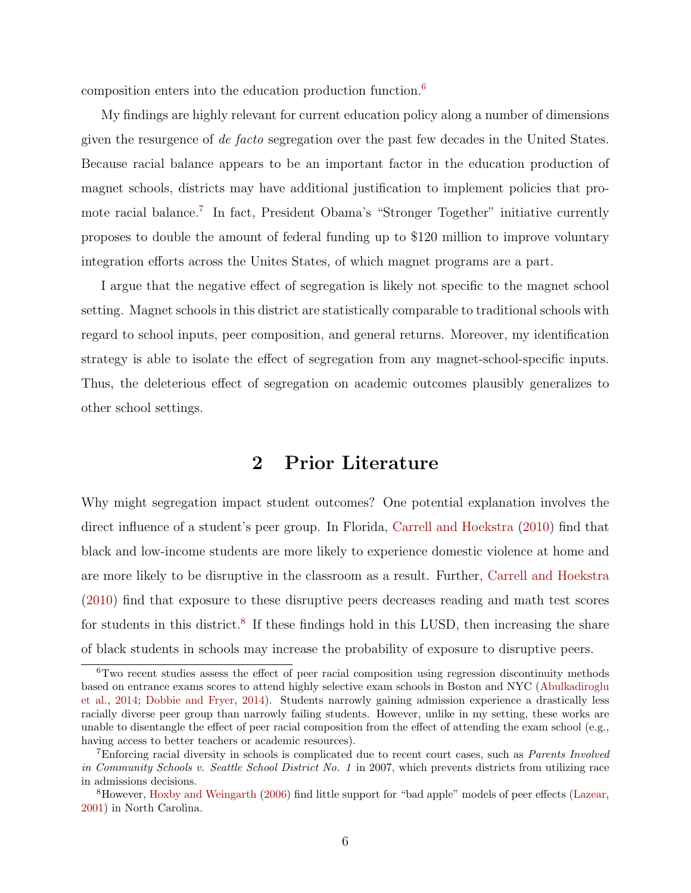composition enters into the education production function.[6](#page-5-0)

My findings are highly relevant for current education policy along a number of dimensions given the resurgence of de facto segregation over the past few decades in the United States. Because racial balance appears to be an important factor in the education production of magnet schools, districts may have additional justification to implement policies that pro-mote racial balance.<sup>[7](#page-5-1)</sup> In fact, President Obama's "Stronger Together" initiative currently proposes to double the amount of federal funding up to \$120 million to improve voluntary integration efforts across the Unites States, of which magnet programs are a part.

I argue that the negative effect of segregation is likely not specific to the magnet school setting. Magnet schools in this district are statistically comparable to traditional schools with regard to school inputs, peer composition, and general returns. Moreover, my identification strategy is able to isolate the effect of segregation from any magnet-school-specific inputs. Thus, the deleterious effect of segregation on academic outcomes plausibly generalizes to other school settings.

## 2 Prior Literature

Why might segregation impact student outcomes? One potential explanation involves the direct influence of a student's peer group. In Florida, [Carrell and Hoekstra](#page-35-5) [\(2010\)](#page-35-5) find that black and low-income students are more likely to experience domestic violence at home and are more likely to be disruptive in the classroom as a result. Further, [Carrell and Hoekstra](#page-35-5) [\(2010\)](#page-35-5) find that exposure to these disruptive peers decreases reading and math test scores for students in this district.<sup>[8](#page-5-2)</sup> If these findings hold in this LUSD, then increasing the share of black students in schools may increase the probability of exposure to disruptive peers.

<span id="page-5-0"></span> $6$ Two recent studies assess the effect of peer racial composition using regression discontinuity methods based on entrance exams scores to attend highly selective exam schools in Boston and NYC [\(Abulkadiroglu](#page-34-0) [et al.,](#page-34-0) [2014;](#page-34-0) [Dobbie and Fryer,](#page-35-6) [2014\)](#page-35-6). Students narrowly gaining admission experience a drastically less racially diverse peer group than narrowly failing students. However, unlike in my setting, these works are unable to disentangle the effect of peer racial composition from the effect of attending the exam school (e.g., having access to better teachers or academic resources).

<span id="page-5-1"></span><sup>7</sup>Enforcing racial diversity in schools is complicated due to recent court cases, such as Parents Involved in Community Schools v. Seattle School District No. 1 in 2007, which prevents districts from utilizing race in admissions decisions.

<span id="page-5-2"></span><sup>8</sup>However, [Hoxby and Weingarth](#page-36-13) [\(2006\)](#page-36-13) find little support for "bad apple" models of peer effects [\(Lazear,](#page-36-14) [2001\)](#page-36-14) in North Carolina.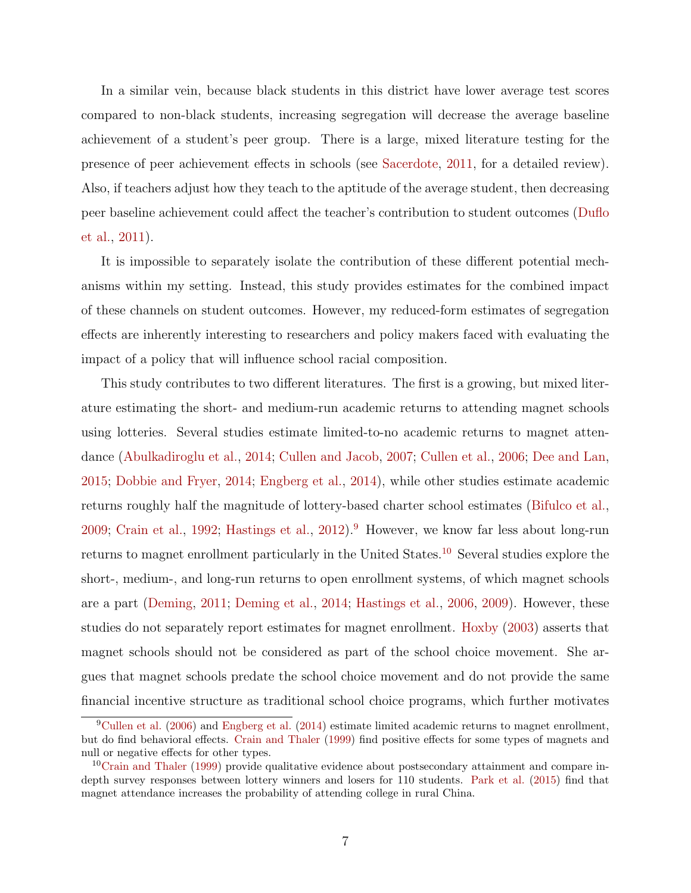In a similar vein, because black students in this district have lower average test scores compared to non-black students, increasing segregation will decrease the average baseline achievement of a student's peer group. There is a large, mixed literature testing for the presence of peer achievement effects in schools (see [Sacerdote,](#page-37-1) [2011,](#page-37-1) for a detailed review). Also, if teachers adjust how they teach to the aptitude of the average student, then decreasing peer baseline achievement could affect the teacher's contribution to student outcomes [\(Duflo](#page-35-7) [et al.,](#page-35-7) [2011\)](#page-35-7).

It is impossible to separately isolate the contribution of these different potential mechanisms within my setting. Instead, this study provides estimates for the combined impact of these channels on student outcomes. However, my reduced-form estimates of segregation effects are inherently interesting to researchers and policy makers faced with evaluating the impact of a policy that will influence school racial composition.

This study contributes to two different literatures. The first is a growing, but mixed literature estimating the short- and medium-run academic returns to attending magnet schools using lotteries. Several studies estimate limited-to-no academic returns to magnet attendance [\(Abulkadiroglu et al.,](#page-34-0) [2014;](#page-34-0) [Cullen and Jacob,](#page-35-8) [2007;](#page-35-8) [Cullen et al.,](#page-35-9) [2006;](#page-35-9) [Dee and Lan,](#page-35-10) [2015;](#page-35-10) [Dobbie and Fryer,](#page-35-6) [2014;](#page-35-6) [Engberg et al.,](#page-35-11) [2014\)](#page-35-11), while other studies estimate academic returns roughly half the magnitude of lottery-based charter school estimates [\(Bifulco et al.,](#page-35-12) [2009;](#page-35-12) [Crain et al.,](#page-35-13) [1992;](#page-35-13) [Hastings et al.,](#page-36-15) [2012\)](#page-36-15).[9](#page-6-0) However, we know far less about long-run returns to magnet enrollment particularly in the United States.<sup>[10](#page-6-1)</sup> Several studies explore the short-, medium-, and long-run returns to open enrollment systems, of which magnet schools are a part [\(Deming,](#page-35-14) [2011;](#page-35-14) [Deming et al.,](#page-35-15) [2014;](#page-35-15) [Hastings et al.,](#page-36-16) [2006,](#page-36-16) [2009\)](#page-36-17). However, these studies do not separately report estimates for magnet enrollment. [Hoxby](#page-36-18) [\(2003\)](#page-36-18) asserts that magnet schools should not be considered as part of the school choice movement. She argues that magnet schools predate the school choice movement and do not provide the same financial incentive structure as traditional school choice programs, which further motivates

<span id="page-6-0"></span> $^{9}$ [Cullen et al.](#page-35-9) [\(2006\)](#page-35-9) and [Engberg et al.](#page-35-11) [\(2014\)](#page-35-11) estimate limited academic returns to magnet enrollment, but do find behavioral effects. [Crain and Thaler](#page-35-16) [\(1999\)](#page-35-16) find positive effects for some types of magnets and null or negative effects for other types.

<span id="page-6-1"></span><sup>10</sup>[Crain and Thaler](#page-35-16) [\(1999\)](#page-35-16) provide qualitative evidence about postsecondary attainment and compare indepth survey responses between lottery winners and losers for 110 students. [Park et al.](#page-36-19) [\(2015\)](#page-36-19) find that magnet attendance increases the probability of attending college in rural China.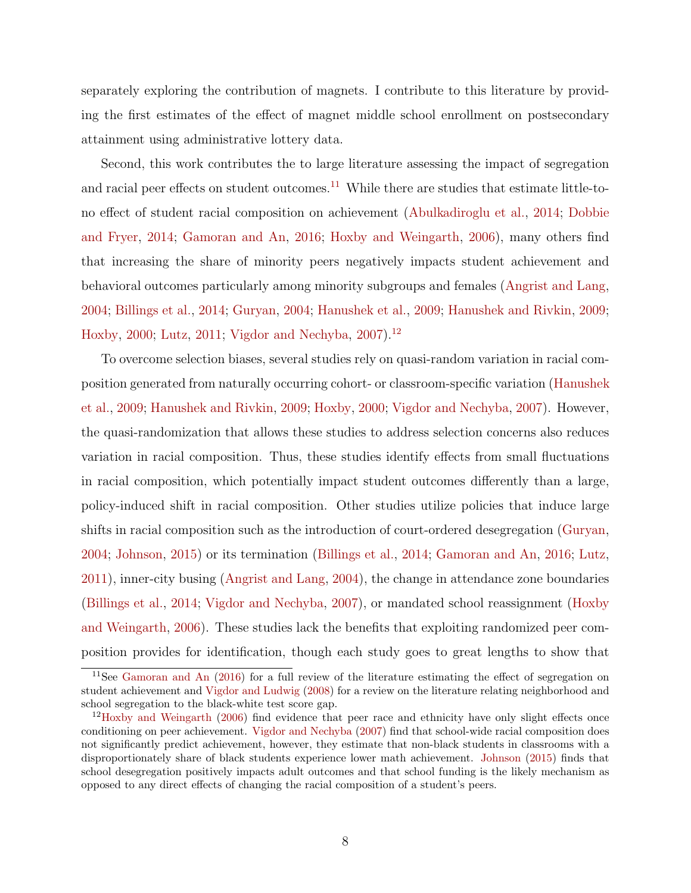separately exploring the contribution of magnets. I contribute to this literature by providing the first estimates of the effect of magnet middle school enrollment on postsecondary attainment using administrative lottery data.

Second, this work contributes the to large literature assessing the impact of segregation and racial peer effects on student outcomes.<sup>[11](#page-7-0)</sup> While there are studies that estimate little-tono effect of student racial composition on achievement [\(Abulkadiroglu et al.,](#page-34-0) [2014;](#page-34-0) [Dobbie](#page-35-6) [and Fryer,](#page-35-6) [2014;](#page-35-6) [Gamoran and An,](#page-35-3) [2016;](#page-35-3) [Hoxby and Weingarth,](#page-36-13) [2006\)](#page-36-13), many others find that increasing the share of minority peers negatively impacts student achievement and behavioral outcomes particularly among minority subgroups and females [\(Angrist and Lang,](#page-35-4) [2004;](#page-35-4) [Billings et al.,](#page-35-2) [2014;](#page-35-2) [Guryan,](#page-36-7) [2004;](#page-36-7) [Hanushek et al.,](#page-36-9) [2009;](#page-36-9) [Hanushek and Rivkin,](#page-36-11) [2009;](#page-36-11) [Hoxby,](#page-36-10) [2000;](#page-36-10) [Lutz,](#page-36-1) [2011;](#page-36-1) [Vigdor and Nechyba,](#page-37-0) [2007\)](#page-37-0).[12](#page-7-1)

To overcome selection biases, several studies rely on quasi-random variation in racial composition generated from naturally occurring cohort- or classroom-specific variation [\(Hanushek](#page-36-9) [et al.,](#page-36-9) [2009;](#page-36-9) [Hanushek and Rivkin,](#page-36-11) [2009;](#page-36-11) [Hoxby,](#page-36-10) [2000;](#page-36-10) [Vigdor and Nechyba,](#page-37-0) [2007\)](#page-37-0). However, the quasi-randomization that allows these studies to address selection concerns also reduces variation in racial composition. Thus, these studies identify effects from small fluctuations in racial composition, which potentially impact student outcomes differently than a large, policy-induced shift in racial composition. Other studies utilize policies that induce large shifts in racial composition such as the introduction of court-ordered desegregation [\(Guryan,](#page-36-7) [2004;](#page-36-7) [Johnson,](#page-36-12) [2015\)](#page-36-12) or its termination [\(Billings et al.,](#page-35-2) [2014;](#page-35-2) [Gamoran and An,](#page-35-3) [2016;](#page-35-3) [Lutz,](#page-36-1) [2011\)](#page-36-1), inner-city busing [\(Angrist and Lang,](#page-35-4) [2004\)](#page-35-4), the change in attendance zone boundaries [\(Billings et al.,](#page-35-2) [2014;](#page-35-2) [Vigdor and Nechyba,](#page-37-0) [2007\)](#page-37-0), or mandated school reassignment [\(Hoxby](#page-36-13) [and Weingarth,](#page-36-13) [2006\)](#page-36-13). These studies lack the benefits that exploiting randomized peer composition provides for identification, though each study goes to great lengths to show that

<span id="page-7-0"></span><sup>11</sup>See [Gamoran and An](#page-35-3) [\(2016\)](#page-35-3) for a full review of the literature estimating the effect of segregation on student achievement and [Vigdor and Ludwig](#page-37-2) [\(2008\)](#page-37-2) for a review on the literature relating neighborhood and school segregation to the black-white test score gap.

<span id="page-7-1"></span> $12$ [Hoxby and Weingarth](#page-36-13) [\(2006\)](#page-36-13) find evidence that peer race and ethnicity have only slight effects once conditioning on peer achievement. [Vigdor and Nechyba](#page-37-0) [\(2007\)](#page-37-0) find that school-wide racial composition does not significantly predict achievement, however, they estimate that non-black students in classrooms with a disproportionately share of black students experience lower math achievement. [Johnson](#page-36-12) [\(2015\)](#page-36-12) finds that school desegregation positively impacts adult outcomes and that school funding is the likely mechanism as opposed to any direct effects of changing the racial composition of a student's peers.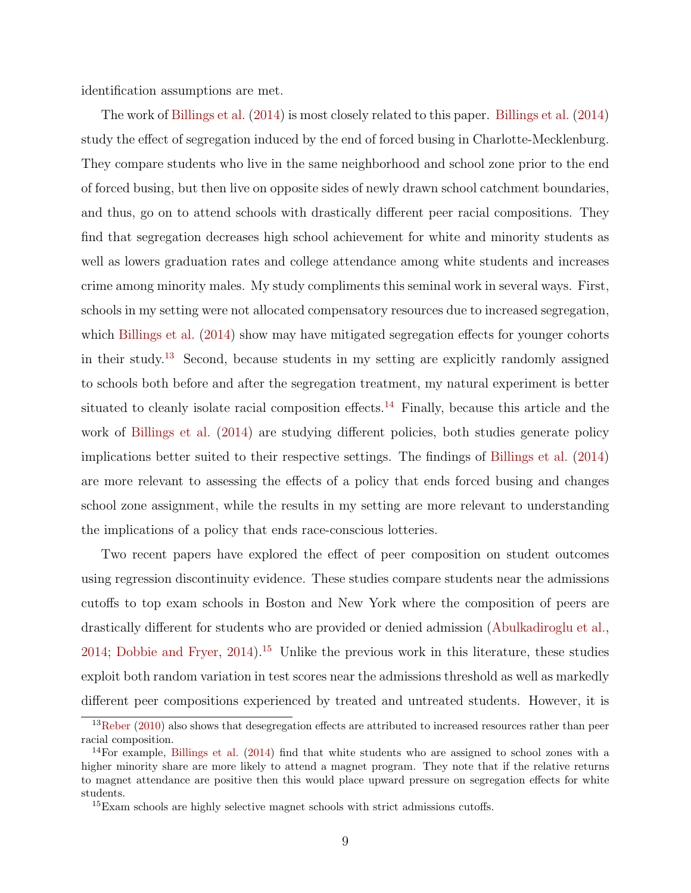identification assumptions are met.

The work of [Billings et al.](#page-35-2) [\(2014\)](#page-35-2) is most closely related to this paper. [Billings et al.](#page-35-2) [\(2014\)](#page-35-2) study the effect of segregation induced by the end of forced busing in Charlotte-Mecklenburg. They compare students who live in the same neighborhood and school zone prior to the end of forced busing, but then live on opposite sides of newly drawn school catchment boundaries, and thus, go on to attend schools with drastically different peer racial compositions. They find that segregation decreases high school achievement for white and minority students as well as lowers graduation rates and college attendance among white students and increases crime among minority males. My study compliments this seminal work in several ways. First, schools in my setting were not allocated compensatory resources due to increased segregation, which [Billings et al.](#page-35-2) [\(2014\)](#page-35-2) show may have mitigated segregation effects for younger cohorts in their study.[13](#page-8-0) Second, because students in my setting are explicitly randomly assigned to schools both before and after the segregation treatment, my natural experiment is better situated to cleanly isolate racial composition effects.<sup>[14](#page-8-1)</sup> Finally, because this article and the work of [Billings et al.](#page-35-2) [\(2014\)](#page-35-2) are studying different policies, both studies generate policy implications better suited to their respective settings. The findings of [Billings et al.](#page-35-2) [\(2014\)](#page-35-2) are more relevant to assessing the effects of a policy that ends forced busing and changes school zone assignment, while the results in my setting are more relevant to understanding the implications of a policy that ends race-conscious lotteries.

Two recent papers have explored the effect of peer composition on student outcomes using regression discontinuity evidence. These studies compare students near the admissions cutoffs to top exam schools in Boston and New York where the composition of peers are drastically different for students who are provided or denied admission [\(Abulkadiroglu et al.,](#page-34-0) [2014;](#page-34-0) [Dobbie and Fryer,](#page-35-6)  $2014$ ).<sup>[15](#page-8-2)</sup> Unlike the previous work in this literature, these studies exploit both random variation in test scores near the admissions threshold as well as markedly different peer compositions experienced by treated and untreated students. However, it is

<span id="page-8-0"></span> $13$ [Reber](#page-36-20) [\(2010\)](#page-36-20) also shows that desegregation effects are attributed to increased resources rather than peer racial composition.

<span id="page-8-1"></span> $14$ For example, [Billings et al.](#page-35-2) [\(2014\)](#page-35-2) find that white students who are assigned to school zones with a higher minority share are more likely to attend a magnet program. They note that if the relative returns to magnet attendance are positive then this would place upward pressure on segregation effects for white students.

<span id="page-8-2"></span><sup>&</sup>lt;sup>15</sup>Exam schools are highly selective magnet schools with strict admissions cutoffs.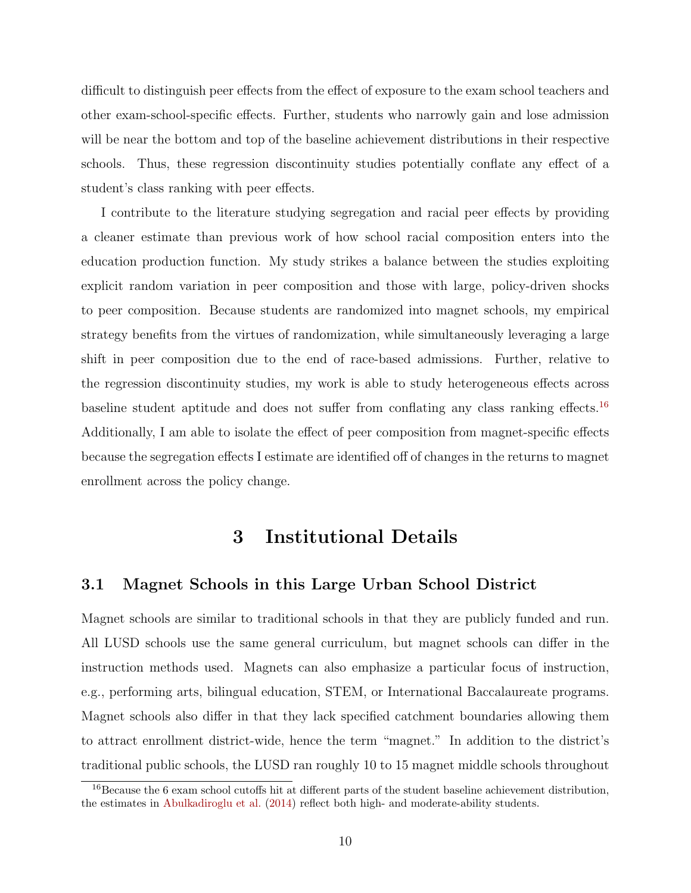difficult to distinguish peer effects from the effect of exposure to the exam school teachers and other exam-school-specific effects. Further, students who narrowly gain and lose admission will be near the bottom and top of the baseline achievement distributions in their respective schools. Thus, these regression discontinuity studies potentially conflate any effect of a student's class ranking with peer effects.

I contribute to the literature studying segregation and racial peer effects by providing a cleaner estimate than previous work of how school racial composition enters into the education production function. My study strikes a balance between the studies exploiting explicit random variation in peer composition and those with large, policy-driven shocks to peer composition. Because students are randomized into magnet schools, my empirical strategy benefits from the virtues of randomization, while simultaneously leveraging a large shift in peer composition due to the end of race-based admissions. Further, relative to the regression discontinuity studies, my work is able to study heterogeneous effects across baseline student aptitude and does not suffer from conflating any class ranking effects.<sup>[16](#page-9-0)</sup> Additionally, I am able to isolate the effect of peer composition from magnet-specific effects because the segregation effects I estimate are identified off of changes in the returns to magnet enrollment across the policy change.

## 3 Institutional Details

#### <span id="page-9-1"></span>3.1 Magnet Schools in this Large Urban School District

Magnet schools are similar to traditional schools in that they are publicly funded and run. All LUSD schools use the same general curriculum, but magnet schools can differ in the instruction methods used. Magnets can also emphasize a particular focus of instruction, e.g., performing arts, bilingual education, STEM, or International Baccalaureate programs. Magnet schools also differ in that they lack specified catchment boundaries allowing them to attract enrollment district-wide, hence the term "magnet." In addition to the district's traditional public schools, the LUSD ran roughly 10 to 15 magnet middle schools throughout

<span id="page-9-0"></span><sup>16</sup>Because the 6 exam school cutoffs hit at different parts of the student baseline achievement distribution, the estimates in [Abulkadiroglu et al.](#page-34-0) [\(2014\)](#page-34-0) reflect both high- and moderate-ability students.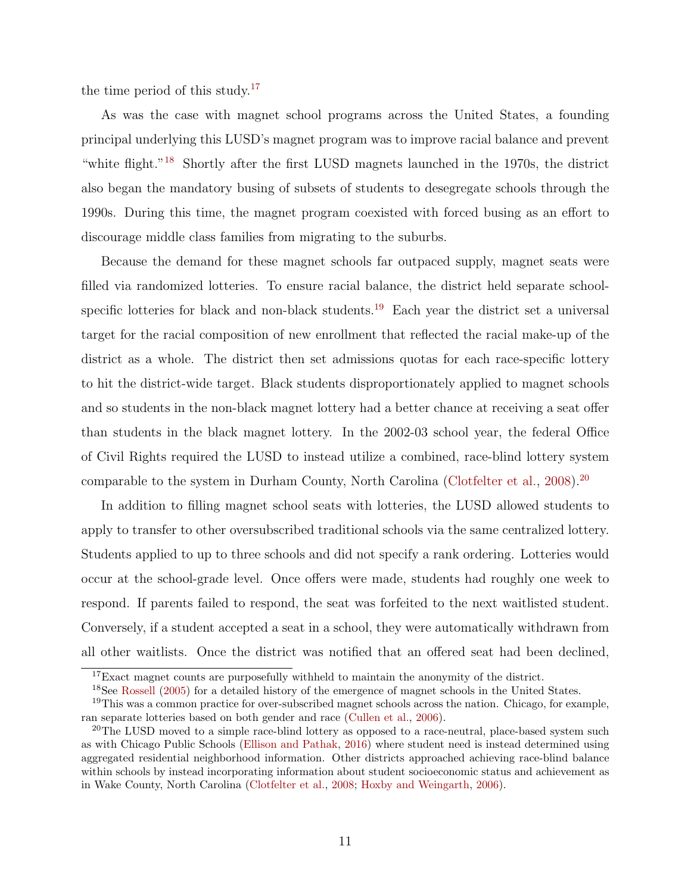the time period of this study.<sup>[17](#page-10-0)</sup>

As was the case with magnet school programs across the United States, a founding principal underlying this LUSD's magnet program was to improve racial balance and prevent "white flight."[18](#page-10-1) Shortly after the first LUSD magnets launched in the 1970s, the district also began the mandatory busing of subsets of students to desegregate schools through the 1990s. During this time, the magnet program coexisted with forced busing as an effort to discourage middle class families from migrating to the suburbs.

Because the demand for these magnet schools far outpaced supply, magnet seats were filled via randomized lotteries. To ensure racial balance, the district held separate school-specific lotteries for black and non-black students.<sup>[19](#page-10-2)</sup> Each year the district set a universal target for the racial composition of new enrollment that reflected the racial make-up of the district as a whole. The district then set admissions quotas for each race-specific lottery to hit the district-wide target. Black students disproportionately applied to magnet schools and so students in the non-black magnet lottery had a better chance at receiving a seat offer than students in the black magnet lottery. In the 2002-03 school year, the federal Office of Civil Rights required the LUSD to instead utilize a combined, race-blind lottery system comparable to the system in Durham County, North Carolina [\(Clotfelter et al.,](#page-35-0) [2008\)](#page-35-0).<sup>[20](#page-10-3)</sup>

In addition to filling magnet school seats with lotteries, the LUSD allowed students to apply to transfer to other oversubscribed traditional schools via the same centralized lottery. Students applied to up to three schools and did not specify a rank ordering. Lotteries would occur at the school-grade level. Once offers were made, students had roughly one week to respond. If parents failed to respond, the seat was forfeited to the next waitlisted student. Conversely, if a student accepted a seat in a school, they were automatically withdrawn from all other waitlists. Once the district was notified that an offered seat had been declined,

<span id="page-10-0"></span><sup>&</sup>lt;sup>17</sup>Exact magnet counts are purposefully withheld to maintain the anonymity of the district.

<span id="page-10-2"></span><span id="page-10-1"></span><sup>&</sup>lt;sup>18</sup>See [Rossell](#page-36-21) [\(2005\)](#page-36-21) for a detailed history of the emergence of magnet schools in the United States.

<sup>&</sup>lt;sup>19</sup>This was a common practice for over-subscribed magnet schools across the nation. Chicago, for example, ran separate lotteries based on both gender and race [\(Cullen et al.,](#page-35-9) [2006\)](#page-35-9).

<span id="page-10-3"></span> $20$ The LUSD moved to a simple race-blind lottery as opposed to a race-neutral, place-based system such as with Chicago Public Schools [\(Ellison and Pathak,](#page-35-17) [2016\)](#page-35-17) where student need is instead determined using aggregated residential neighborhood information. Other districts approached achieving race-blind balance within schools by instead incorporating information about student socioeconomic status and achievement as in Wake County, North Carolina [\(Clotfelter et al.,](#page-35-0) [2008;](#page-35-0) [Hoxby and Weingarth,](#page-36-13) [2006\)](#page-36-13).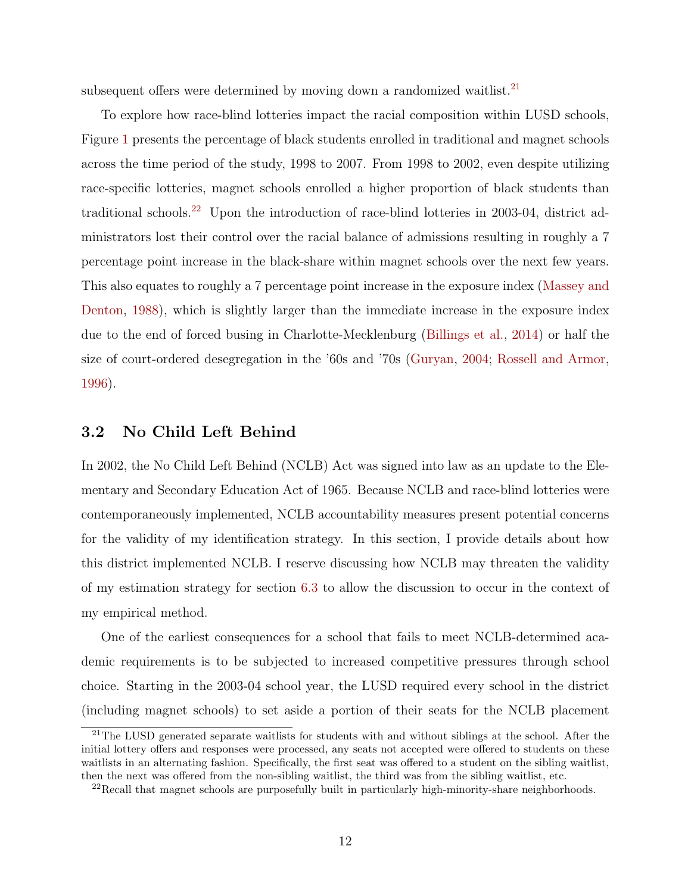subsequent offers were determined by moving down a randomized waitlist.<sup>[21](#page-11-0)</sup>

To explore how race-blind lotteries impact the racial composition within LUSD schools, Figure [1](#page-38-0) presents the percentage of black students enrolled in traditional and magnet schools across the time period of the study, 1998 to 2007. From 1998 to 2002, even despite utilizing race-specific lotteries, magnet schools enrolled a higher proportion of black students than traditional schools.[22](#page-11-1) Upon the introduction of race-blind lotteries in 2003-04, district administrators lost their control over the racial balance of admissions resulting in roughly a 7 percentage point increase in the black-share within magnet schools over the next few years. This also equates to roughly a 7 percentage point increase in the exposure index [\(Massey and](#page-36-6) [Denton,](#page-36-6) [1988\)](#page-36-6), which is slightly larger than the immediate increase in the exposure index due to the end of forced busing in Charlotte-Mecklenburg [\(Billings et al.,](#page-35-2) [2014\)](#page-35-2) or half the size of court-ordered desegregation in the '60s and '70s [\(Guryan,](#page-36-7) [2004;](#page-36-7) [Rossell and Armor,](#page-36-8) [1996\)](#page-36-8).

#### <span id="page-11-2"></span>3.2 No Child Left Behind

In 2002, the No Child Left Behind (NCLB) Act was signed into law as an update to the Elementary and Secondary Education Act of 1965. Because NCLB and race-blind lotteries were contemporaneously implemented, NCLB accountability measures present potential concerns for the validity of my identification strategy. In this section, I provide details about how this district implemented NCLB. I reserve discussing how NCLB may threaten the validity of my estimation strategy for section [6.3](#page-23-0) to allow the discussion to occur in the context of my empirical method.

One of the earliest consequences for a school that fails to meet NCLB-determined academic requirements is to be subjected to increased competitive pressures through school choice. Starting in the 2003-04 school year, the LUSD required every school in the district (including magnet schools) to set aside a portion of their seats for the NCLB placement

<span id="page-11-0"></span><sup>&</sup>lt;sup>21</sup>The LUSD generated separate waitlists for students with and without siblings at the school. After the initial lottery offers and responses were processed, any seats not accepted were offered to students on these waitlists in an alternating fashion. Specifically, the first seat was offered to a student on the sibling waitlist, then the next was offered from the non-sibling waitlist, the third was from the sibling waitlist, etc.

<span id="page-11-1"></span><sup>22</sup>Recall that magnet schools are purposefully built in particularly high-minority-share neighborhoods.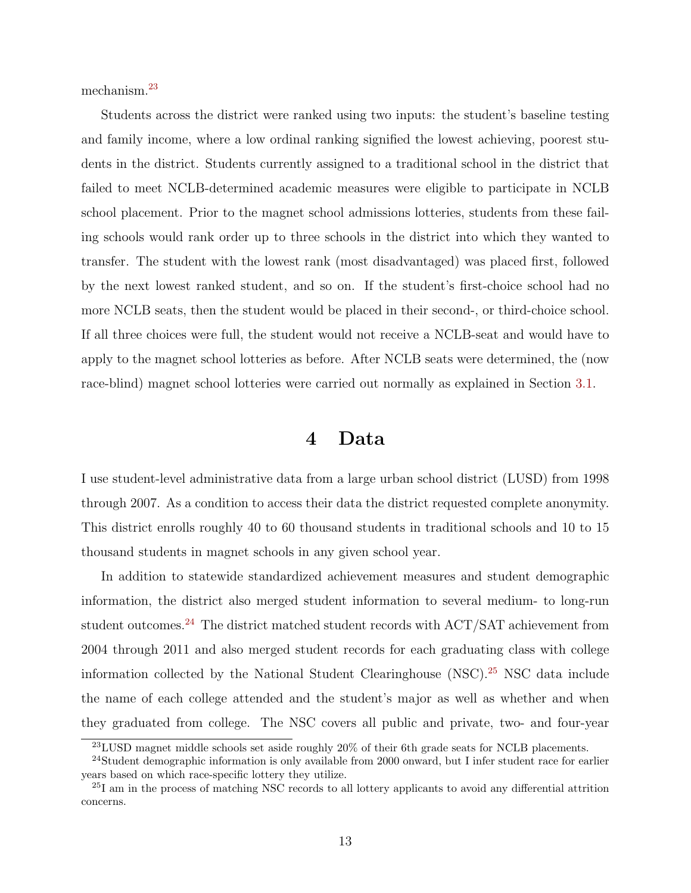mechanism.[23](#page-12-0)

Students across the district were ranked using two inputs: the student's baseline testing and family income, where a low ordinal ranking signified the lowest achieving, poorest students in the district. Students currently assigned to a traditional school in the district that failed to meet NCLB-determined academic measures were eligible to participate in NCLB school placement. Prior to the magnet school admissions lotteries, students from these failing schools would rank order up to three schools in the district into which they wanted to transfer. The student with the lowest rank (most disadvantaged) was placed first, followed by the next lowest ranked student, and so on. If the student's first-choice school had no more NCLB seats, then the student would be placed in their second-, or third-choice school. If all three choices were full, the student would not receive a NCLB-seat and would have to apply to the magnet school lotteries as before. After NCLB seats were determined, the (now race-blind) magnet school lotteries were carried out normally as explained in Section [3.1.](#page-9-1)

### 4 Data

<span id="page-12-3"></span>I use student-level administrative data from a large urban school district (LUSD) from 1998 through 2007. As a condition to access their data the district requested complete anonymity. This district enrolls roughly 40 to 60 thousand students in traditional schools and 10 to 15 thousand students in magnet schools in any given school year.

In addition to statewide standardized achievement measures and student demographic information, the district also merged student information to several medium- to long-run student outcomes.<sup>[24](#page-12-1)</sup> The district matched student records with  $ACT/SAT$  achievement from 2004 through 2011 and also merged student records for each graduating class with college information collected by the National Student Clearinghouse (NSC).[25](#page-12-2) NSC data include the name of each college attended and the student's major as well as whether and when they graduated from college. The NSC covers all public and private, two- and four-year

<span id="page-12-1"></span><span id="page-12-0"></span><sup>&</sup>lt;sup>23</sup>LUSD magnet middle schools set aside roughly 20% of their 6th grade seats for NCLB placements.

<sup>&</sup>lt;sup>24</sup>Student demographic information is only available from 2000 onward, but I infer student race for earlier years based on which race-specific lottery they utilize.

<span id="page-12-2"></span><sup>&</sup>lt;sup>25</sup>I am in the process of matching NSC records to all lottery applicants to avoid any differential attrition concerns.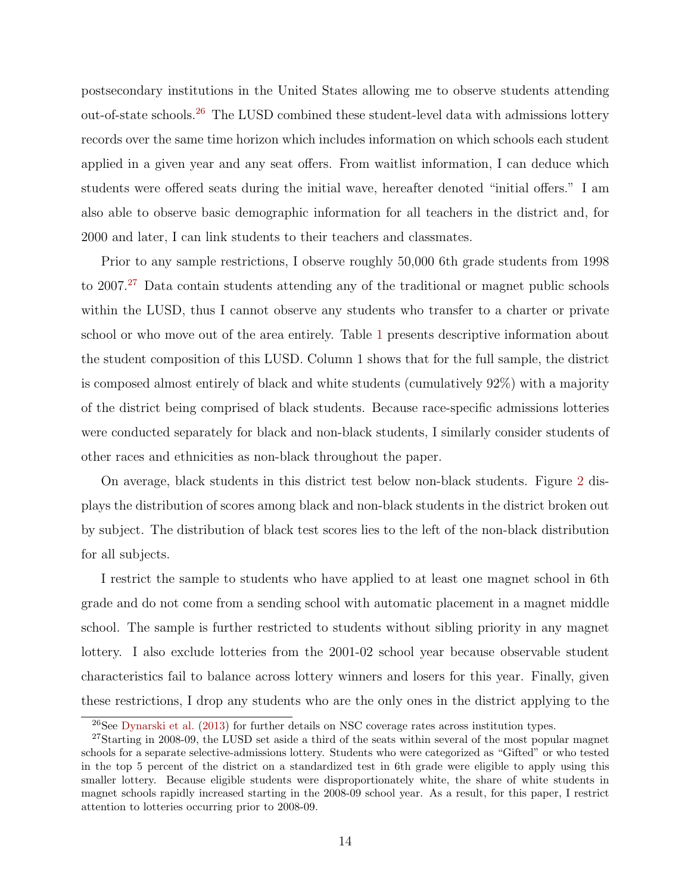postsecondary institutions in the United States allowing me to observe students attending out-of-state schools.[26](#page-13-0) The LUSD combined these student-level data with admissions lottery records over the same time horizon which includes information on which schools each student applied in a given year and any seat offers. From waitlist information, I can deduce which students were offered seats during the initial wave, hereafter denoted "initial offers." I am also able to observe basic demographic information for all teachers in the district and, for 2000 and later, I can link students to their teachers and classmates.

Prior to any sample restrictions, I observe roughly 50,000 6th grade students from 1998 to 2007.<sup>[27](#page-13-1)</sup> Data contain students attending any of the traditional or magnet public schools within the LUSD, thus I cannot observe any students who transfer to a charter or private school or who move out of the area entirely. Table [1](#page-43-0) presents descriptive information about the student composition of this LUSD. Column 1 shows that for the full sample, the district is composed almost entirely of black and white students (cumulatively 92%) with a majority of the district being comprised of black students. Because race-specific admissions lotteries were conducted separately for black and non-black students, I similarly consider students of other races and ethnicities as non-black throughout the paper.

On average, black students in this district test below non-black students. Figure [2](#page-39-0) displays the distribution of scores among black and non-black students in the district broken out by subject. The distribution of black test scores lies to the left of the non-black distribution for all subjects.

I restrict the sample to students who have applied to at least one magnet school in 6th grade and do not come from a sending school with automatic placement in a magnet middle school. The sample is further restricted to students without sibling priority in any magnet lottery. I also exclude lotteries from the 2001-02 school year because observable student characteristics fail to balance across lottery winners and losers for this year. Finally, given these restrictions, I drop any students who are the only ones in the district applying to the

<span id="page-13-1"></span><span id="page-13-0"></span><sup>26</sup>See [Dynarski et al.](#page-35-18) [\(2013\)](#page-35-18) for further details on NSC coverage rates across institution types.

<sup>&</sup>lt;sup>27</sup>Starting in 2008-09, the LUSD set aside a third of the seats within several of the most popular magnet schools for a separate selective-admissions lottery. Students who were categorized as "Gifted" or who tested in the top 5 percent of the district on a standardized test in 6th grade were eligible to apply using this smaller lottery. Because eligible students were disproportionately white, the share of white students in magnet schools rapidly increased starting in the 2008-09 school year. As a result, for this paper, I restrict attention to lotteries occurring prior to 2008-09.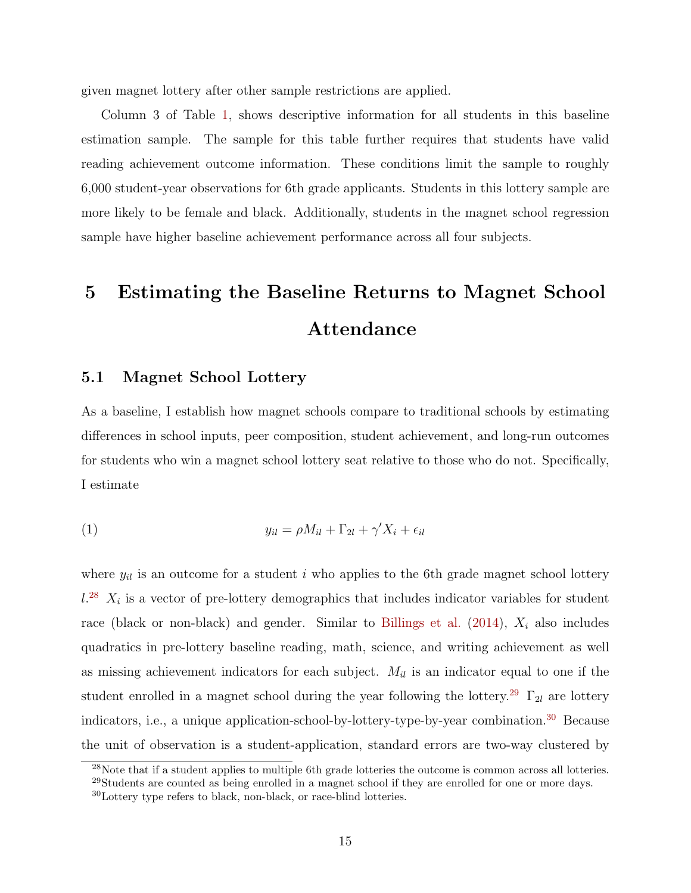given magnet lottery after other sample restrictions are applied.

Column 3 of Table [1,](#page-43-0) shows descriptive information for all students in this baseline estimation sample. The sample for this table further requires that students have valid reading achievement outcome information. These conditions limit the sample to roughly 6,000 student-year observations for 6th grade applicants. Students in this lottery sample are more likely to be female and black. Additionally, students in the magnet school regression sample have higher baseline achievement performance across all four subjects.

# 5 Estimating the Baseline Returns to Magnet School Attendance

#### 5.1 Magnet School Lottery

As a baseline, I establish how magnet schools compare to traditional schools by estimating differences in school inputs, peer composition, student achievement, and long-run outcomes for students who win a magnet school lottery seat relative to those who do not. Specifically, I estimate

<span id="page-14-3"></span>
$$
(1) \t\t y_{il} = \rho M_{il} + \Gamma_{2l} + \gamma' X_i + \epsilon_{il}
$$

where  $y_{il}$  is an outcome for a student i who applies to the 6th grade magnet school lottery  $l^{28}$  $l^{28}$  $l^{28}$   $X_i$  is a vector of pre-lottery demographics that includes indicator variables for student race (black or non-black) and gender. Similar to [Billings et al.](#page-35-2)  $(2014)$ ,  $X_i$  also includes quadratics in pre-lottery baseline reading, math, science, and writing achievement as well as missing achievement indicators for each subject.  $M_{il}$  is an indicator equal to one if the student enrolled in a magnet school during the year following the lottery.<sup>[29](#page-14-1)</sup>  $\Gamma_{2l}$  are lottery indicators, i.e., a unique application-school-by-lottery-type-by-year combination.[30](#page-14-2) Because the unit of observation is a student-application, standard errors are two-way clustered by

<span id="page-14-0"></span><sup>28</sup>Note that if a student applies to multiple 6th grade lotteries the outcome is common across all lotteries.

<span id="page-14-1"></span><sup>&</sup>lt;sup>29</sup>Students are counted as being enrolled in a magnet school if they are enrolled for one or more days.

<span id="page-14-2"></span><sup>30</sup>Lottery type refers to black, non-black, or race-blind lotteries.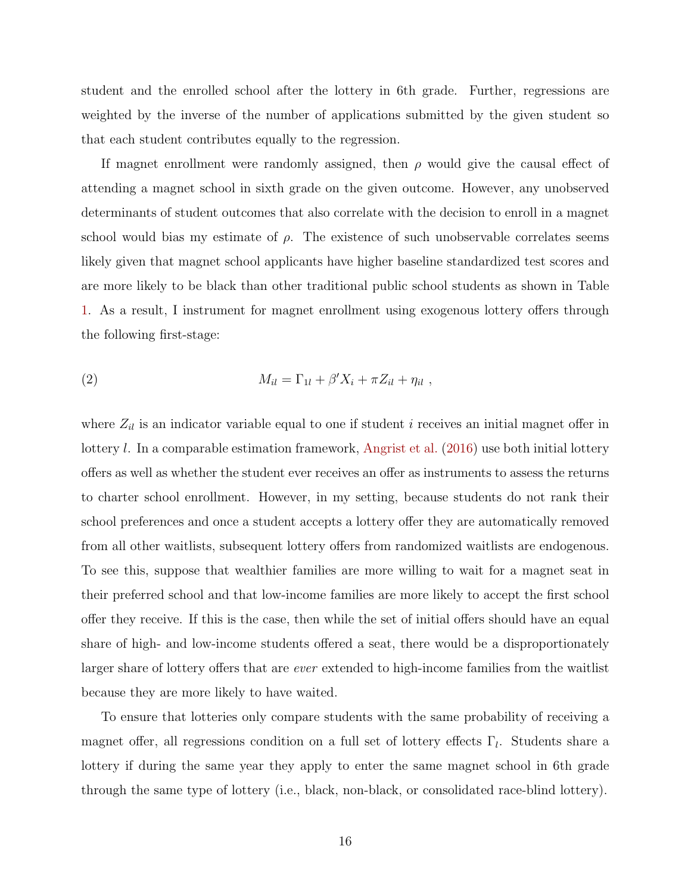student and the enrolled school after the lottery in 6th grade. Further, regressions are weighted by the inverse of the number of applications submitted by the given student so that each student contributes equally to the regression.

If magnet enrollment were randomly assigned, then  $\rho$  would give the causal effect of attending a magnet school in sixth grade on the given outcome. However, any unobserved determinants of student outcomes that also correlate with the decision to enroll in a magnet school would bias my estimate of  $\rho$ . The existence of such unobservable correlates seems likely given that magnet school applicants have higher baseline standardized test scores and are more likely to be black than other traditional public school students as shown in Table [1.](#page-43-0) As a result, I instrument for magnet enrollment using exogenous lottery offers through the following first-stage:

(2) 
$$
M_{il} = \Gamma_{1l} + \beta' X_i + \pi Z_{il} + \eta_{il} ,
$$

where  $Z_{il}$  is an indicator variable equal to one if student i receives an initial magnet offer in lottery l. In a comparable estimation framework, [Angrist et al.](#page-34-1) [\(2016\)](#page-34-1) use both initial lottery offers as well as whether the student ever receives an offer as instruments to assess the returns to charter school enrollment. However, in my setting, because students do not rank their school preferences and once a student accepts a lottery offer they are automatically removed from all other waitlists, subsequent lottery offers from randomized waitlists are endogenous. To see this, suppose that wealthier families are more willing to wait for a magnet seat in their preferred school and that low-income families are more likely to accept the first school offer they receive. If this is the case, then while the set of initial offers should have an equal share of high- and low-income students offered a seat, there would be a disproportionately larger share of lottery offers that are ever extended to high-income families from the waitlist because they are more likely to have waited.

To ensure that lotteries only compare students with the same probability of receiving a magnet offer, all regressions condition on a full set of lottery effects  $\Gamma_l$ . Students share a lottery if during the same year they apply to enter the same magnet school in 6th grade through the same type of lottery (i.e., black, non-black, or consolidated race-blind lottery).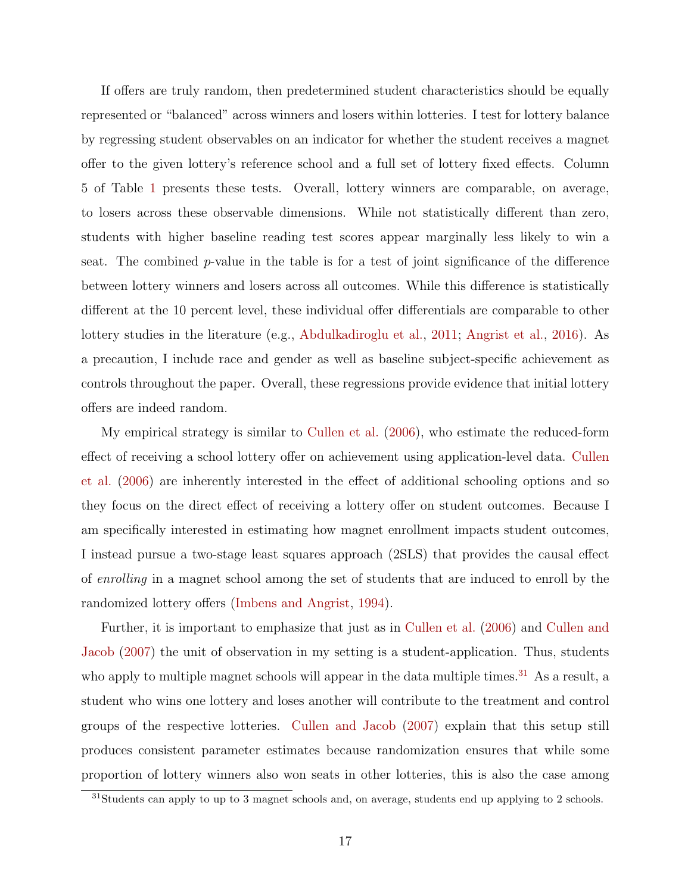If offers are truly random, then predetermined student characteristics should be equally represented or "balanced" across winners and losers within lotteries. I test for lottery balance by regressing student observables on an indicator for whether the student receives a magnet offer to the given lottery's reference school and a full set of lottery fixed effects. Column 5 of Table [1](#page-43-0) presents these tests. Overall, lottery winners are comparable, on average, to losers across these observable dimensions. While not statistically different than zero, students with higher baseline reading test scores appear marginally less likely to win a seat. The combined p-value in the table is for a test of joint significance of the difference between lottery winners and losers across all outcomes. While this difference is statistically different at the 10 percent level, these individual offer differentials are comparable to other lottery studies in the literature (e.g., [Abdulkadiroglu et al.,](#page-34-2) [2011;](#page-34-2) [Angrist et al.,](#page-34-1) [2016\)](#page-34-1). As a precaution, I include race and gender as well as baseline subject-specific achievement as controls throughout the paper. Overall, these regressions provide evidence that initial lottery offers are indeed random.

My empirical strategy is similar to [Cullen et al.](#page-35-9) [\(2006\)](#page-35-9), who estimate the reduced-form effect of receiving a school lottery offer on achievement using application-level data. [Cullen](#page-35-9) [et al.](#page-35-9) [\(2006\)](#page-35-9) are inherently interested in the effect of additional schooling options and so they focus on the direct effect of receiving a lottery offer on student outcomes. Because I am specifically interested in estimating how magnet enrollment impacts student outcomes, I instead pursue a two-stage least squares approach (2SLS) that provides the causal effect of enrolling in a magnet school among the set of students that are induced to enroll by the randomized lottery offers [\(Imbens and Angrist,](#page-36-22) [1994\)](#page-36-22).

Further, it is important to emphasize that just as in [Cullen et al.](#page-35-9) [\(2006\)](#page-35-9) and [Cullen and](#page-35-8) [Jacob](#page-35-8) [\(2007\)](#page-35-8) the unit of observation in my setting is a student-application. Thus, students who apply to multiple magnet schools will appear in the data multiple times.<sup>[31](#page-16-0)</sup> As a result, a student who wins one lottery and loses another will contribute to the treatment and control groups of the respective lotteries. [Cullen and Jacob](#page-35-8) [\(2007\)](#page-35-8) explain that this setup still produces consistent parameter estimates because randomization ensures that while some proportion of lottery winners also won seats in other lotteries, this is also the case among

<span id="page-16-0"></span><sup>&</sup>lt;sup>31</sup>Students can apply to up to 3 magnet schools and, on average, students end up applying to 2 schools.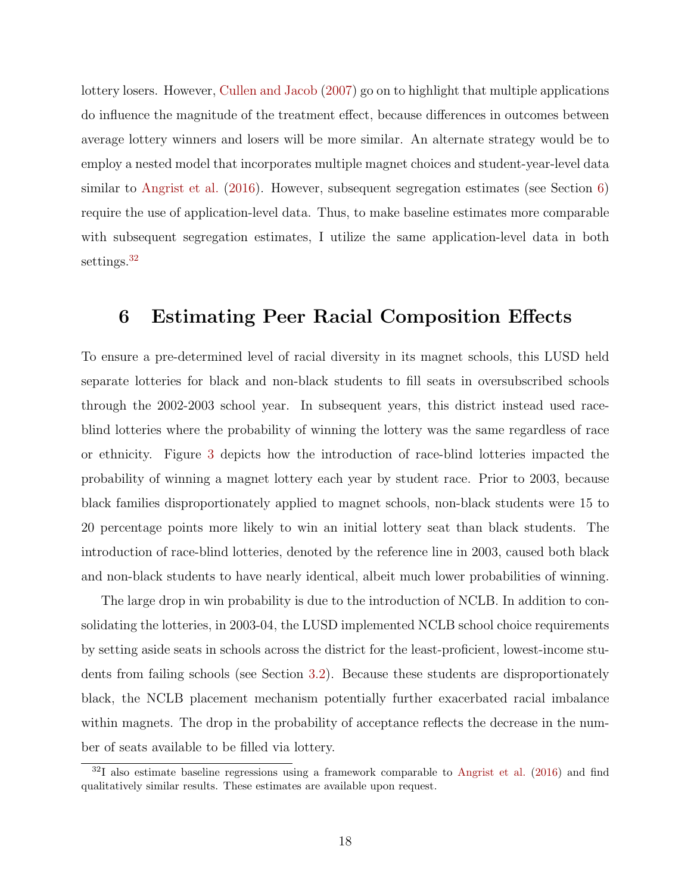lottery losers. However, [Cullen and Jacob](#page-35-8) [\(2007\)](#page-35-8) go on to highlight that multiple applications do influence the magnitude of the treatment effect, because differences in outcomes between average lottery winners and losers will be more similar. An alternate strategy would be to employ a nested model that incorporates multiple magnet choices and student-year-level data similar to [Angrist et al.](#page-34-1) [\(2016\)](#page-34-1). However, subsequent segregation estimates (see Section [6\)](#page-17-0) require the use of application-level data. Thus, to make baseline estimates more comparable with subsequent segregation estimates, I utilize the same application-level data in both settings.<sup>[32](#page-17-1)</sup>

## <span id="page-17-0"></span>6 Estimating Peer Racial Composition Effects

To ensure a pre-determined level of racial diversity in its magnet schools, this LUSD held separate lotteries for black and non-black students to fill seats in oversubscribed schools through the 2002-2003 school year. In subsequent years, this district instead used raceblind lotteries where the probability of winning the lottery was the same regardless of race or ethnicity. Figure [3](#page-40-0) depicts how the introduction of race-blind lotteries impacted the probability of winning a magnet lottery each year by student race. Prior to 2003, because black families disproportionately applied to magnet schools, non-black students were 15 to 20 percentage points more likely to win an initial lottery seat than black students. The introduction of race-blind lotteries, denoted by the reference line in 2003, caused both black and non-black students to have nearly identical, albeit much lower probabilities of winning.

The large drop in win probability is due to the introduction of NCLB. In addition to consolidating the lotteries, in 2003-04, the LUSD implemented NCLB school choice requirements by setting aside seats in schools across the district for the least-proficient, lowest-income students from failing schools (see Section [3.2\)](#page-11-2). Because these students are disproportionately black, the NCLB placement mechanism potentially further exacerbated racial imbalance within magnets. The drop in the probability of acceptance reflects the decrease in the number of seats available to be filled via lottery.

<span id="page-17-1"></span><sup>32</sup>I also estimate baseline regressions using a framework comparable to [Angrist et al.](#page-34-1) [\(2016\)](#page-34-1) and find qualitatively similar results. These estimates are available upon request.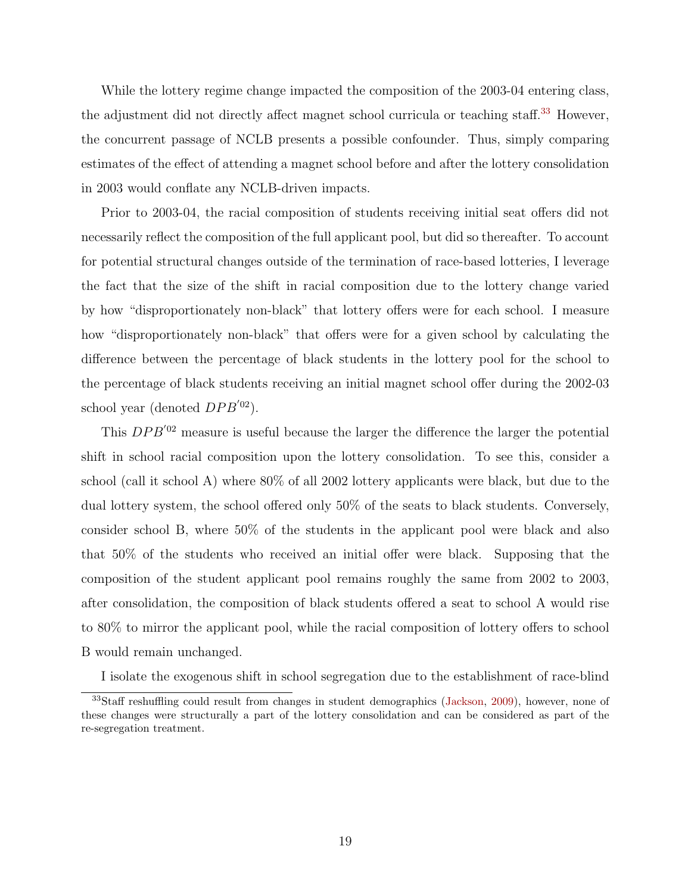While the lottery regime change impacted the composition of the 2003-04 entering class, the adjustment did not directly affect magnet school curricula or teaching staff.<sup>[33](#page-18-0)</sup> However, the concurrent passage of NCLB presents a possible confounder. Thus, simply comparing estimates of the effect of attending a magnet school before and after the lottery consolidation in 2003 would conflate any NCLB-driven impacts.

Prior to 2003-04, the racial composition of students receiving initial seat offers did not necessarily reflect the composition of the full applicant pool, but did so thereafter. To account for potential structural changes outside of the termination of race-based lotteries, I leverage the fact that the size of the shift in racial composition due to the lottery change varied by how "disproportionately non-black" that lottery offers were for each school. I measure how "disproportionately non-black" that offers were for a given school by calculating the difference between the percentage of black students in the lottery pool for the school to the percentage of black students receiving an initial magnet school offer during the 2002-03 school year (denoted  $DPB^{'02}$ ).

This  $DPB<sup>02</sup>$  measure is useful because the larger the difference the larger the potential shift in school racial composition upon the lottery consolidation. To see this, consider a school (call it school A) where 80% of all 2002 lottery applicants were black, but due to the dual lottery system, the school offered only 50% of the seats to black students. Conversely, consider school B, where 50% of the students in the applicant pool were black and also that 50% of the students who received an initial offer were black. Supposing that the composition of the student applicant pool remains roughly the same from 2002 to 2003, after consolidation, the composition of black students offered a seat to school A would rise to 80% to mirror the applicant pool, while the racial composition of lottery offers to school B would remain unchanged.

<span id="page-18-0"></span>I isolate the exogenous shift in school segregation due to the establishment of race-blind

<sup>&</sup>lt;sup>33</sup>Staff reshuffling could result from changes in student demographics [\(Jackson,](#page-36-5) [2009\)](#page-36-5), however, none of these changes were structurally a part of the lottery consolidation and can be considered as part of the re-segregation treatment.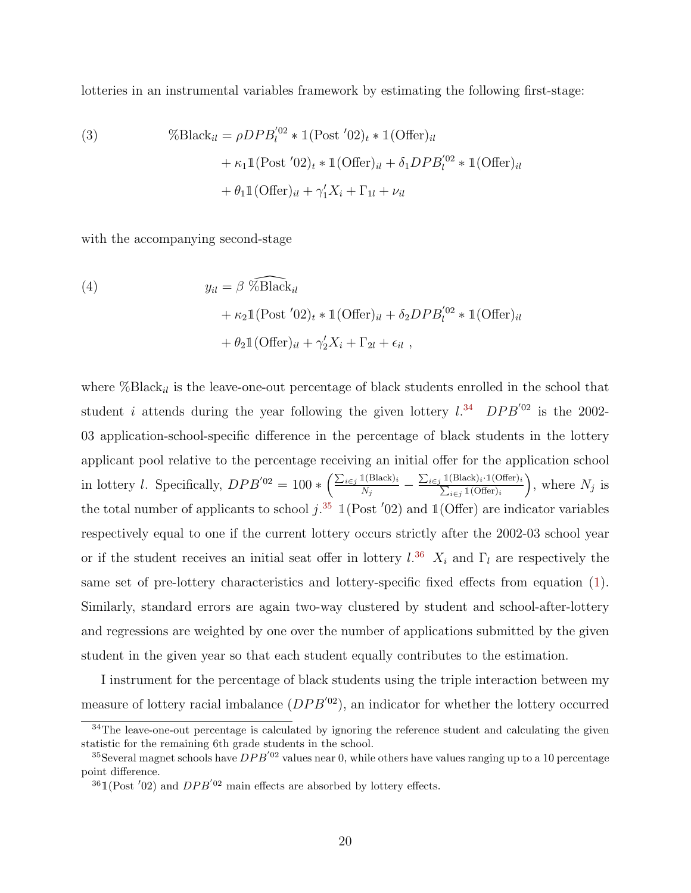lotteries in an instrumental variables framework by estimating the following first-stage:

<span id="page-19-3"></span>(3) 
$$
\% \text{Black}_{il} = \rho D P B_{l}^{'02} * \mathbb{1} (\text{Post '02})_{t} * \mathbb{1} (\text{Offer})_{il}
$$

$$
+ \kappa_{1} \mathbb{1} (\text{Post '02})_{t} * \mathbb{1} (\text{Offer})_{il} + \delta_{1} D P B_{l}^{'02} * \mathbb{1} (\text{Offer})_{il}
$$

$$
+ \theta_{1} \mathbb{1} (\text{Offer})_{il} + \gamma_{1}^{\prime} X_{i} + \Gamma_{1l} + \nu_{il}
$$

with the accompanying second-stage

<span id="page-19-4"></span>(4)  
\n
$$
y_{il} = \beta \widehat{\% \text{Black}_{il}}
$$
\n
$$
+ \kappa_2 \mathbb{1} (\text{Post '02})_t * \mathbb{1} (\text{Offer})_{il} + \delta_2 D P B_l^{'02} * \mathbb{1} (\text{Offer})_{il}
$$
\n
$$
+ \theta_2 \mathbb{1} (\text{Offer})_{il} + \gamma_2' X_i + \Gamma_{2l} + \epsilon_{il} ,
$$

where  $\% Black_{il}$  is the leave-one-out percentage of black students enrolled in the school that student *i* attends during the year following the given lottery  $l^{34}$  $l^{34}$  $l^{34}$  DPB<sup>'02</sup> is the 2002-03 application-school-specific difference in the percentage of black students in the lottery applicant pool relative to the percentage receiving an initial offer for the application school in lottery *l*. Specifically,  $DPB'^{02} = 100 * \left(\frac{\sum_{i \in j} 1(\text{Black})_i}{N}\right)$  $\frac{\mathbb{1}(\text{Black})_i}{N_j} - \frac{\sum_{i\in j}\mathbb{1}}{\sum_{i\in j} \mathbb{1}}$  $1(\text{Black})_i \cdot 1(\text{Offer})_i$  $\frac{i\in j}{i}$  1(Offer)<sub>i</sub> ), where  $N_j$  is the total number of applicants to school  $j$ .<sup>[35](#page-19-1)</sup>  $\mathbb{1}(\text{Post } '02)$  and  $\mathbb{1}(\text{Offer})$  are indicator variables respectively equal to one if the current lottery occurs strictly after the 2002-03 school year or if the student receives an initial seat offer in lottery  $l^{36}$  $l^{36}$  $l^{36}$   $X_i$  and  $\Gamma_l$  are respectively the same set of pre-lottery characteristics and lottery-specific fixed effects from equation [\(1\)](#page-14-3). Similarly, standard errors are again two-way clustered by student and school-after-lottery and regressions are weighted by one over the number of applications submitted by the given student in the given year so that each student equally contributes to the estimation.

I instrument for the percentage of black students using the triple interaction between my measure of lottery racial imbalance  $(DPB'^{02})$ , an indicator for whether the lottery occurred

<span id="page-19-0"></span><sup>&</sup>lt;sup>34</sup>The leave-one-out percentage is calculated by ignoring the reference student and calculating the given statistic for the remaining 6th grade students in the school.

<span id="page-19-1"></span><sup>&</sup>lt;sup>35</sup>Several magnet schools have  $DPB'$ <sup>02</sup> values near 0, while others have values ranging up to a 10 percentage point difference.

<span id="page-19-2"></span> $^{36}$  1(Post '02) and  $DPB'$ <sup>02</sup> main effects are absorbed by lottery effects.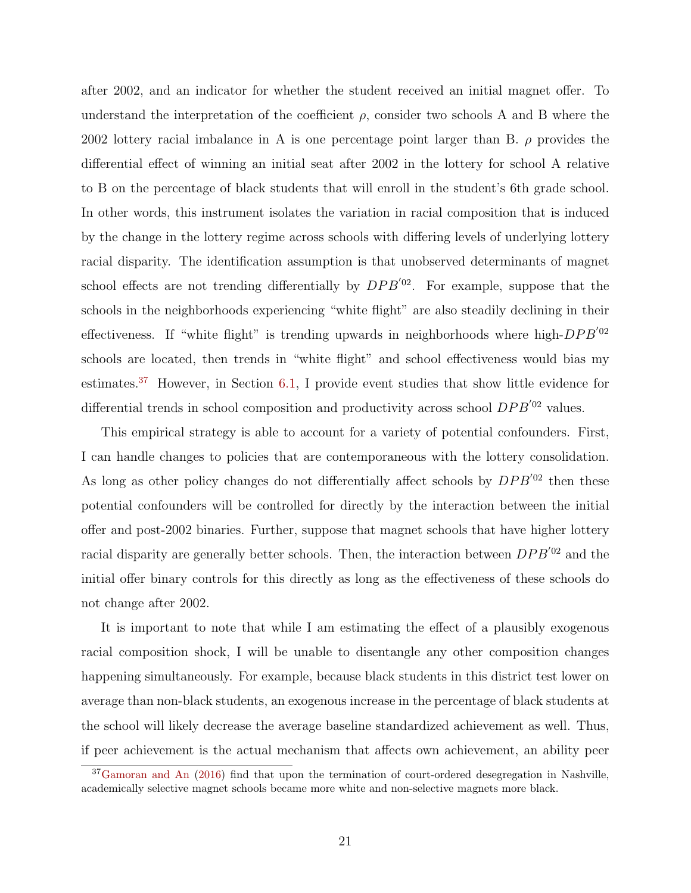after 2002, and an indicator for whether the student received an initial magnet offer. To understand the interpretation of the coefficient  $\rho$ , consider two schools A and B where the 2002 lottery racial imbalance in A is one percentage point larger than B.  $\rho$  provides the differential effect of winning an initial seat after 2002 in the lottery for school A relative to B on the percentage of black students that will enroll in the student's 6th grade school. In other words, this instrument isolates the variation in racial composition that is induced by the change in the lottery regime across schools with differing levels of underlying lottery racial disparity. The identification assumption is that unobserved determinants of magnet school effects are not trending differentially by  $DPB'^{02}$ . For example, suppose that the schools in the neighborhoods experiencing "white flight" are also steadily declining in their effectiveness. If "white flight" is trending upwards in neighborhoods where high- $DPB^{'02}$ schools are located, then trends in "white flight" and school effectiveness would bias my estimates.[37](#page-20-0) However, in Section [6.1,](#page-21-0) I provide event studies that show little evidence for differential trends in school composition and productivity across school  $DPB<sup>02</sup>$  values.

This empirical strategy is able to account for a variety of potential confounders. First, I can handle changes to policies that are contemporaneous with the lottery consolidation. As long as other policy changes do not differentially affect schools by  $DPB'^{02}$  then these potential confounders will be controlled for directly by the interaction between the initial offer and post-2002 binaries. Further, suppose that magnet schools that have higher lottery racial disparity are generally better schools. Then, the interaction between  $DPB<sup>02</sup>$  and the initial offer binary controls for this directly as long as the effectiveness of these schools do not change after 2002.

It is important to note that while I am estimating the effect of a plausibly exogenous racial composition shock, I will be unable to disentangle any other composition changes happening simultaneously. For example, because black students in this district test lower on average than non-black students, an exogenous increase in the percentage of black students at the school will likely decrease the average baseline standardized achievement as well. Thus, if peer achievement is the actual mechanism that affects own achievement, an ability peer

<span id="page-20-0"></span><sup>&</sup>lt;sup>37</sup>[Gamoran and An](#page-35-3) [\(2016\)](#page-35-3) find that upon the termination of court-ordered desegregation in Nashville, academically selective magnet schools became more white and non-selective magnets more black.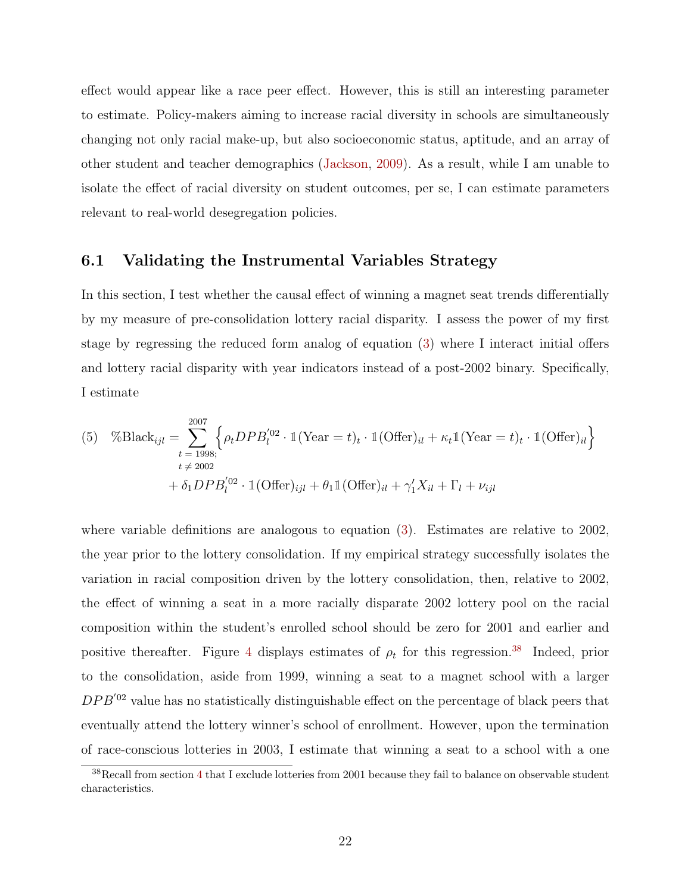effect would appear like a race peer effect. However, this is still an interesting parameter to estimate. Policy-makers aiming to increase racial diversity in schools are simultaneously changing not only racial make-up, but also socioeconomic status, aptitude, and an array of other student and teacher demographics [\(Jackson,](#page-36-5) [2009\)](#page-36-5). As a result, while I am unable to isolate the effect of racial diversity on student outcomes, per se, I can estimate parameters relevant to real-world desegregation policies.

#### <span id="page-21-0"></span>6.1 Validating the Instrumental Variables Strategy

In this section, I test whether the causal effect of winning a magnet seat trends differentially by my measure of pre-consolidation lottery racial disparity. I assess the power of my first stage by regressing the reduced form analog of equation [\(3\)](#page-19-3) where I interact initial offers and lottery racial disparity with year indicators instead of a post-2002 binary. Specifically, I estimate

<span id="page-21-2"></span>(5) 
$$
\% \text{Black}_{ijl} = \sum_{t=1998;}^{2007} \left\{ \rho_t DPB_l^{'02} \cdot \mathbb{1}(\text{Year} = t)_t \cdot \mathbb{1}(\text{offer})_{il} + \kappa_t \mathbb{1}(\text{Year} = t)_t \cdot \mathbb{1}(\text{offer})_{il} \right\} + \delta_1 DPB_l^{'02} \cdot \mathbb{1}(\text{offer})_{ijl} + \theta_1 \mathbb{1}(\text{offer})_{il} + \gamma_1' X_{il} + \Gamma_l + \nu_{ijl}
$$

where variable definitions are analogous to equation [\(3\)](#page-19-3). Estimates are relative to 2002, the year prior to the lottery consolidation. If my empirical strategy successfully isolates the variation in racial composition driven by the lottery consolidation, then, relative to 2002, the effect of winning a seat in a more racially disparate 2002 lottery pool on the racial composition within the student's enrolled school should be zero for 2001 and earlier and positive thereafter. Figure [4](#page-41-0) displays estimates of  $\rho_t$  for this regression.<sup>[38](#page-21-1)</sup> Indeed, prior to the consolidation, aside from 1999, winning a seat to a magnet school with a larger  $DPB<sup>'02</sup>$  value has no statistically distinguishable effect on the percentage of black peers that eventually attend the lottery winner's school of enrollment. However, upon the termination of race-conscious lotteries in 2003, I estimate that winning a seat to a school with a one

<span id="page-21-1"></span><sup>&</sup>lt;sup>38</sup>Recall from section [4](#page-12-3) that I exclude lotteries from 2001 because they fail to balance on observable student characteristics.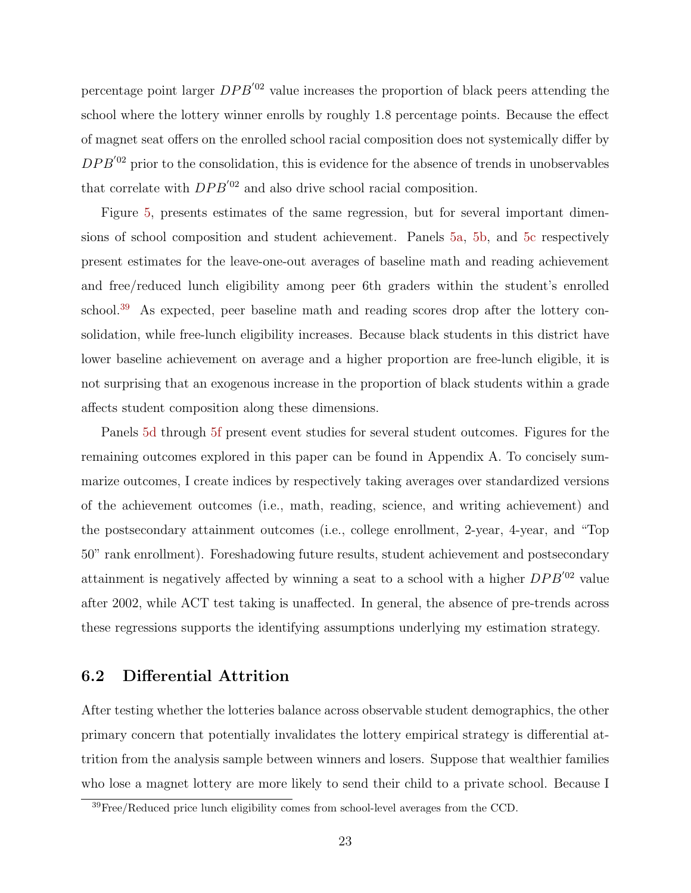percentage point larger  $DPB<sup>'02</sup>$  value increases the proportion of black peers attending the school where the lottery winner enrolls by roughly 1.8 percentage points. Because the effect of magnet seat offers on the enrolled school racial composition does not systemically differ by  $DPB<sup>'02</sup>$  prior to the consolidation, this is evidence for the absence of trends in unobservables that correlate with  $DPB^{'02}$  and also drive school racial composition.

Figure [5,](#page-42-0) presents estimates of the same regression, but for several important dimensions of school composition and student achievement. Panels [5a,](#page-42-0) [5b,](#page-42-0) and [5c](#page-42-0) respectively present estimates for the leave-one-out averages of baseline math and reading achievement and free/reduced lunch eligibility among peer 6th graders within the student's enrolled school.<sup>[39](#page-22-0)</sup> As expected, peer baseline math and reading scores drop after the lottery consolidation, while free-lunch eligibility increases. Because black students in this district have lower baseline achievement on average and a higher proportion are free-lunch eligible, it is not surprising that an exogenous increase in the proportion of black students within a grade affects student composition along these dimensions.

Panels [5d](#page-42-0) through [5f](#page-42-0) present event studies for several student outcomes. Figures for the remaining outcomes explored in this paper can be found in Appendix A. To concisely summarize outcomes, I create indices by respectively taking averages over standardized versions of the achievement outcomes (i.e., math, reading, science, and writing achievement) and the postsecondary attainment outcomes (i.e., college enrollment, 2-year, 4-year, and "Top 50" rank enrollment). Foreshadowing future results, student achievement and postsecondary attainment is negatively affected by winning a seat to a school with a higher  $DPB<sup>02</sup>$  value after 2002, while ACT test taking is unaffected. In general, the absence of pre-trends across these regressions supports the identifying assumptions underlying my estimation strategy.

#### 6.2 Differential Attrition

After testing whether the lotteries balance across observable student demographics, the other primary concern that potentially invalidates the lottery empirical strategy is differential attrition from the analysis sample between winners and losers. Suppose that wealthier families who lose a magnet lottery are more likely to send their child to a private school. Because I

<span id="page-22-0"></span><sup>&</sup>lt;sup>39</sup>Free/Reduced price lunch eligibility comes from school-level averages from the CCD.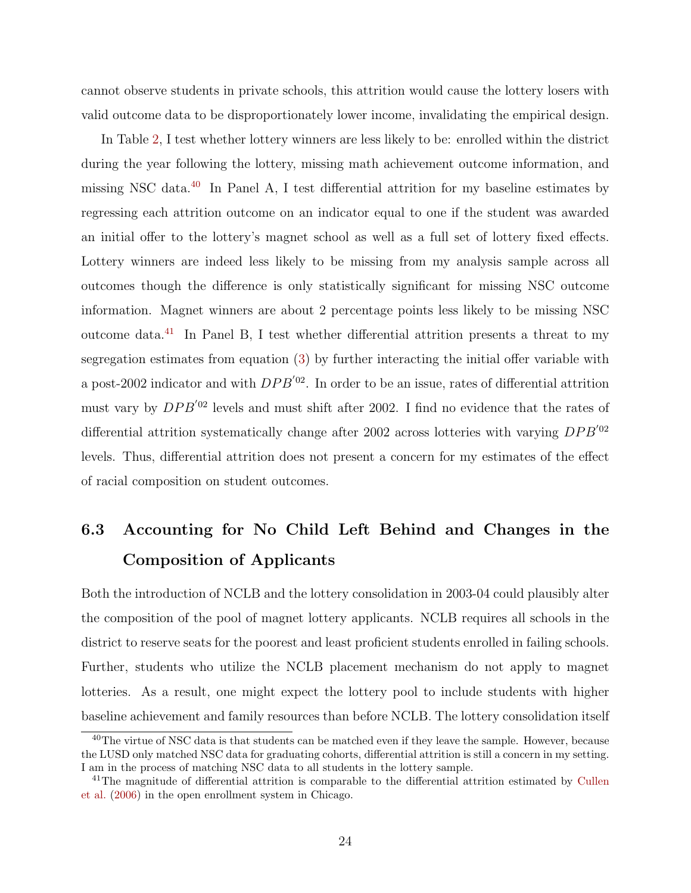cannot observe students in private schools, this attrition would cause the lottery losers with valid outcome data to be disproportionately lower income, invalidating the empirical design.

In Table [2,](#page-44-0) I test whether lottery winners are less likely to be: enrolled within the district during the year following the lottery, missing math achievement outcome information, and missing NSC data.<sup>[40](#page-23-1)</sup> In Panel A, I test differential attrition for my baseline estimates by regressing each attrition outcome on an indicator equal to one if the student was awarded an initial offer to the lottery's magnet school as well as a full set of lottery fixed effects. Lottery winners are indeed less likely to be missing from my analysis sample across all outcomes though the difference is only statistically significant for missing NSC outcome information. Magnet winners are about 2 percentage points less likely to be missing NSC outcome data.[41](#page-23-2) In Panel B, I test whether differential attrition presents a threat to my segregation estimates from equation [\(3\)](#page-19-3) by further interacting the initial offer variable with a post-2002 indicator and with  $DPB<sup>'02</sup>$ . In order to be an issue, rates of differential attrition must vary by  $DPB^{'02}$  levels and must shift after 2002. I find no evidence that the rates of differential attrition systematically change after 2002 across lotteries with varying  $DPB^{'02}$ levels. Thus, differential attrition does not present a concern for my estimates of the effect of racial composition on student outcomes.

## <span id="page-23-0"></span>6.3 Accounting for No Child Left Behind and Changes in the Composition of Applicants

Both the introduction of NCLB and the lottery consolidation in 2003-04 could plausibly alter the composition of the pool of magnet lottery applicants. NCLB requires all schools in the district to reserve seats for the poorest and least proficient students enrolled in failing schools. Further, students who utilize the NCLB placement mechanism do not apply to magnet lotteries. As a result, one might expect the lottery pool to include students with higher baseline achievement and family resources than before NCLB. The lottery consolidation itself

<span id="page-23-1"></span><sup>&</sup>lt;sup>40</sup>The virtue of NSC data is that students can be matched even if they leave the sample. However, because the LUSD only matched NSC data for graduating cohorts, differential attrition is still a concern in my setting. I am in the process of matching NSC data to all students in the lottery sample.

<span id="page-23-2"></span><sup>&</sup>lt;sup>41</sup>The magnitude of differential attrition is comparable to the differential attrition estimated by [Cullen](#page-35-9) [et al.](#page-35-9) [\(2006\)](#page-35-9) in the open enrollment system in Chicago.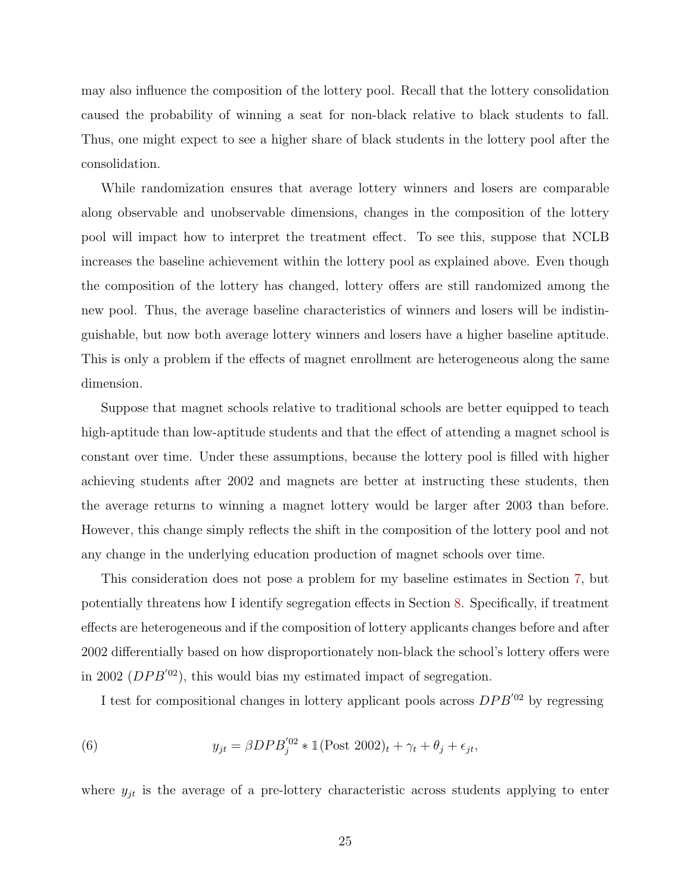may also influence the composition of the lottery pool. Recall that the lottery consolidation caused the probability of winning a seat for non-black relative to black students to fall. Thus, one might expect to see a higher share of black students in the lottery pool after the consolidation.

While randomization ensures that average lottery winners and losers are comparable along observable and unobservable dimensions, changes in the composition of the lottery pool will impact how to interpret the treatment effect. To see this, suppose that NCLB increases the baseline achievement within the lottery pool as explained above. Even though the composition of the lottery has changed, lottery offers are still randomized among the new pool. Thus, the average baseline characteristics of winners and losers will be indistinguishable, but now both average lottery winners and losers have a higher baseline aptitude. This is only a problem if the effects of magnet enrollment are heterogeneous along the same dimension.

Suppose that magnet schools relative to traditional schools are better equipped to teach high-aptitude than low-aptitude students and that the effect of attending a magnet school is constant over time. Under these assumptions, because the lottery pool is filled with higher achieving students after 2002 and magnets are better at instructing these students, then the average returns to winning a magnet lottery would be larger after 2003 than before. However, this change simply reflects the shift in the composition of the lottery pool and not any change in the underlying education production of magnet schools over time.

This consideration does not pose a problem for my baseline estimates in Section [7,](#page-26-0) but potentially threatens how I identify segregation effects in Section [8.](#page-30-0) Specifically, if treatment effects are heterogeneous and if the composition of lottery applicants changes before and after 2002 differentially based on how disproportionately non-black the school's lottery offers were in 2002 ( $DPB^{'02}$ ), this would bias my estimated impact of segregation.

<span id="page-24-0"></span>I test for compositional changes in lottery applicant pools across  $DPB'^{02}$  by regressing

(6) 
$$
y_{jt} = \beta DPB_j^{'02} * \mathbb{1}(\text{Post } 2002)_t + \gamma_t + \theta_j + \epsilon_{jt},
$$

where  $y_{it}$  is the average of a pre-lottery characteristic across students applying to enter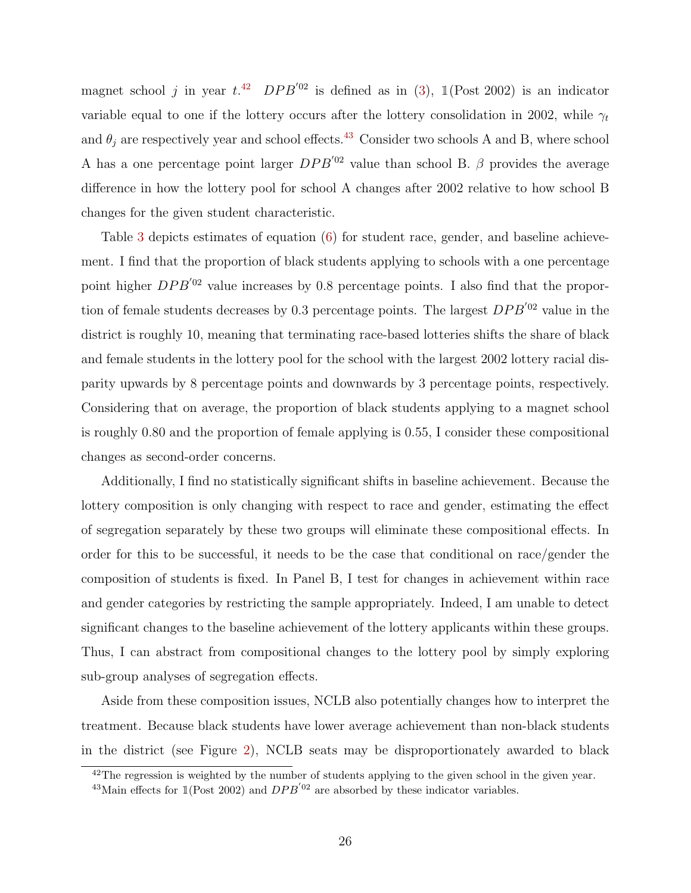magnet school j in year  $t^{42}$  $t^{42}$  $t^{42}$  DPB<sup>'02</sup> is defined as in [\(3\)](#page-19-3), 1(Post 2002) is an indicator variable equal to one if the lottery occurs after the lottery consolidation in 2002, while  $\gamma_t$ and  $\theta_i$  are respectively year and school effects.<sup>[43](#page-25-1)</sup> Consider two schools A and B, where school A has a one percentage point larger  $DPB<sup>02</sup>$  value than school B.  $\beta$  provides the average difference in how the lottery pool for school A changes after 2002 relative to how school B changes for the given student characteristic.

Table [3](#page-45-0) depicts estimates of equation [\(6\)](#page-24-0) for student race, gender, and baseline achievement. I find that the proportion of black students applying to schools with a one percentage point higher  $DPB<sup>'02</sup>$  value increases by 0.8 percentage points. I also find that the proportion of female students decreases by 0.3 percentage points. The largest  $DPB<sup>02</sup>$  value in the district is roughly 10, meaning that terminating race-based lotteries shifts the share of black and female students in the lottery pool for the school with the largest 2002 lottery racial disparity upwards by 8 percentage points and downwards by 3 percentage points, respectively. Considering that on average, the proportion of black students applying to a magnet school is roughly 0.80 and the proportion of female applying is 0.55, I consider these compositional changes as second-order concerns.

Additionally, I find no statistically significant shifts in baseline achievement. Because the lottery composition is only changing with respect to race and gender, estimating the effect of segregation separately by these two groups will eliminate these compositional effects. In order for this to be successful, it needs to be the case that conditional on race/gender the composition of students is fixed. In Panel B, I test for changes in achievement within race and gender categories by restricting the sample appropriately. Indeed, I am unable to detect significant changes to the baseline achievement of the lottery applicants within these groups. Thus, I can abstract from compositional changes to the lottery pool by simply exploring sub-group analyses of segregation effects.

Aside from these composition issues, NCLB also potentially changes how to interpret the treatment. Because black students have lower average achievement than non-black students in the district (see Figure [2\)](#page-39-0), NCLB seats may be disproportionately awarded to black

<span id="page-25-0"></span><sup>&</sup>lt;sup>42</sup>The regression is weighted by the number of students applying to the given school in the given year.

<span id="page-25-1"></span><sup>&</sup>lt;sup>43</sup>Main effects for  $\mathbb{1}(\text{Post } 2002)$  and  $DPB^{'02}$  are absorbed by these indicator variables.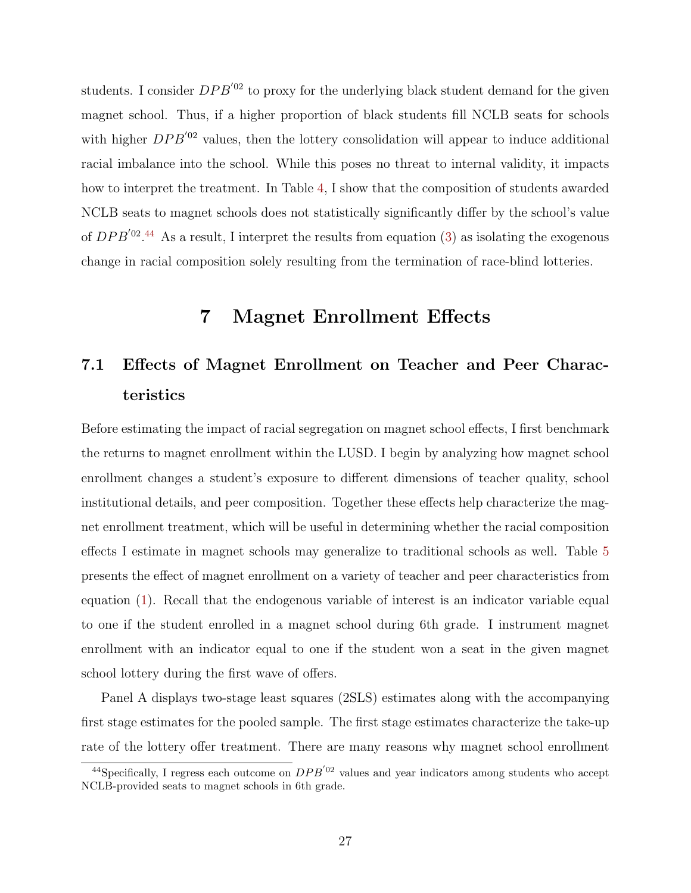students. I consider  $DPB<sup>'02</sup>$  to proxy for the underlying black student demand for the given magnet school. Thus, if a higher proportion of black students fill NCLB seats for schools with higher  $DPB<sup>'02</sup>$  values, then the lottery consolidation will appear to induce additional racial imbalance into the school. While this poses no threat to internal validity, it impacts how to interpret the treatment. In Table [4,](#page-46-0) I show that the composition of students awarded NCLB seats to magnet schools does not statistically significantly differ by the school's value of  $DPB^{'02}.44$  $DPB^{'02}.44$  As a result, I interpret the results from equation [\(3\)](#page-19-3) as isolating the exogenous change in racial composition solely resulting from the termination of race-blind lotteries.

## 7 Magnet Enrollment Effects

## <span id="page-26-0"></span>7.1 Effects of Magnet Enrollment on Teacher and Peer Characteristics

Before estimating the impact of racial segregation on magnet school effects, I first benchmark the returns to magnet enrollment within the LUSD. I begin by analyzing how magnet school enrollment changes a student's exposure to different dimensions of teacher quality, school institutional details, and peer composition. Together these effects help characterize the magnet enrollment treatment, which will be useful in determining whether the racial composition effects I estimate in magnet schools may generalize to traditional schools as well. Table [5](#page-47-0) presents the effect of magnet enrollment on a variety of teacher and peer characteristics from equation [\(1\)](#page-14-3). Recall that the endogenous variable of interest is an indicator variable equal to one if the student enrolled in a magnet school during 6th grade. I instrument magnet enrollment with an indicator equal to one if the student won a seat in the given magnet school lottery during the first wave of offers.

Panel A displays two-stage least squares (2SLS) estimates along with the accompanying first stage estimates for the pooled sample. The first stage estimates characterize the take-up rate of the lottery offer treatment. There are many reasons why magnet school enrollment

<span id="page-26-1"></span><sup>&</sup>lt;sup>44</sup>Specifically, I regress each outcome on  $DPB<sup>'02</sup>$  values and year indicators among students who accept NCLB-provided seats to magnet schools in 6th grade.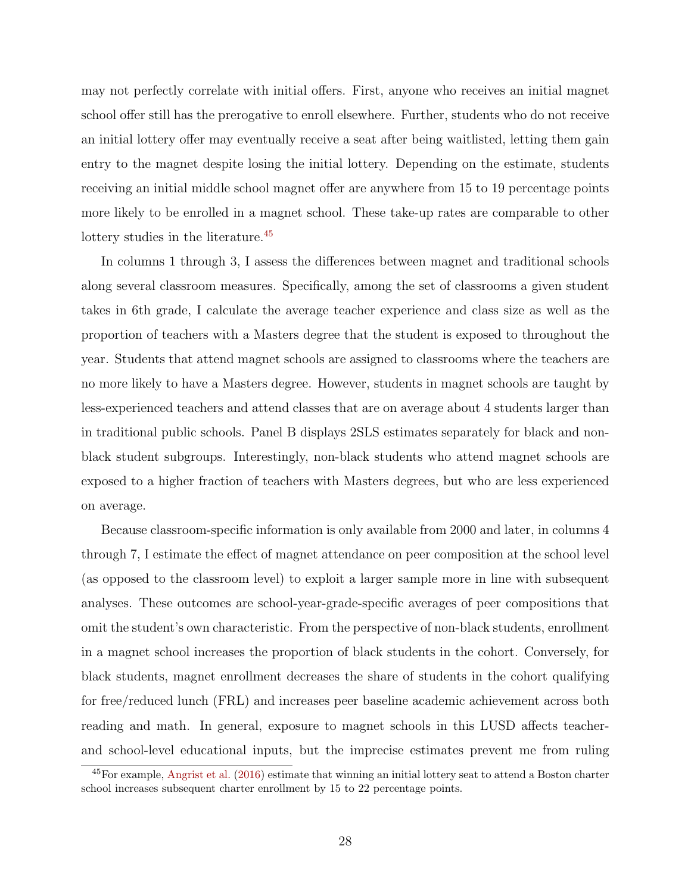may not perfectly correlate with initial offers. First, anyone who receives an initial magnet school offer still has the prerogative to enroll elsewhere. Further, students who do not receive an initial lottery offer may eventually receive a seat after being waitlisted, letting them gain entry to the magnet despite losing the initial lottery. Depending on the estimate, students receiving an initial middle school magnet offer are anywhere from 15 to 19 percentage points more likely to be enrolled in a magnet school. These take-up rates are comparable to other lottery studies in the literature.<sup>[45](#page-27-0)</sup>

In columns 1 through 3, I assess the differences between magnet and traditional schools along several classroom measures. Specifically, among the set of classrooms a given student takes in 6th grade, I calculate the average teacher experience and class size as well as the proportion of teachers with a Masters degree that the student is exposed to throughout the year. Students that attend magnet schools are assigned to classrooms where the teachers are no more likely to have a Masters degree. However, students in magnet schools are taught by less-experienced teachers and attend classes that are on average about 4 students larger than in traditional public schools. Panel B displays 2SLS estimates separately for black and nonblack student subgroups. Interestingly, non-black students who attend magnet schools are exposed to a higher fraction of teachers with Masters degrees, but who are less experienced on average.

Because classroom-specific information is only available from 2000 and later, in columns 4 through 7, I estimate the effect of magnet attendance on peer composition at the school level (as opposed to the classroom level) to exploit a larger sample more in line with subsequent analyses. These outcomes are school-year-grade-specific averages of peer compositions that omit the student's own characteristic. From the perspective of non-black students, enrollment in a magnet school increases the proportion of black students in the cohort. Conversely, for black students, magnet enrollment decreases the share of students in the cohort qualifying for free/reduced lunch (FRL) and increases peer baseline academic achievement across both reading and math. In general, exposure to magnet schools in this LUSD affects teacherand school-level educational inputs, but the imprecise estimates prevent me from ruling

<span id="page-27-0"></span><sup>45</sup>For example, [Angrist et al.](#page-34-1) [\(2016\)](#page-34-1) estimate that winning an initial lottery seat to attend a Boston charter school increases subsequent charter enrollment by 15 to 22 percentage points.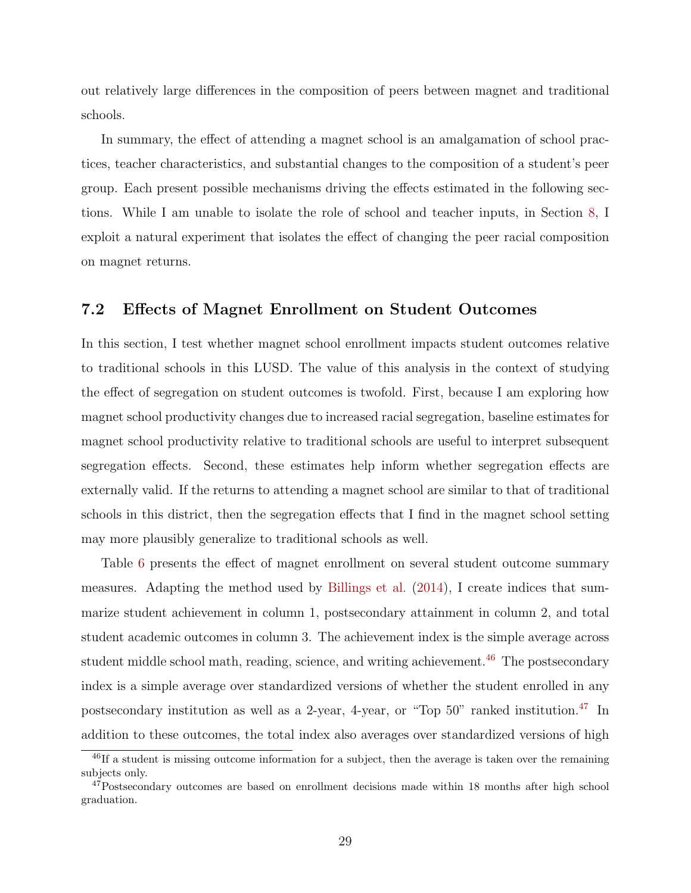out relatively large differences in the composition of peers between magnet and traditional schools.

In summary, the effect of attending a magnet school is an amalgamation of school practices, teacher characteristics, and substantial changes to the composition of a student's peer group. Each present possible mechanisms driving the effects estimated in the following sections. While I am unable to isolate the role of school and teacher inputs, in Section [8,](#page-30-0) I exploit a natural experiment that isolates the effect of changing the peer racial composition on magnet returns.

#### 7.2 Effects of Magnet Enrollment on Student Outcomes

In this section, I test whether magnet school enrollment impacts student outcomes relative to traditional schools in this LUSD. The value of this analysis in the context of studying the effect of segregation on student outcomes is twofold. First, because I am exploring how magnet school productivity changes due to increased racial segregation, baseline estimates for magnet school productivity relative to traditional schools are useful to interpret subsequent segregation effects. Second, these estimates help inform whether segregation effects are externally valid. If the returns to attending a magnet school are similar to that of traditional schools in this district, then the segregation effects that I find in the magnet school setting may more plausibly generalize to traditional schools as well.

Table [6](#page-48-0) presents the effect of magnet enrollment on several student outcome summary measures. Adapting the method used by [Billings et al.](#page-35-2) [\(2014\)](#page-35-2), I create indices that summarize student achievement in column 1, postsecondary attainment in column 2, and total student academic outcomes in column 3. The achievement index is the simple average across student middle school math, reading, science, and writing achievement.<sup>[46](#page-28-0)</sup> The postsecondary index is a simple average over standardized versions of whether the student enrolled in any postsecondary institution as well as a 2-year, 4-year, or "Top  $50$ " ranked institution.<sup>[47](#page-28-1)</sup> In addition to these outcomes, the total index also averages over standardized versions of high

<span id="page-28-0"></span><sup>&</sup>lt;sup>46</sup>If a student is missing outcome information for a subject, then the average is taken over the remaining subjects only.

<span id="page-28-1"></span> $47$ Postsecondary outcomes are based on enrollment decisions made within 18 months after high school graduation.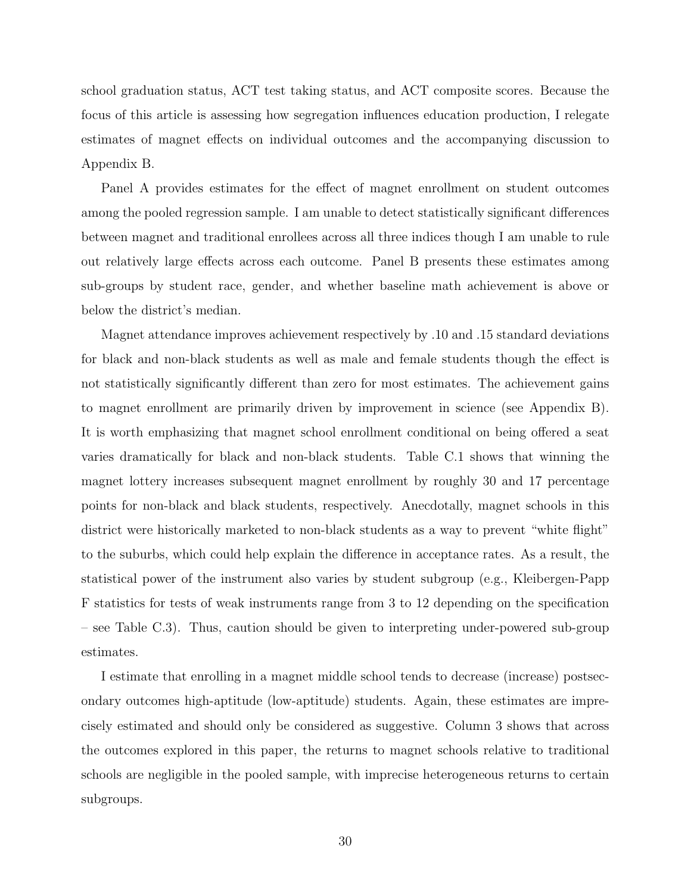school graduation status, ACT test taking status, and ACT composite scores. Because the focus of this article is assessing how segregation influences education production, I relegate estimates of magnet effects on individual outcomes and the accompanying discussion to Appendix B.

Panel A provides estimates for the effect of magnet enrollment on student outcomes among the pooled regression sample. I am unable to detect statistically significant differences between magnet and traditional enrollees across all three indices though I am unable to rule out relatively large effects across each outcome. Panel B presents these estimates among sub-groups by student race, gender, and whether baseline math achievement is above or below the district's median.

Magnet attendance improves achievement respectively by .10 and .15 standard deviations for black and non-black students as well as male and female students though the effect is not statistically significantly different than zero for most estimates. The achievement gains to magnet enrollment are primarily driven by improvement in science (see Appendix B). It is worth emphasizing that magnet school enrollment conditional on being offered a seat varies dramatically for black and non-black students. Table C.1 shows that winning the magnet lottery increases subsequent magnet enrollment by roughly 30 and 17 percentage points for non-black and black students, respectively. Anecdotally, magnet schools in this district were historically marketed to non-black students as a way to prevent "white flight" to the suburbs, which could help explain the difference in acceptance rates. As a result, the statistical power of the instrument also varies by student subgroup (e.g., Kleibergen-Papp F statistics for tests of weak instruments range from 3 to 12 depending on the specification – see Table C.3). Thus, caution should be given to interpreting under-powered sub-group estimates.

I estimate that enrolling in a magnet middle school tends to decrease (increase) postsecondary outcomes high-aptitude (low-aptitude) students. Again, these estimates are imprecisely estimated and should only be considered as suggestive. Column 3 shows that across the outcomes explored in this paper, the returns to magnet schools relative to traditional schools are negligible in the pooled sample, with imprecise heterogeneous returns to certain subgroups.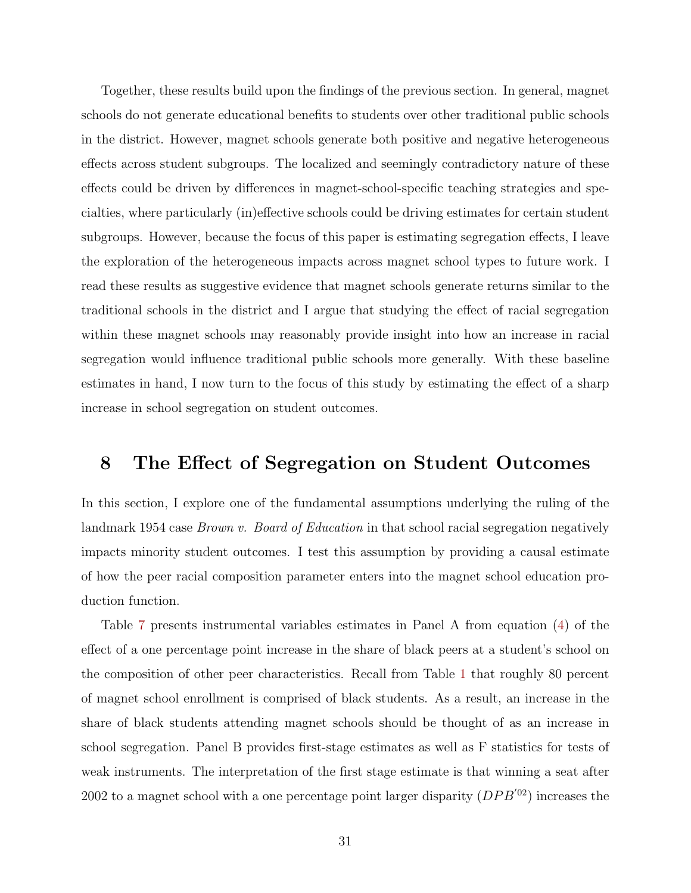Together, these results build upon the findings of the previous section. In general, magnet schools do not generate educational benefits to students over other traditional public schools in the district. However, magnet schools generate both positive and negative heterogeneous effects across student subgroups. The localized and seemingly contradictory nature of these effects could be driven by differences in magnet-school-specific teaching strategies and specialties, where particularly (in)effective schools could be driving estimates for certain student subgroups. However, because the focus of this paper is estimating segregation effects, I leave the exploration of the heterogeneous impacts across magnet school types to future work. I read these results as suggestive evidence that magnet schools generate returns similar to the traditional schools in the district and I argue that studying the effect of racial segregation within these magnet schools may reasonably provide insight into how an increase in racial segregation would influence traditional public schools more generally. With these baseline estimates in hand, I now turn to the focus of this study by estimating the effect of a sharp increase in school segregation on student outcomes.

## <span id="page-30-0"></span>8 The Effect of Segregation on Student Outcomes

In this section, I explore one of the fundamental assumptions underlying the ruling of the landmark 1954 case *Brown v. Board of Education* in that school racial segregation negatively impacts minority student outcomes. I test this assumption by providing a causal estimate of how the peer racial composition parameter enters into the magnet school education production function.

Table [7](#page-49-0) presents instrumental variables estimates in Panel A from equation [\(4\)](#page-19-4) of the effect of a one percentage point increase in the share of black peers at a student's school on the composition of other peer characteristics. Recall from Table [1](#page-43-0) that roughly 80 percent of magnet school enrollment is comprised of black students. As a result, an increase in the share of black students attending magnet schools should be thought of as an increase in school segregation. Panel B provides first-stage estimates as well as F statistics for tests of weak instruments. The interpretation of the first stage estimate is that winning a seat after 2002 to a magnet school with a one percentage point larger disparity  $(DPB'^{02})$  increases the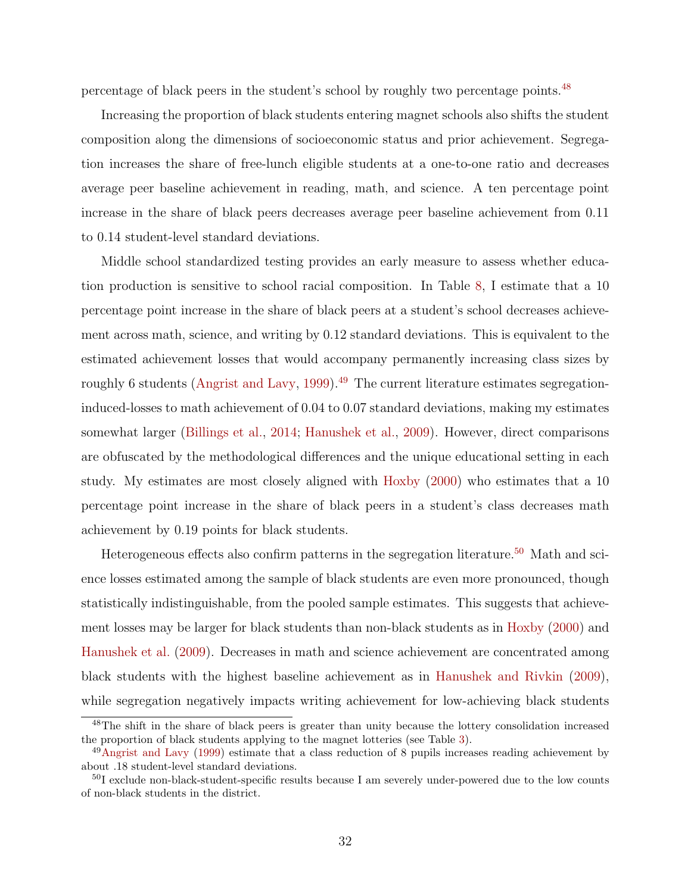percentage of black peers in the student's school by roughly two percentage points.<sup>[48](#page-31-0)</sup>

Increasing the proportion of black students entering magnet schools also shifts the student composition along the dimensions of socioeconomic status and prior achievement. Segregation increases the share of free-lunch eligible students at a one-to-one ratio and decreases average peer baseline achievement in reading, math, and science. A ten percentage point increase in the share of black peers decreases average peer baseline achievement from 0.11 to 0.14 student-level standard deviations.

Middle school standardized testing provides an early measure to assess whether education production is sensitive to school racial composition. In Table [8,](#page-50-0) I estimate that a 10 percentage point increase in the share of black peers at a student's school decreases achievement across math, science, and writing by 0.12 standard deviations. This is equivalent to the estimated achievement losses that would accompany permanently increasing class sizes by roughly 6 students [\(Angrist and Lavy,](#page-35-19) [1999\)](#page-35-19).<sup>[49](#page-31-1)</sup> The current literature estimates segregationinduced-losses to math achievement of 0.04 to 0.07 standard deviations, making my estimates somewhat larger [\(Billings et al.,](#page-35-2) [2014;](#page-35-2) [Hanushek et al.,](#page-36-9) [2009\)](#page-36-9). However, direct comparisons are obfuscated by the methodological differences and the unique educational setting in each study. My estimates are most closely aligned with [Hoxby](#page-36-10) [\(2000\)](#page-36-10) who estimates that a 10 percentage point increase in the share of black peers in a student's class decreases math achievement by 0.19 points for black students.

Heterogeneous effects also confirm patterns in the segregation literature.<sup>[50](#page-31-2)</sup> Math and science losses estimated among the sample of black students are even more pronounced, though statistically indistinguishable, from the pooled sample estimates. This suggests that achievement losses may be larger for black students than non-black students as in [Hoxby](#page-36-10) [\(2000\)](#page-36-10) and [Hanushek et al.](#page-36-9) [\(2009\)](#page-36-9). Decreases in math and science achievement are concentrated among black students with the highest baseline achievement as in [Hanushek and Rivkin](#page-36-11) [\(2009\)](#page-36-11), while segregation negatively impacts writing achievement for low-achieving black students

<span id="page-31-0"></span><sup>48</sup>The shift in the share of black peers is greater than unity because the lottery consolidation increased the proportion of black students applying to the magnet lotteries (see Table [3\)](#page-45-0).

<span id="page-31-1"></span><sup>49</sup>[Angrist and Lavy](#page-35-19) [\(1999\)](#page-35-19) estimate that a class reduction of 8 pupils increases reading achievement by about .18 student-level standard deviations.

<span id="page-31-2"></span><sup>&</sup>lt;sup>50</sup>I exclude non-black-student-specific results because I am severely under-powered due to the low counts of non-black students in the district.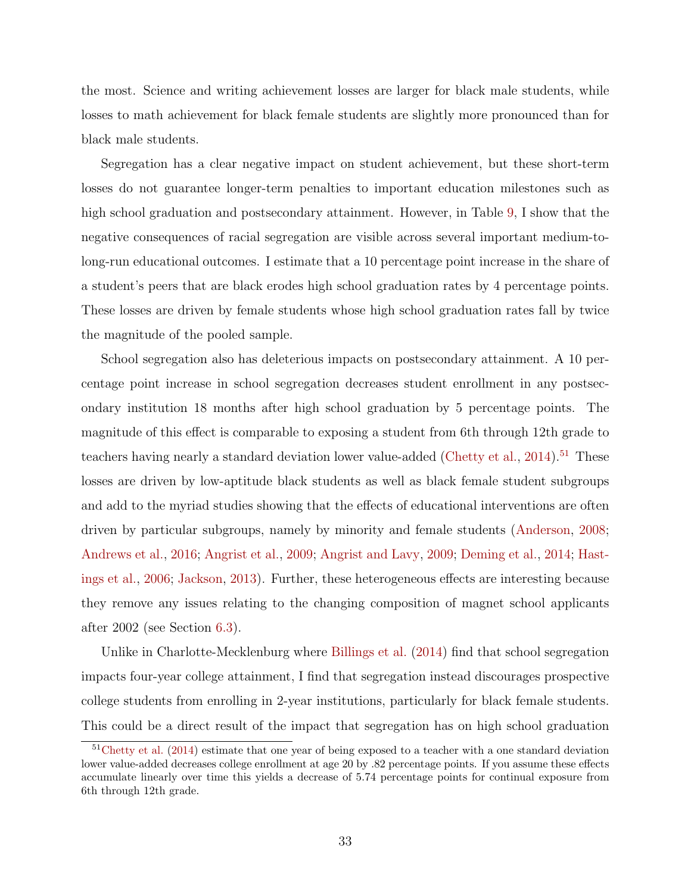the most. Science and writing achievement losses are larger for black male students, while losses to math achievement for black female students are slightly more pronounced than for black male students.

Segregation has a clear negative impact on student achievement, but these short-term losses do not guarantee longer-term penalties to important education milestones such as high school graduation and postsecondary attainment. However, in Table [9,](#page-51-0) I show that the negative consequences of racial segregation are visible across several important medium-tolong-run educational outcomes. I estimate that a 10 percentage point increase in the share of a student's peers that are black erodes high school graduation rates by 4 percentage points. These losses are driven by female students whose high school graduation rates fall by twice the magnitude of the pooled sample.

School segregation also has deleterious impacts on postsecondary attainment. A 10 percentage point increase in school segregation decreases student enrollment in any postsecondary institution 18 months after high school graduation by 5 percentage points. The magnitude of this effect is comparable to exposing a student from 6th through 12th grade to teachers having nearly a standard deviation lower value-added [\(Chetty et al.,](#page-35-20) [2014\)](#page-35-20).<sup>[51](#page-32-0)</sup> These losses are driven by low-aptitude black students as well as black female student subgroups and add to the myriad studies showing that the effects of educational interventions are often driven by particular subgroups, namely by minority and female students [\(Anderson,](#page-34-3) [2008;](#page-34-3) [Andrews et al.,](#page-34-4) [2016;](#page-34-4) [Angrist et al.,](#page-34-5) [2009;](#page-34-5) [Angrist and Lavy,](#page-35-21) [2009;](#page-35-21) [Deming et al.,](#page-35-15) [2014;](#page-35-15) [Hast](#page-36-16)[ings et al.,](#page-36-16) [2006;](#page-36-16) [Jackson,](#page-36-23) [2013\)](#page-36-23). Further, these heterogeneous effects are interesting because they remove any issues relating to the changing composition of magnet school applicants after 2002 (see Section [6.3\)](#page-23-0).

Unlike in Charlotte-Mecklenburg where [Billings et al.](#page-35-2) [\(2014\)](#page-35-2) find that school segregation impacts four-year college attainment, I find that segregation instead discourages prospective college students from enrolling in 2-year institutions, particularly for black female students. This could be a direct result of the impact that segregation has on high school graduation

<span id="page-32-0"></span><sup>&</sup>lt;sup>51</sup>[Chetty et al.](#page-35-20) [\(2014\)](#page-35-20) estimate that one year of being exposed to a teacher with a one standard deviation lower value-added decreases college enrollment at age 20 by .82 percentage points. If you assume these effects accumulate linearly over time this yields a decrease of 5.74 percentage points for continual exposure from 6th through 12th grade.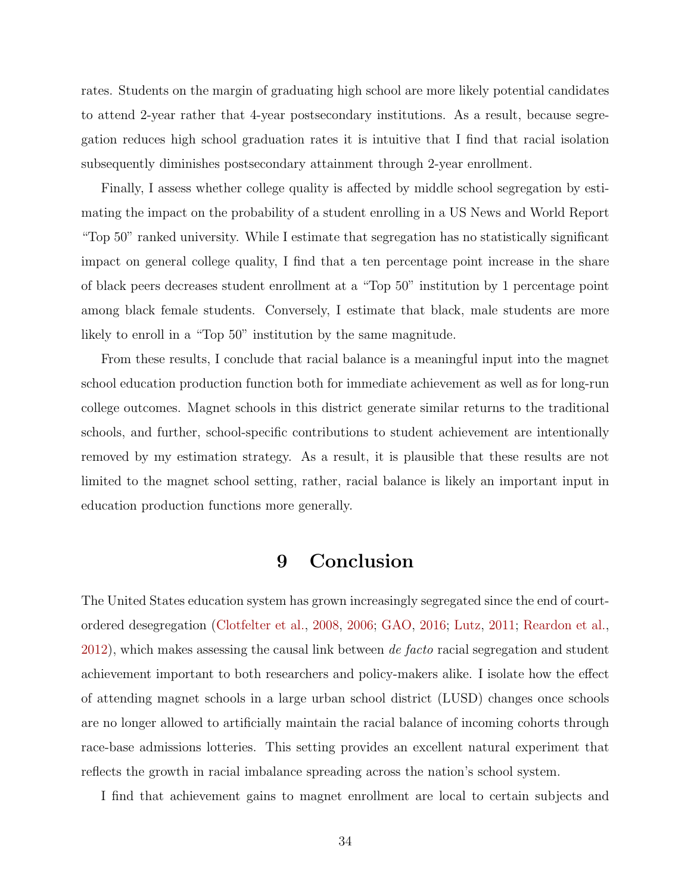rates. Students on the margin of graduating high school are more likely potential candidates to attend 2-year rather that 4-year postsecondary institutions. As a result, because segregation reduces high school graduation rates it is intuitive that I find that racial isolation subsequently diminishes postsecondary attainment through 2-year enrollment.

Finally, I assess whether college quality is affected by middle school segregation by estimating the impact on the probability of a student enrolling in a US News and World Report "Top 50" ranked university. While I estimate that segregation has no statistically significant impact on general college quality, I find that a ten percentage point increase in the share of black peers decreases student enrollment at a "Top 50" institution by 1 percentage point among black female students. Conversely, I estimate that black, male students are more likely to enroll in a "Top 50" institution by the same magnitude.

From these results, I conclude that racial balance is a meaningful input into the magnet school education production function both for immediate achievement as well as for long-run college outcomes. Magnet schools in this district generate similar returns to the traditional schools, and further, school-specific contributions to student achievement are intentionally removed by my estimation strategy. As a result, it is plausible that these results are not limited to the magnet school setting, rather, racial balance is likely an important input in education production functions more generally.

## 9 Conclusion

The United States education system has grown increasingly segregated since the end of courtordered desegregation [\(Clotfelter et al.,](#page-35-0) [2008,](#page-35-0) [2006;](#page-35-1) [GAO,](#page-36-0) [2016;](#page-36-0) [Lutz,](#page-36-1) [2011;](#page-36-1) [Reardon et al.,](#page-36-2) [2012\)](#page-36-2), which makes assessing the causal link between de facto racial segregation and student achievement important to both researchers and policy-makers alike. I isolate how the effect of attending magnet schools in a large urban school district (LUSD) changes once schools are no longer allowed to artificially maintain the racial balance of incoming cohorts through race-base admissions lotteries. This setting provides an excellent natural experiment that reflects the growth in racial imbalance spreading across the nation's school system.

I find that achievement gains to magnet enrollment are local to certain subjects and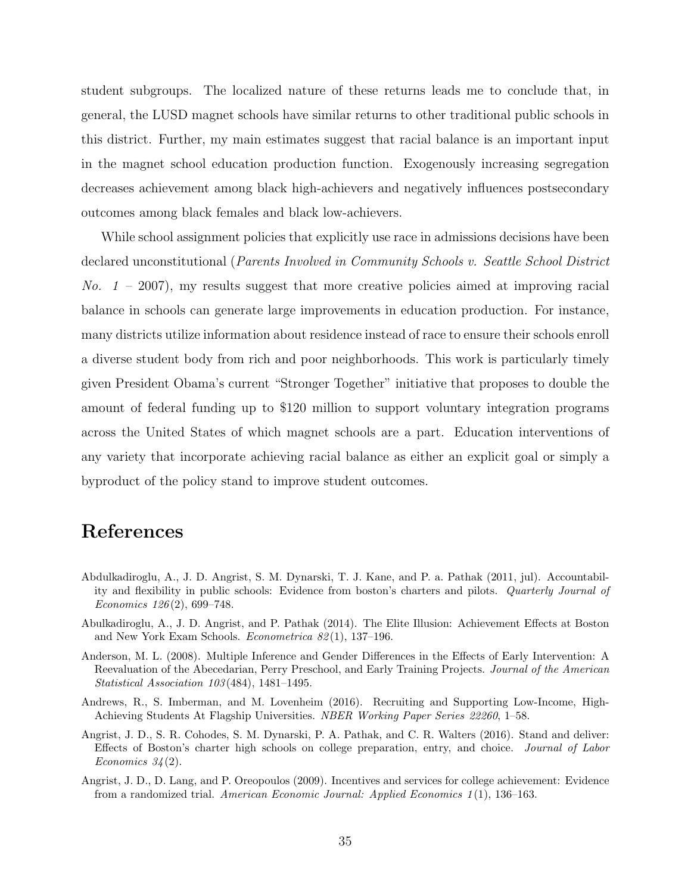student subgroups. The localized nature of these returns leads me to conclude that, in general, the LUSD magnet schools have similar returns to other traditional public schools in this district. Further, my main estimates suggest that racial balance is an important input in the magnet school education production function. Exogenously increasing segregation decreases achievement among black high-achievers and negatively influences postsecondary outcomes among black females and black low-achievers.

While school assignment policies that explicitly use race in admissions decisions have been declared unconstitutional (Parents Involved in Community Schools v. Seattle School District No.  $1 - 2007$ , my results suggest that more creative policies aimed at improving racial balance in schools can generate large improvements in education production. For instance, many districts utilize information about residence instead of race to ensure their schools enroll a diverse student body from rich and poor neighborhoods. This work is particularly timely given President Obama's current "Stronger Together" initiative that proposes to double the amount of federal funding up to \$120 million to support voluntary integration programs across the United States of which magnet schools are a part. Education interventions of any variety that incorporate achieving racial balance as either an explicit goal or simply a byproduct of the policy stand to improve student outcomes.

## References

- <span id="page-34-2"></span>Abdulkadiroglu, A., J. D. Angrist, S. M. Dynarski, T. J. Kane, and P. a. Pathak (2011, jul). Accountability and flexibility in public schools: Evidence from boston's charters and pilots. Quarterly Journal of Economics 126 (2), 699–748.
- <span id="page-34-0"></span>Abulkadiroglu, A., J. D. Angrist, and P. Pathak (2014). The Elite Illusion: Achievement Effects at Boston and New York Exam Schools. Econometrica 82 (1), 137–196.
- <span id="page-34-3"></span>Anderson, M. L. (2008). Multiple Inference and Gender Differences in the Effects of Early Intervention: A Reevaluation of the Abecedarian, Perry Preschool, and Early Training Projects. Journal of the American Statistical Association 103 (484), 1481–1495.
- <span id="page-34-4"></span>Andrews, R., S. Imberman, and M. Lovenheim (2016). Recruiting and Supporting Low-Income, High-Achieving Students At Flagship Universities. NBER Working Paper Series 22260, 1–58.
- <span id="page-34-1"></span>Angrist, J. D., S. R. Cohodes, S. M. Dynarski, P. A. Pathak, and C. R. Walters (2016). Stand and deliver: Effects of Boston's charter high schools on college preparation, entry, and choice. Journal of Labor Economics  $34(2)$ .
- <span id="page-34-5"></span>Angrist, J. D., D. Lang, and P. Oreopoulos (2009). Incentives and services for college achievement: Evidence from a randomized trial. American Economic Journal: Applied Economics 1 (1), 136–163.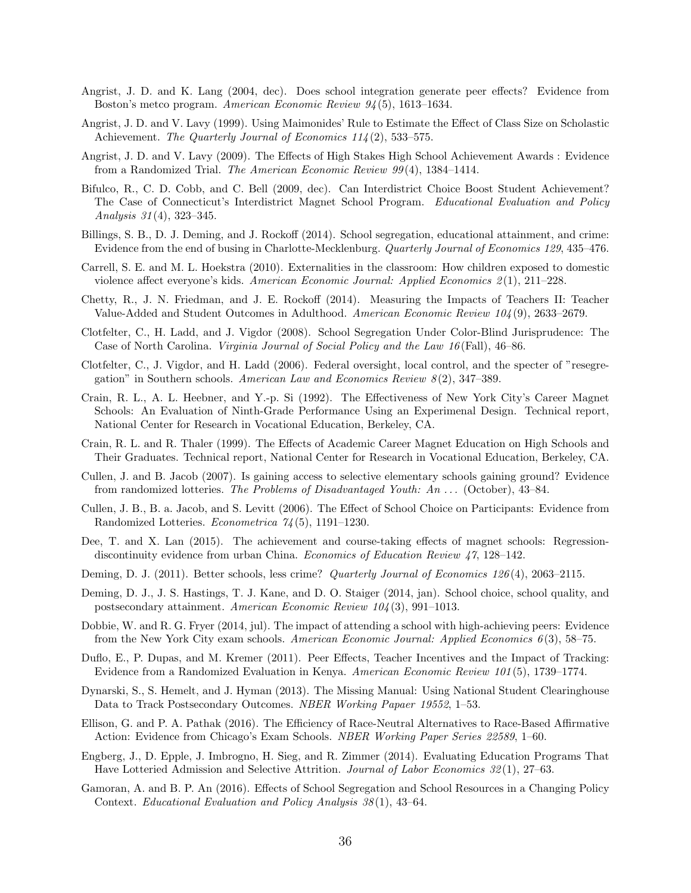- <span id="page-35-4"></span>Angrist, J. D. and K. Lang (2004, dec). Does school integration generate peer effects? Evidence from Boston's metco program. American Economic Review 94 (5), 1613–1634.
- <span id="page-35-19"></span>Angrist, J. D. and V. Lavy (1999). Using Maimonides' Rule to Estimate the Effect of Class Size on Scholastic Achievement. The Quarterly Journal of Economics 114(2), 533-575.
- <span id="page-35-21"></span>Angrist, J. D. and V. Lavy (2009). The Effects of High Stakes High School Achievement Awards : Evidence from a Randomized Trial. The American Economic Review 99 (4), 1384–1414.
- <span id="page-35-12"></span>Bifulco, R., C. D. Cobb, and C. Bell (2009, dec). Can Interdistrict Choice Boost Student Achievement? The Case of Connecticut's Interdistrict Magnet School Program. Educational Evaluation and Policy Analysis 31 (4), 323–345.
- <span id="page-35-2"></span>Billings, S. B., D. J. Deming, and J. Rockoff (2014). School segregation, educational attainment, and crime: Evidence from the end of busing in Charlotte-Mecklenburg. Quarterly Journal of Economics 129, 435–476.
- <span id="page-35-5"></span>Carrell, S. E. and M. L. Hoekstra (2010). Externalities in the classroom: How children exposed to domestic violence affect everyone's kids. American Economic Journal: Applied Economics 2(1), 211–228.
- <span id="page-35-20"></span>Chetty, R., J. N. Friedman, and J. E. Rockoff (2014). Measuring the Impacts of Teachers II: Teacher Value-Added and Student Outcomes in Adulthood. American Economic Review 104 (9), 2633–2679.
- <span id="page-35-0"></span>Clotfelter, C., H. Ladd, and J. Vigdor (2008). School Segregation Under Color-Blind Jurisprudence: The Case of North Carolina. Virginia Journal of Social Policy and the Law 16 (Fall), 46–86.
- <span id="page-35-1"></span>Clotfelter, C., J. Vigdor, and H. Ladd (2006). Federal oversight, local control, and the specter of "resegregation" in Southern schools. American Law and Economics Review  $8(2)$ , 347–389.
- <span id="page-35-13"></span>Crain, R. L., A. L. Heebner, and Y.-p. Si (1992). The Effectiveness of New York City's Career Magnet Schools: An Evaluation of Ninth-Grade Performance Using an Experimenal Design. Technical report, National Center for Research in Vocational Education, Berkeley, CA.
- <span id="page-35-16"></span>Crain, R. L. and R. Thaler (1999). The Effects of Academic Career Magnet Education on High Schools and Their Graduates. Technical report, National Center for Research in Vocational Education, Berkeley, CA.
- <span id="page-35-8"></span>Cullen, J. and B. Jacob (2007). Is gaining access to selective elementary schools gaining ground? Evidence from randomized lotteries. The Problems of Disadvantaged Youth: An . . . (October), 43–84.
- <span id="page-35-9"></span>Cullen, J. B., B. a. Jacob, and S. Levitt (2006). The Effect of School Choice on Participants: Evidence from Randomized Lotteries. Econometrica 74 (5), 1191–1230.
- <span id="page-35-10"></span>Dee, T. and X. Lan (2015). The achievement and course-taking effects of magnet schools: Regressiondiscontinuity evidence from urban China. Economics of Education Review 47, 128–142.
- <span id="page-35-14"></span>Deming, D. J. (2011). Better schools, less crime? Quarterly Journal of Economics 126 (4), 2063–2115.
- <span id="page-35-15"></span>Deming, D. J., J. S. Hastings, T. J. Kane, and D. O. Staiger (2014, jan). School choice, school quality, and postsecondary attainment. American Economic Review 104 (3), 991–1013.
- <span id="page-35-6"></span>Dobbie, W. and R. G. Fryer (2014, jul). The impact of attending a school with high-achieving peers: Evidence from the New York City exam schools. American Economic Journal: Applied Economics  $6(3)$ , 58–75.
- <span id="page-35-7"></span>Duflo, E., P. Dupas, and M. Kremer (2011). Peer Effects, Teacher Incentives and the Impact of Tracking: Evidence from a Randomized Evaluation in Kenya. American Economic Review 101 (5), 1739–1774.
- <span id="page-35-18"></span>Dynarski, S., S. Hemelt, and J. Hyman (2013). The Missing Manual: Using National Student Clearinghouse Data to Track Postsecondary Outcomes. NBER Working Papaer 19552, 1–53.
- <span id="page-35-17"></span>Ellison, G. and P. A. Pathak (2016). The Efficiency of Race-Neutral Alternatives to Race-Based Affirmative Action: Evidence from Chicago's Exam Schools. NBER Working Paper Series 22589, 1–60.
- <span id="page-35-11"></span>Engberg, J., D. Epple, J. Imbrogno, H. Sieg, and R. Zimmer (2014). Evaluating Education Programs That Have Lotteried Admission and Selective Attrition. Journal of Labor Economics 32(1), 27–63.
- <span id="page-35-3"></span>Gamoran, A. and B. P. An (2016). Effects of School Segregation and School Resources in a Changing Policy Context. Educational Evaluation and Policy Analysis 38 (1), 43–64.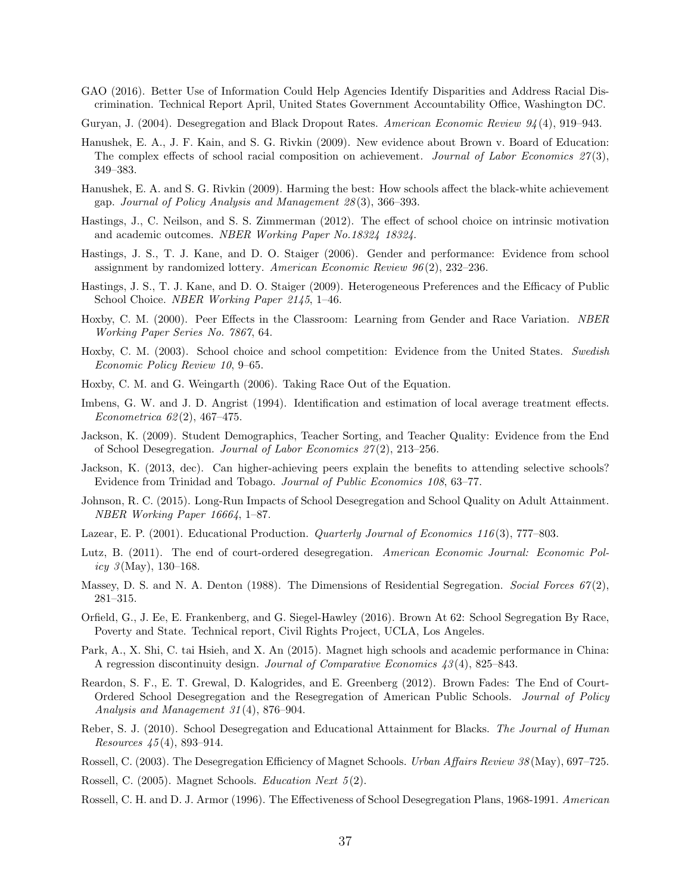- <span id="page-36-0"></span>GAO (2016). Better Use of Information Could Help Agencies Identify Disparities and Address Racial Discrimination. Technical Report April, United States Government Accountability Office, Washington DC.
- <span id="page-36-7"></span>Guryan, J. (2004). Desegregation and Black Dropout Rates. American Economic Review 94 (4), 919–943.
- <span id="page-36-9"></span>Hanushek, E. A., J. F. Kain, and S. G. Rivkin (2009). New evidence about Brown v. Board of Education: The complex effects of school racial composition on achievement. Journal of Labor Economics  $27(3)$ . 349–383.
- <span id="page-36-11"></span>Hanushek, E. A. and S. G. Rivkin (2009). Harming the best: How schools affect the black-white achievement gap. Journal of Policy Analysis and Management 28 (3), 366–393.
- <span id="page-36-15"></span>Hastings, J., C. Neilson, and S. S. Zimmerman (2012). The effect of school choice on intrinsic motivation and academic outcomes. NBER Working Paper No.18324 18324.
- <span id="page-36-16"></span>Hastings, J. S., T. J. Kane, and D. O. Staiger (2006). Gender and performance: Evidence from school assignment by randomized lottery. American Economic Review  $96(2)$ , 232–236.
- <span id="page-36-17"></span>Hastings, J. S., T. J. Kane, and D. O. Staiger (2009). Heterogeneous Preferences and the Efficacy of Public School Choice. NBER Working Paper 2145, 1–46.
- <span id="page-36-10"></span>Hoxby, C. M. (2000). Peer Effects in the Classroom: Learning from Gender and Race Variation. NBER Working Paper Series No. 7867, 64.
- <span id="page-36-18"></span>Hoxby, C. M. (2003). School choice and school competition: Evidence from the United States. Swedish Economic Policy Review 10, 9–65.
- <span id="page-36-13"></span>Hoxby, C. M. and G. Weingarth (2006). Taking Race Out of the Equation.
- <span id="page-36-22"></span>Imbens, G. W. and J. D. Angrist (1994). Identification and estimation of local average treatment effects. Econometrica 62 (2), 467–475.
- <span id="page-36-5"></span>Jackson, K. (2009). Student Demographics, Teacher Sorting, and Teacher Quality: Evidence from the End of School Desegregation. Journal of Labor Economics 27 (2), 213–256.
- <span id="page-36-23"></span>Jackson, K. (2013, dec). Can higher-achieving peers explain the benefits to attending selective schools? Evidence from Trinidad and Tobago. Journal of Public Economics 108, 63–77.
- <span id="page-36-12"></span>Johnson, R. C. (2015). Long-Run Impacts of School Desegregation and School Quality on Adult Attainment. NBER Working Paper 16664, 1–87.
- <span id="page-36-14"></span>Lazear, E. P. (2001). Educational Production. *Quarterly Journal of Economics 116* (3), 777–803.
- <span id="page-36-1"></span>Lutz, B. (2011). The end of court-ordered desegregation. American Economic Journal: Economic Policy  $\mathcal{S}(\text{May}), 130-168.$
- <span id="page-36-6"></span>Massey, D. S. and N. A. Denton (1988). The Dimensions of Residential Segregation. Social Forces  $67(2)$ , 281–315.
- <span id="page-36-3"></span>Orfield, G., J. Ee, E. Frankenberg, and G. Siegel-Hawley (2016). Brown At 62: School Segregation By Race, Poverty and State. Technical report, Civil Rights Project, UCLA, Los Angeles.
- <span id="page-36-19"></span>Park, A., X. Shi, C. tai Hsieh, and X. An (2015). Magnet high schools and academic performance in China: A regression discontinuity design. Journal of Comparative Economics 43 (4), 825–843.
- <span id="page-36-2"></span>Reardon, S. F., E. T. Grewal, D. Kalogrides, and E. Greenberg (2012). Brown Fades: The End of Court-Ordered School Desegregation and the Resegregation of American Public Schools. Journal of Policy Analysis and Management 31 (4), 876–904.
- <span id="page-36-20"></span>Reber, S. J. (2010). School Desegregation and Educational Attainment for Blacks. The Journal of Human Resources 45 (4), 893–914.
- <span id="page-36-4"></span>Rossell, C. (2003). The Desegregation Efficiency of Magnet Schools. Urban Affairs Review 38 (May), 697–725.
- <span id="page-36-21"></span>Rossell, C. (2005). Magnet Schools. *Education Next* 5(2).
- <span id="page-36-8"></span>Rossell, C. H. and D. J. Armor (1996). The Effectiveness of School Desegregation Plans, 1968-1991. American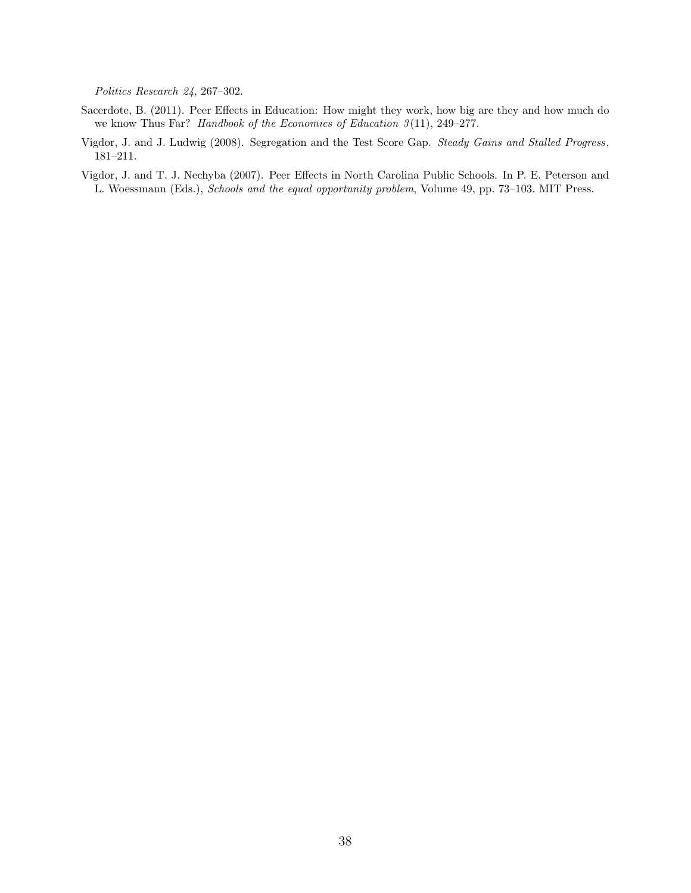Politics Research 24, 267–302.

- <span id="page-37-1"></span>Sacerdote, B. (2011). Peer Effects in Education: How might they work, how big are they and how much do we know Thus Far? Handbook of the Economics of Education 3(11), 249-277.
- <span id="page-37-2"></span>Vigdor, J. and J. Ludwig (2008). Segregation and the Test Score Gap. Steady Gains and Stalled Progress, 181–211.
- <span id="page-37-0"></span>Vigdor, J. and T. J. Nechyba (2007). Peer Effects in North Carolina Public Schools. In P. E. Peterson and L. Woessmann (Eds.), Schools and the equal opportunity problem, Volume 49, pp. 73–103. MIT Press.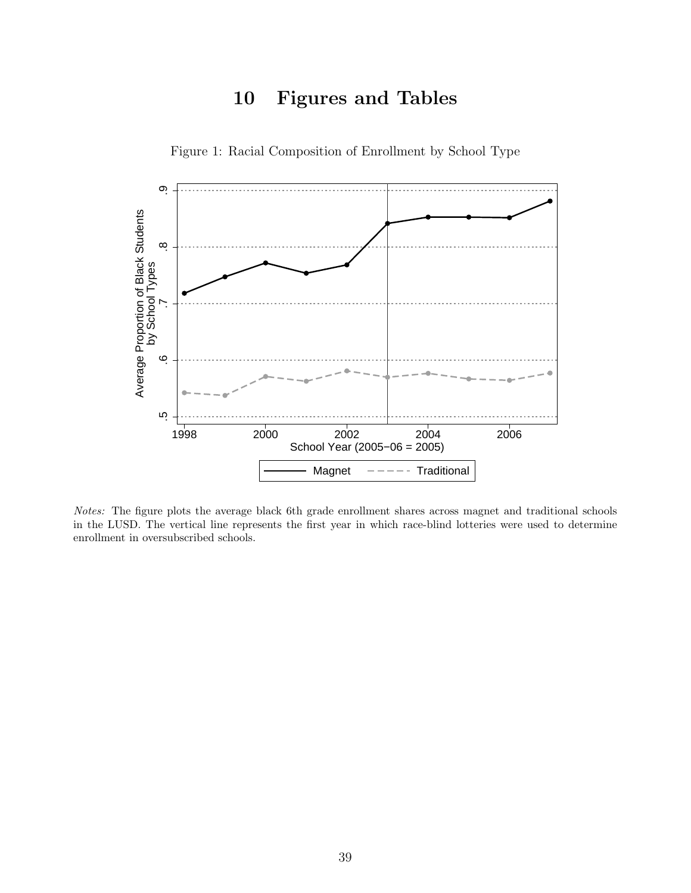## 10 Figures and Tables

<span id="page-38-0"></span>

Figure 1: Racial Composition of Enrollment by School Type

Notes: The figure plots the average black 6th grade enrollment shares across magnet and traditional schools in the LUSD. The vertical line represents the first year in which race-blind lotteries were used to determine enrollment in oversubscribed schools.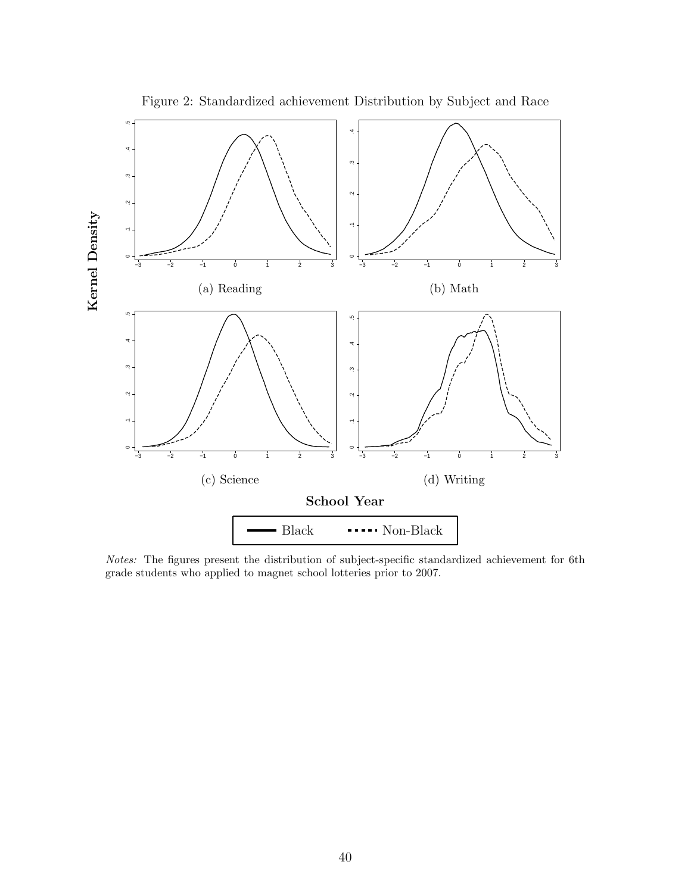<span id="page-39-0"></span>

Figure 2: Standardized achievement Distribution by Subject and Race

Notes: The figures present the distribution of subject-specific standardized achievement for 6th grade students who applied to magnet school lotteries prior to 2007.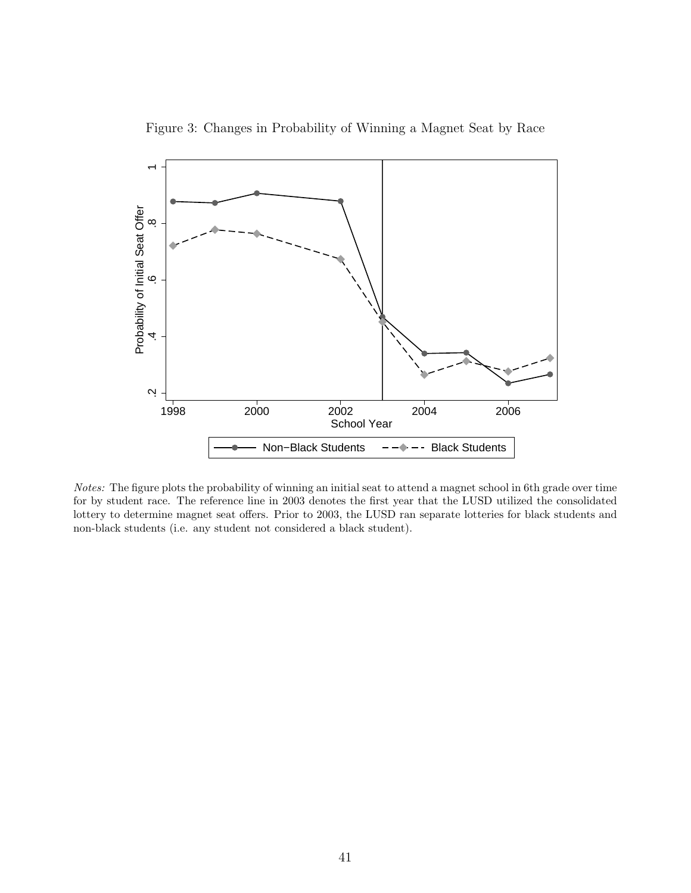<span id="page-40-0"></span>

Figure 3: Changes in Probability of Winning a Magnet Seat by Race

Notes: The figure plots the probability of winning an initial seat to attend a magnet school in 6th grade over time for by student race. The reference line in 2003 denotes the first year that the LUSD utilized the consolidated lottery to determine magnet seat offers. Prior to 2003, the LUSD ran separate lotteries for black students and non-black students (i.e. any student not considered a black student).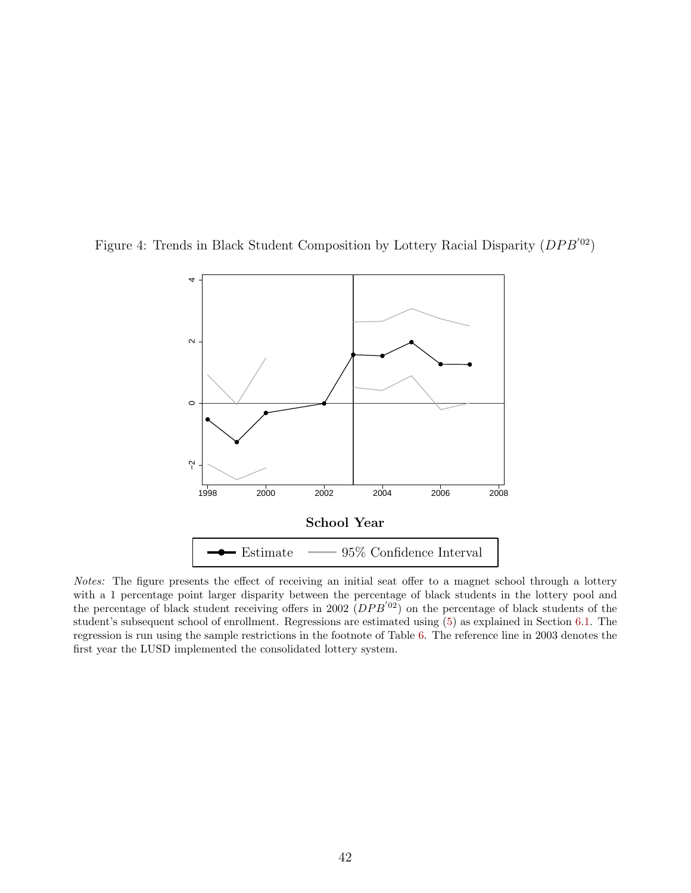<span id="page-41-0"></span>



Notes: The figure presents the effect of receiving an initial seat offer to a magnet school through a lottery with a 1 percentage point larger disparity between the percentage of black students in the lottery pool and the percentage of black student receiving offers in 2002  $(DPB'^{02})$  on the percentage of black students of the student's subsequent school of enrollment. Regressions are estimated using [\(5\)](#page-21-2) as explained in Section [6.1.](#page-21-0) The regression is run using the sample restrictions in the footnote of Table [6.](#page-48-0) The reference line in 2003 denotes the first year the LUSD implemented the consolidated lottery system.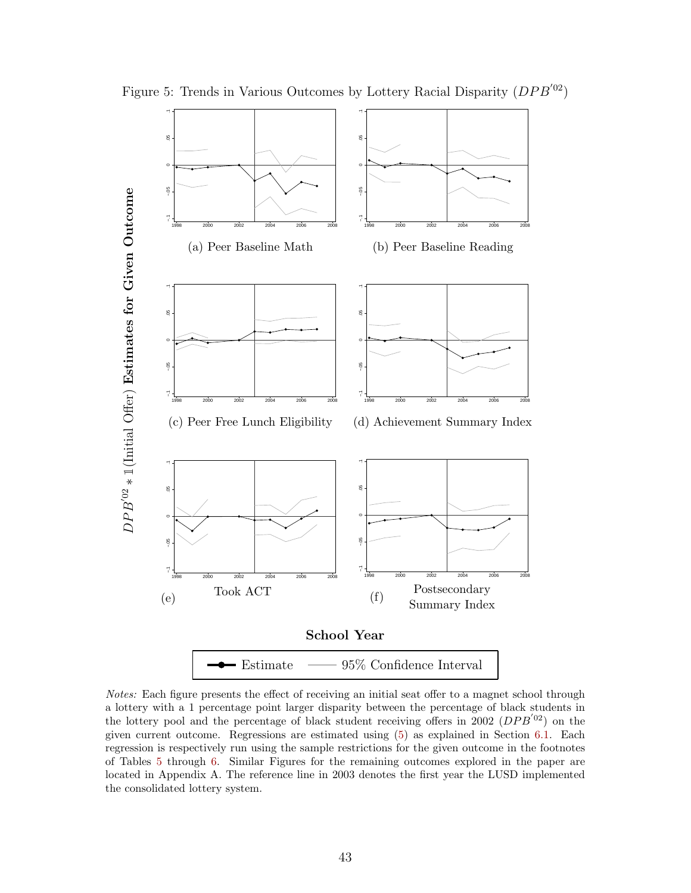<span id="page-42-0"></span>

Figure 5: Trends in Various Outcomes by Lottery Racial Disparity  $(DPB'^{02})$ 

Notes: Each figure presents the effect of receiving an initial seat offer to a magnet school through a lottery with a 1 percentage point larger disparity between the percentage of black students in the lottery pool and the percentage of black student receiving offers in 2002  $(DPB'^{02})$  on the given current outcome. Regressions are estimated using [\(5\)](#page-21-2) as explained in Section [6.1.](#page-21-0) Each regression is respectively run using the sample restrictions for the given outcome in the footnotes of Tables [5](#page-47-0) through [6.](#page-48-0) Similar Figures for the remaining outcomes explored in the paper are located in Appendix A. The reference line in 2003 denotes the first year the LUSD implemented the consolidated lottery system.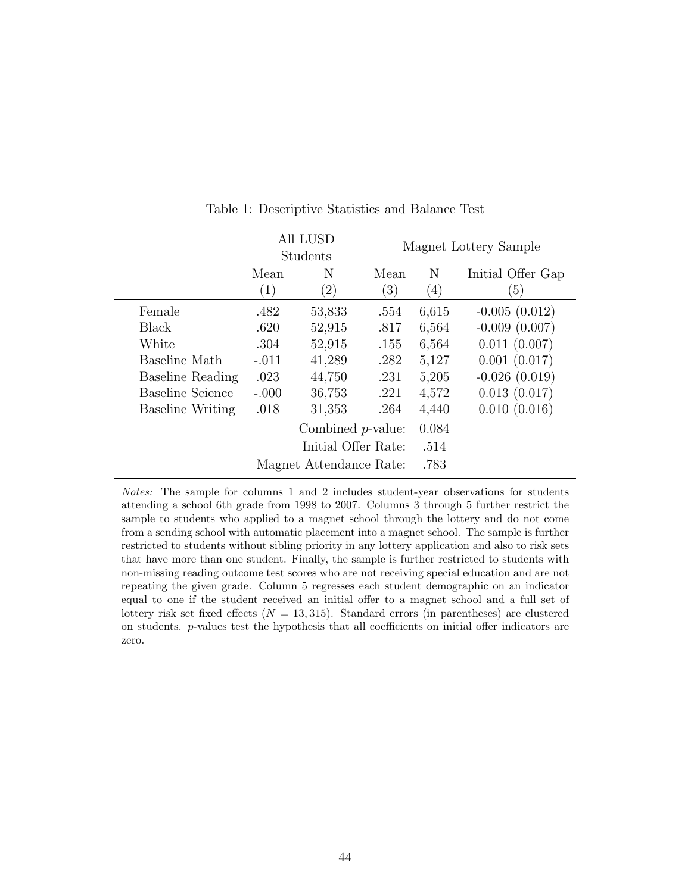<span id="page-43-0"></span>

|                         |             | All LUSD<br>Students    |                          |          | Magnet Lottery Sample    |
|-------------------------|-------------|-------------------------|--------------------------|----------|--------------------------|
|                         | Mean<br>(1) | N<br>$\left( 2\right)$  | Mean<br>$\left(3\right)$ | N<br>(4) | Initial Offer Gap<br>(5) |
| Female                  | .482        | 53,833                  | .554                     | 6,615    | $-0.005(0.012)$          |
| Black                   | .620        | 52,915                  | .817                     | 6,564    | $-0.009(0.007)$          |
| White                   | .304        | 52,915                  | .155                     | 6,564    | 0.011(0.007)             |
| Baseline Math           | $-.011$     | 41,289                  | .282                     | 5,127    | 0.001(0.017)             |
| Baseline Reading        | .023        | 44,750                  | .231                     | 5,205    | $-0.026(0.019)$          |
| <b>Baseline Science</b> | $-.000$     | 36,753                  | .221                     | 4,572    | 0.013(0.017)             |
| <b>Baseline Writing</b> | .018        | 31,353                  | .264                     | 4,440    | 0.010(0.016)             |
|                         |             | Combined $p$ -value:    |                          | 0.084    |                          |
|                         |             | Initial Offer Rate:     |                          | .514     |                          |
|                         |             | Magnet Attendance Rate: |                          | .783     |                          |

Table 1: Descriptive Statistics and Balance Test

Notes: The sample for columns 1 and 2 includes student-year observations for students attending a school 6th grade from 1998 to 2007. Columns 3 through 5 further restrict the sample to students who applied to a magnet school through the lottery and do not come from a sending school with automatic placement into a magnet school. The sample is further restricted to students without sibling priority in any lottery application and also to risk sets that have more than one student. Finally, the sample is further restricted to students with non-missing reading outcome test scores who are not receiving special education and are not repeating the given grade. Column 5 regresses each student demographic on an indicator equal to one if the student received an initial offer to a magnet school and a full set of lottery risk set fixed effects  $(N = 13, 315)$ . Standard errors (in parentheses) are clustered on students. p-values test the hypothesis that all coefficients on initial offer indicators are zero.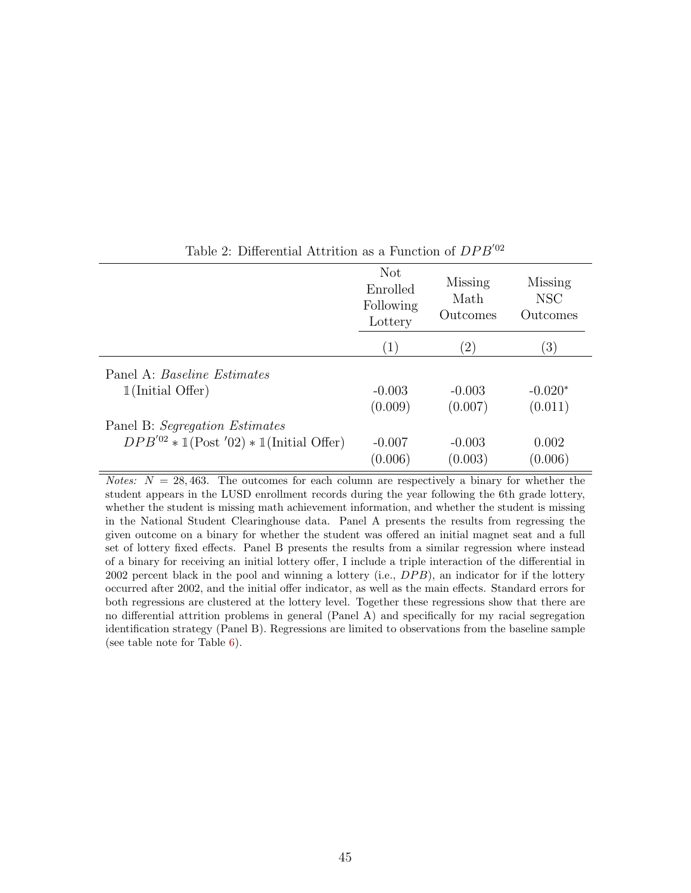<span id="page-44-0"></span>

|                                                  | <b>Not</b><br>Enrolled<br>Following<br>Lottery | Missing<br>Math<br>Outcomes | Missing<br><b>NSC</b><br>Outcomes |
|--------------------------------------------------|------------------------------------------------|-----------------------------|-----------------------------------|
|                                                  | (1)                                            | $\left( 2\right)$           | $\left(3\right)$                  |
| Panel A: <i>Baseline Estimates</i>               |                                                |                             |                                   |
| $1$ (Initial Offer)                              | $-0.003$                                       | $-0.003$                    | $-0.020*$                         |
|                                                  | (0.009)                                        | (0.007)                     | (0.011)                           |
| Panel B: Segregation Estimates                   |                                                |                             |                                   |
| $DPB'^{02} * 1$ (Post '02) $* 1$ (Initial Offer) | $-0.007$                                       | $-0.003$                    | 0.002                             |
|                                                  | (0.006)                                        | (0.003)                     | (0.006)                           |

### Table 2: Differential Attrition as a Function of  $DPB'^{02}$

*Notes:*  $N = 28,463$ . The outcomes for each column are respectively a binary for whether the student appears in the LUSD enrollment records during the year following the 6th grade lottery, whether the student is missing math achievement information, and whether the student is missing in the National Student Clearinghouse data. Panel A presents the results from regressing the given outcome on a binary for whether the student was offered an initial magnet seat and a full set of lottery fixed effects. Panel B presents the results from a similar regression where instead of a binary for receiving an initial lottery offer, I include a triple interaction of the differential in 2002 percent black in the pool and winning a lottery (i.e.,  $DPB$ ), an indicator for if the lottery occurred after 2002, and the initial offer indicator, as well as the main effects. Standard errors for both regressions are clustered at the lottery level. Together these regressions show that there are no differential attrition problems in general (Panel A) and specifically for my racial segregation identification strategy (Panel B). Regressions are limited to observations from the baseline sample (see table note for Table [6\)](#page-48-0).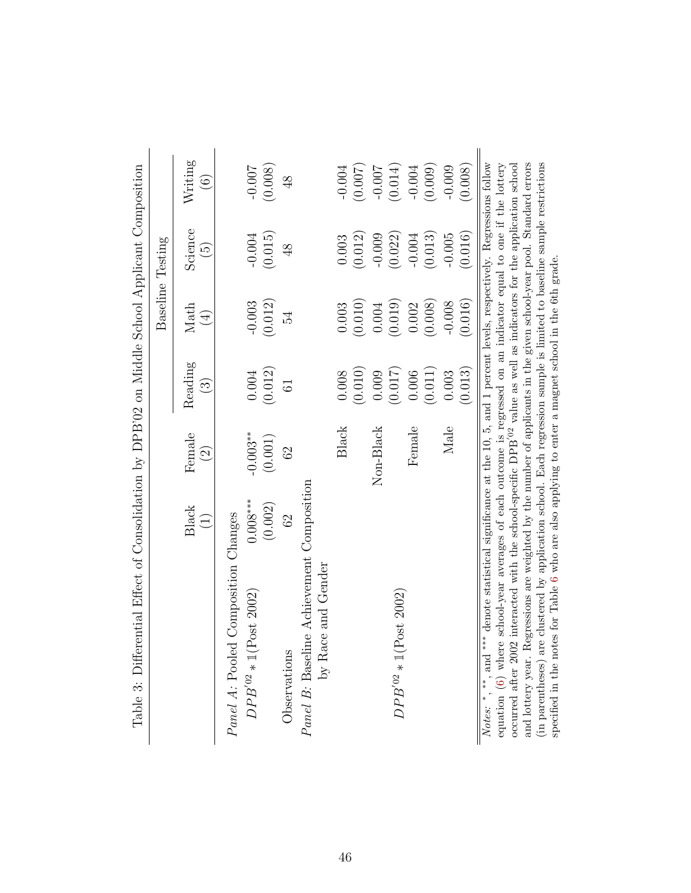<span id="page-45-0"></span>

| Table 3: Differential Effect of Consolidation by DPB'02 on Middle School Applicant Composition                                                                                                                                            |                                                   |                                    |                    |                     |                            |                              |
|-------------------------------------------------------------------------------------------------------------------------------------------------------------------------------------------------------------------------------------------|---------------------------------------------------|------------------------------------|--------------------|---------------------|----------------------------|------------------------------|
|                                                                                                                                                                                                                                           |                                                   |                                    |                    |                     | Baseline Testing           |                              |
|                                                                                                                                                                                                                                           | <b>Black</b><br>$\begin{pmatrix} 1 \end{pmatrix}$ | Female<br>$\widehat{\mathfrak{S}}$ | Reading<br>$\odot$ | Math<br>$\bigoplus$ | Science<br>$\widetilde{5}$ | Writing<br>$\widehat{\odot}$ |
| Panel A: Pooled Composition Changes                                                                                                                                                                                                       |                                                   |                                    |                    |                     |                            |                              |
| $DPB'{}^{02} * 1 (Post 2002)$                                                                                                                                                                                                             | $0.008***$                                        | $-0.003**$                         | 0.004              | $-0.003$            | $-0.004$                   | -0.007                       |
|                                                                                                                                                                                                                                           | (0.002)                                           | (0.001)                            | (0.012)            | (0.012)             | (0.015)                    | (0.008)                      |
| Observations                                                                                                                                                                                                                              | 62                                                | 62                                 | $\overline{6}$     | 54                  | $\frac{8}{5}$              | $\frac{8}{3}$                |
| <i>Panel B</i> : Baseline Achievement Composition<br>by Race and Gender                                                                                                                                                                   |                                                   |                                    |                    |                     |                            |                              |
|                                                                                                                                                                                                                                           |                                                   |                                    |                    |                     |                            |                              |
|                                                                                                                                                                                                                                           |                                                   | Black                              | 0.008              | 0.003               | 0.003                      | $-0.004$                     |
|                                                                                                                                                                                                                                           |                                                   |                                    | (0.010)            | (0.010)             | (0.012)                    | (0.007)                      |
|                                                                                                                                                                                                                                           |                                                   | Non-Black                          | 0.009              | 0.004               | $-0.009$                   | $-0.007$                     |
| $DPB^{'02}*\mathbbm{1}(\text{Post }2002)$                                                                                                                                                                                                 |                                                   |                                    | (0.017)            | (0.019)             | (0.022)                    | (0.014)                      |
|                                                                                                                                                                                                                                           |                                                   | Female                             | 0.006              | 0.002               | $-0.004$                   | $-0.004$                     |
|                                                                                                                                                                                                                                           |                                                   |                                    | (0.011)            | (0.008)             | (0.013)                    | (0.009)                      |
|                                                                                                                                                                                                                                           |                                                   | Male                               | 0.003              | $-0.008$            | $-0.005$                   | $-0.009$                     |
|                                                                                                                                                                                                                                           |                                                   |                                    | (0.013)            | (0.016)             | (0.016)                    | (0.008)                      |
| <i>Notes:</i> $^*$ , $^{**}$ , and $^{***}$ denote statistical significance at the 10, 5, and 1 percent levels, respectively. Regressions follow equation $(6)$ where school-year averages of each outcome is regressed on an indicator e |                                                   |                                    |                    |                     |                            |                              |
| occurred after 2002 interacted with the school-specific DPB <sup><math>'02</math></sup> value as well as indicators for the application school                                                                                            |                                                   |                                    |                    |                     |                            |                              |
|                                                                                                                                                                                                                                           |                                                   |                                    |                    |                     |                            |                              |
| and lottery year. Regressions are weighted by the number of applicants in the given school-year pool. Standard errors (in parentheses) are clustered by application school. Each regression sample is limited to baseline samp            |                                                   |                                    |                    |                     |                            |                              |
| specified in the notes for Table 6 who are also applying to enter a magnet school in the 6th grade.                                                                                                                                       |                                                   |                                    |                    |                     |                            |                              |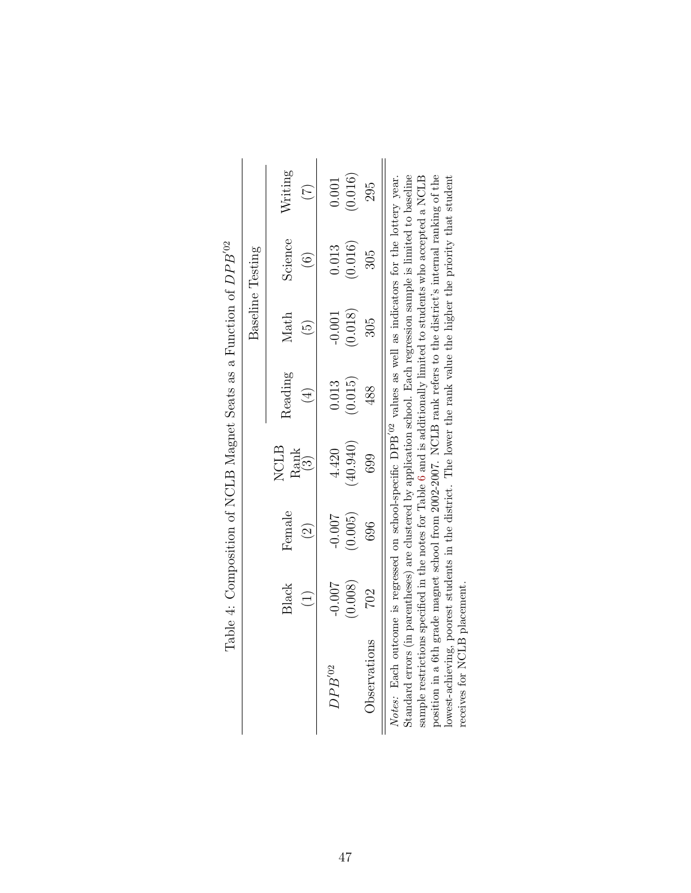<span id="page-46-0"></span>

|                                                                                                                                                                                                                                                            |                      |                         |                                                     |                  | Baseline Testing    |                              |                                        |
|------------------------------------------------------------------------------------------------------------------------------------------------------------------------------------------------------------------------------------------------------------|----------------------|-------------------------|-----------------------------------------------------|------------------|---------------------|------------------------------|----------------------------------------|
|                                                                                                                                                                                                                                                            | Black<br>$\bigoplus$ | Female<br>$\widehat{S}$ | <b>NCLB</b><br>$\underset{\text{(3)}}{\text{Rank}}$ | Reading          | Math<br>ມີ          | Science<br>$\widehat{\odot}$ | Writing<br>$(\widetilde{\mathcal{L}})$ |
| $DPB^{02}$                                                                                                                                                                                                                                                 | $-0.007$<br>(0.008)  | $-0.007$<br>(0.005)     | (0.940)<br>4.420                                    | (0.015)<br>0.013 | (0.018)<br>$-0.001$ | (0.016)<br>0.013             | (0.016)<br>$0.001\,$                   |
| Observations                                                                                                                                                                                                                                               | 702                  | 696                     | 699                                                 | 488              | 305                 | 305                          | 295                                    |
| <u> Chanta Ann ann an Aonaichean ann an am an am Beatha agus an an Aonaichean anns an am 12 13 11 an Leabhai</u><br>Notes: Each outcome is regressed on school-specific DPB <sup><math>'02</math></sup> values as well as indicators for the lottery year. |                      |                         |                                                     |                  |                     |                              |                                        |

| $\overline{a}$<br>$\mathbf{I}$<br>$\frac{1}{\sqrt{2}}$                                                |
|-------------------------------------------------------------------------------------------------------|
| $\frac{1}{2}$<br>¢<br><b>Contract Contract</b><br>י<br>ו<br>ŗ                                         |
| יש הל להתר                                                                                            |
| ì                                                                                                     |
| $\mathbf{I}$                                                                                          |
| $\frac{1}{2}$<br>֧ׅ֧ׅ֧ׅ֧֧֧֧֧֧ׅ֧֧ׅ֧ׅ֧֧֧ׅ֧֧֧֧֧֚֚֚֚֚֚֚֚֚֚֚֚֚֚֚֚֚֡֜֓֜֓֜֓֝֓֝֓֝֓֝֓֝֓֜֝֬֝֜֝֬֝֬֝֝֬֝֬֝֬֝֬<br>l |
| 25                                                                                                    |
| Č                                                                                                     |
| $\frac{1}{r}$<br>-<br>E<br>l<br>Į                                                                     |

Standard errors (in parentheses) are clustered by application school. Each regression sample is limited to baseline sample restrictions specified in the notes for Table 6 and is additionally limited to students who accept Standard errors (in parentheses) are clustered by application school. Each regression sample is limited to baseline sample restrictions specified in the notes for Table [6](#page-48-0) and is additionally limited to students who accepted a NCLB<br>CLB position in a 6th grade magnet school from 2002-2007. NCLB rank refers to the district's internal ranking of the lowest-achieving, poorest students in the district. The lower the rank value the higher the priority that student receives for NCLB placement.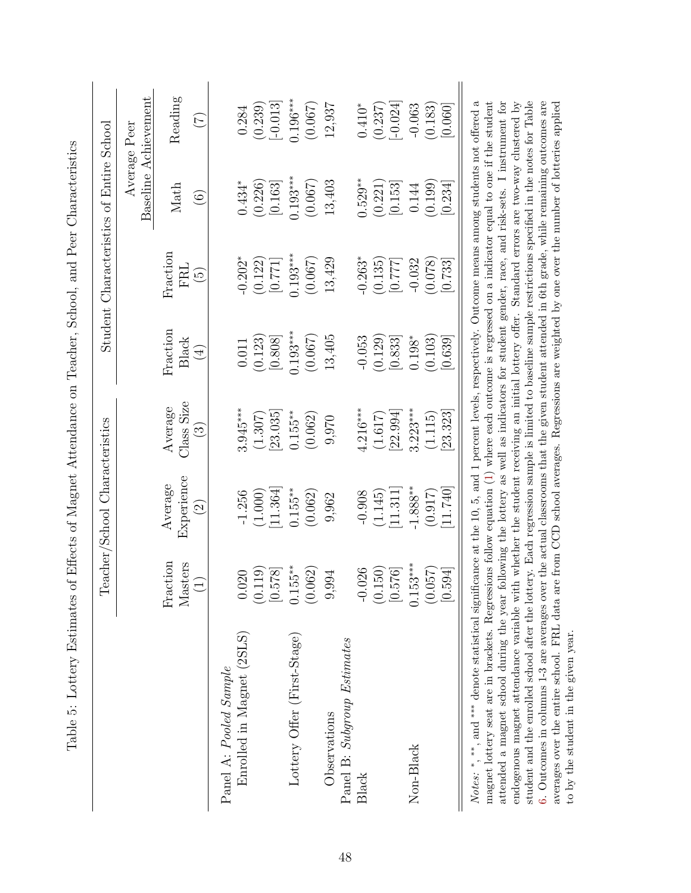<span id="page-47-0"></span>

|                             |                                     | Teacher/School Characteristics                 |                                                   |                                    | Student Characteristics of Entire School    |                           |                                      |
|-----------------------------|-------------------------------------|------------------------------------------------|---------------------------------------------------|------------------------------------|---------------------------------------------|---------------------------|--------------------------------------|
|                             |                                     |                                                |                                                   |                                    |                                             |                           | Baseline Achievement<br>Average Peen |
|                             | Fraction<br>$M$ asters<br>(1)       | Experience<br>Average<br>$\widetilde{\varrho}$ | Class Size<br>Average<br>$\widetilde{\mathbb{C}}$ | $\rm Fraction$<br>Black<br>$(\pm)$ | Fraction<br>FRL<br>$\widetilde{\mathbb{G}}$ | Math<br>$\widehat{\odot}$ | Reading<br>$(\overline{z})$          |
| Panel A: Pooled Sample      |                                     |                                                |                                                   |                                    |                                             |                           |                                      |
| Enrolled in Magnet (2SLS)   | 0.020                               | $-1.256$                                       | $3.945***$                                        | 0.011                              | $-0.202*$                                   | $0.434*$                  | 0.284                                |
|                             | (0.119)                             | (1.000)                                        | (1.307)                                           | (0.123)                            | (0.122)                                     | (0.226)                   | (0.239)                              |
|                             | $\overline{8}$<br>6.5               | 11.364                                         | 23.035                                            | 0.808                              | [177]                                       | [0.163]                   | $[-0.013]$                           |
| Lottery Offer (First-Stage) | $5^{**}$<br>0.15                    | $0.155**$                                      | $0.155***$                                        | $0.193***$                         | $0.193***$                                  | $0.193***$                | $0.196***$                           |
|                             | (0.062)                             | (0.062)                                        | (0.062)                                           | (0.067)                            | (0.067)                                     | (0.067)                   | (0.067)                              |
| Observations                | ğ,<br>9,9                           | 9,962                                          | 9,970                                             | 13,405                             | 13,429                                      | 13,403                    | 12,937                               |
| Panel B: Subgroup Estimates |                                     |                                                |                                                   |                                    |                                             |                           |                                      |
| Black                       | 026<br>$-0.0$                       | $-0.908$                                       | $4.216***$                                        | $-0.053$                           | $-0.263*$                                   | $0.529***$                | $0.410*$                             |
|                             | $\overline{50}$<br>$\overline{0}$ . | (1.145)                                        | (1.617)                                           | (0.129)                            | (0.135)                                     | (0.221)                   | (0.237)                              |
|                             | 16.<br>$\frac{5}{0}$                | 11.311                                         | [22.994]                                          | [0.833]                            | [777]                                       | [0.153]                   | $-0.024$                             |
| Non-Black                   | $0.153***$                          | $-1.888**$                                     | $3.223***$                                        | $0.198*$                           | $-0.032$                                    | 0.144                     | $-0.063$                             |
|                             | (0.057)                             | (0.917)                                        | (1.115)                                           | (0.103)                            | (0.078)                                     | (0.199)                   | (0.183)                              |
|                             | [0.594]                             | 11.740                                         | 23.323                                            | [0.639]                            | [0.733]                                     | [0.234]                   | [0.060]                              |

endogenous magnet attendance variable with whether the student receiving an initial lottery offer. Standard errors are two-way clustered by student and the enrolled school after the lottery. Each regression sample is limited to baseline sample restrictions specified in the notes for Table [6.](#page-48-0) Outcomes in columns 1-3 are averages over the actual classrooms that the given student attended in 6th grade, while remaining outcomes are averages over the entire school. FRL data are from CCD school averages. Regressions are weighted by one over the number of lotteries applied

student and the enrolled school after the lottery. Each regression sample is limited to baseline sample restrictions specified in the notes for Table 6. Outcomes in columns 1-3 are averages over the actual classrooms that the given student attended in 6th grade, while remaining outcomes are averages over the entire school. FRL data are from CCD school averages. Regressions are weighted by one over the number of lotteries applied

to by the student in the given year.

to by the student in the given year.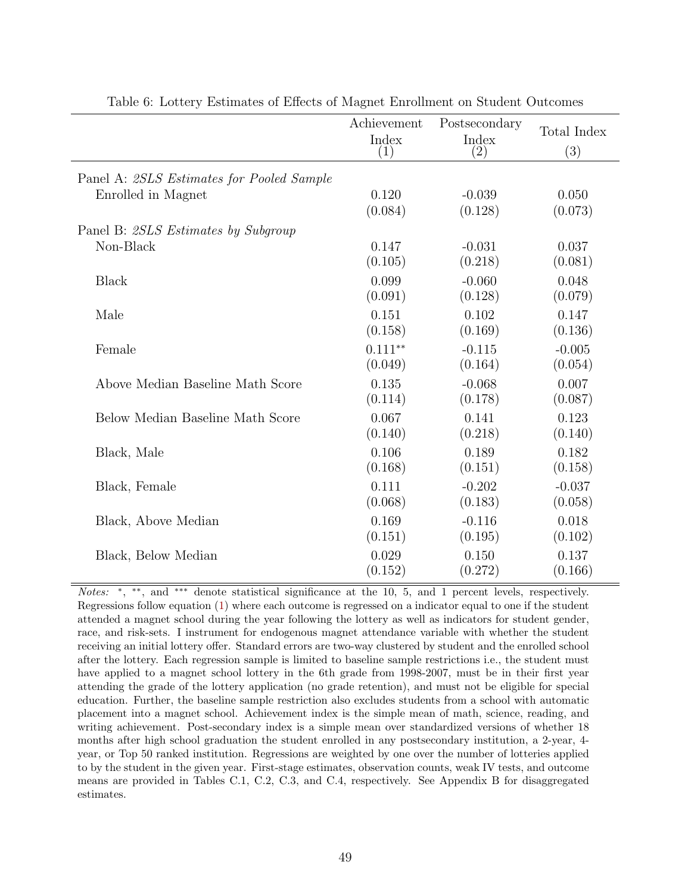<span id="page-48-0"></span>

|                                           | Achievement<br>Index<br>$\left( 1\right)$ | Postsecondary<br>Index<br>$\left( 2\right)$ | Total Index<br>(3) |
|-------------------------------------------|-------------------------------------------|---------------------------------------------|--------------------|
| Panel A: 2SLS Estimates for Pooled Sample |                                           |                                             |                    |
| Enrolled in Magnet                        | 0.120                                     | $-0.039$                                    | 0.050              |
|                                           | (0.084)                                   | (0.128)                                     | (0.073)            |
| Panel B: 2SLS Estimates by Subgroup       |                                           |                                             |                    |
| Non-Black                                 | 0.147                                     | $-0.031$                                    | 0.037              |
|                                           | (0.105)                                   | (0.218)                                     | (0.081)            |
| <b>Black</b>                              | 0.099                                     | $-0.060$                                    | 0.048              |
|                                           | (0.091)                                   | (0.128)                                     | (0.079)            |
| Male                                      | 0.151                                     | 0.102                                       | 0.147              |
|                                           | (0.158)                                   | (0.169)                                     | (0.136)            |
| Female                                    | $0.111***$                                | $-0.115$                                    | $-0.005$           |
|                                           | (0.049)                                   | (0.164)                                     | (0.054)            |
| Above Median Baseline Math Score          | 0.135                                     | $-0.068$                                    | 0.007              |
|                                           | (0.114)                                   | (0.178)                                     | (0.087)            |
| Below Median Baseline Math Score          | 0.067                                     | 0.141                                       | 0.123              |
|                                           | (0.140)                                   | (0.218)                                     | (0.140)            |
| Black, Male                               | 0.106                                     | 0.189                                       | 0.182              |
|                                           | (0.168)                                   | (0.151)                                     | (0.158)            |
| Black, Female                             | 0.111                                     | $-0.202$                                    | $-0.037$           |
|                                           | (0.068)                                   | (0.183)                                     | (0.058)            |
| Black, Above Median                       | 0.169                                     | $-0.116$                                    | 0.018              |
|                                           | (0.151)                                   | (0.195)                                     | (0.102)            |
| Black, Below Median                       | 0.029                                     | 0.150                                       | 0.137              |
|                                           | (0.152)                                   | (0.272)                                     | (0.166)            |

Table 6: Lottery Estimates of Effects of Magnet Enrollment on Student Outcomes

Notes: \*, \*\*, and \*\*\* denote statistical significance at the 10, 5, and 1 percent levels, respectively. Regressions follow equation [\(1\)](#page-14-3) where each outcome is regressed on a indicator equal to one if the student attended a magnet school during the year following the lottery as well as indicators for student gender, race, and risk-sets. I instrument for endogenous magnet attendance variable with whether the student receiving an initial lottery offer. Standard errors are two-way clustered by student and the enrolled school after the lottery. Each regression sample is limited to baseline sample restrictions i.e., the student must have applied to a magnet school lottery in the 6th grade from 1998-2007, must be in their first year attending the grade of the lottery application (no grade retention), and must not be eligible for special education. Further, the baseline sample restriction also excludes students from a school with automatic placement into a magnet school. Achievement index is the simple mean of math, science, reading, and writing achievement. Post-secondary index is a simple mean over standardized versions of whether 18 months after high school graduation the student enrolled in any postsecondary institution, a 2-year, 4 year, or Top 50 ranked institution. Regressions are weighted by one over the number of lotteries applied to by the student in the given year. First-stage estimates, observation counts, weak IV tests, and outcome means are provided in Tables C.1, C.2, C.3, and C.4, respectively. See Appendix B for disaggregated estimates.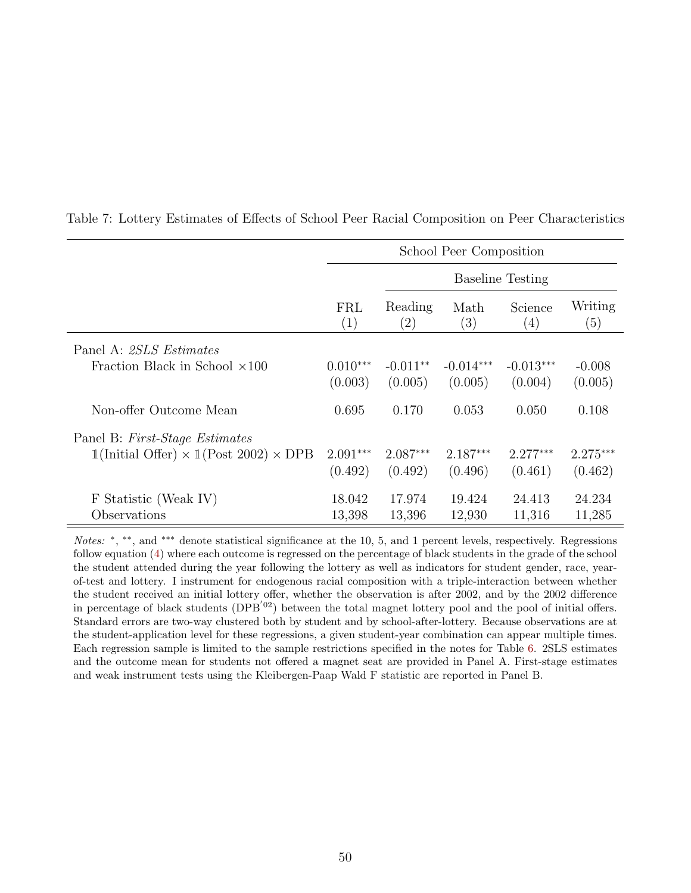|                                                                             |            |                              | School Peer Composition |                             |                |
|-----------------------------------------------------------------------------|------------|------------------------------|-------------------------|-----------------------------|----------------|
|                                                                             |            |                              |                         | <b>Baseline Testing</b>     |                |
|                                                                             | FRL<br>(1) | Reading<br>$\left( 2\right)$ | Math<br>(3)             | Science<br>$\left(4\right)$ | Writing<br>(5) |
| Panel A: 2SLS Estimates                                                     |            |                              |                         |                             |                |
| Fraction Black in School $\times$ 100                                       | $0.010***$ | $-0.011**$                   | $-0.014***$             | $-0.013***$                 | $-0.008$       |
|                                                                             | (0.003)    | (0.005)                      | (0.005)                 | (0.004)                     | (0.005)        |
| Non-offer Outcome Mean                                                      | 0.695      | 0.170                        | 0.053                   | 0.050                       | 0.108          |
| Panel B: First-Stage Estimates                                              |            |                              |                         |                             |                |
| $\mathbb{1}$ (Initial Offer) $\times$ $\mathbb{1}$ (Post 2002) $\times$ DPB | $2.091***$ | $2.087***$                   | $2.187***$              | $2.277***$                  | $2.275***$     |
|                                                                             | (0.492)    | (0.492)                      | (0.496)                 | (0.461)                     | (0.462)        |
| F Statistic (Weak IV)                                                       | 18.042     | 17.974                       | 19.424                  | 24.413                      | 24.234         |
| Observations                                                                | 13,398     | 13,396                       | 12,930                  | 11,316                      | 11,285         |

<span id="page-49-0"></span>Table 7: Lottery Estimates of Effects of School Peer Racial Composition on Peer Characteristics

Notes: \*, \*\*, and \*\*\* denote statistical significance at the 10, 5, and 1 percent levels, respectively. Regressions follow equation [\(4\)](#page-19-4) where each outcome is regressed on the percentage of black students in the grade of the school the student attended during the year following the lottery as well as indicators for student gender, race, yearof-test and lottery. I instrument for endogenous racial composition with a triple-interaction between whether the student received an initial lottery offer, whether the observation is after 2002, and by the 2002 difference in percentage of black students ( $DPB^{'02}$ ) between the total magnet lottery pool and the pool of initial offers. Standard errors are two-way clustered both by student and by school-after-lottery. Because observations are at the student-application level for these regressions, a given student-year combination can appear multiple times. Each regression sample is limited to the sample restrictions specified in the notes for Table [6.](#page-48-0) 2SLS estimates and the outcome mean for students not offered a magnet seat are provided in Panel A. First-stage estimates and weak instrument tests using the Kleibergen-Paap Wald F statistic are reported in Panel B.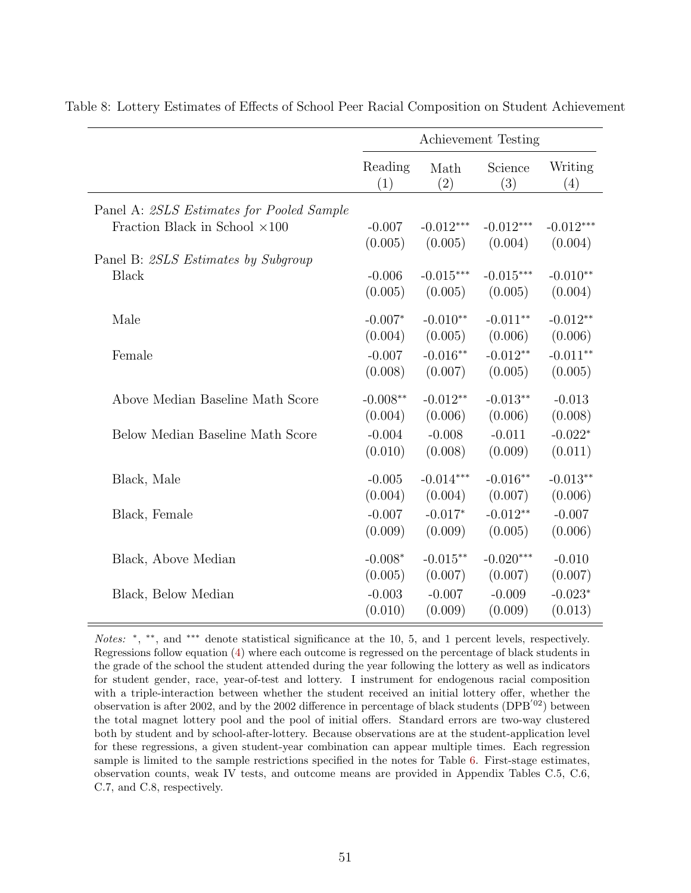|                                           |                |             | Achievement Testing |                |
|-------------------------------------------|----------------|-------------|---------------------|----------------|
|                                           | Reading<br>(1) | Math<br>(2) | Science<br>(3)      | Writing<br>(4) |
| Panel A: 2SLS Estimates for Pooled Sample |                |             |                     |                |
| Fraction Black in School $\times 100$     | $-0.007$       | $-0.012***$ | $-0.012***$         | $-0.012***$    |
|                                           | (0.005)        | (0.005)     | (0.004)             | (0.004)        |
| Panel B: 2SLS Estimates by Subgroup       |                |             |                     |                |
| <b>Black</b>                              | $-0.006$       | $-0.015***$ | $-0.015***$         | $-0.010**$     |
|                                           | (0.005)        | (0.005)     | (0.005)             | (0.004)        |
| Male                                      | $-0.007*$      | $-0.010**$  | $-0.011**$          | $-0.012**$     |
|                                           | (0.004)        | (0.005)     | (0.006)             | (0.006)        |
| Female                                    | $-0.007$       | $-0.016**$  | $-0.012**$          | $-0.011**$     |
|                                           | (0.008)        | (0.007)     | (0.005)             | (0.005)        |
| Above Median Baseline Math Score          | $-0.008**$     | $-0.012**$  | $-0.013**$          | $-0.013$       |
|                                           | (0.004)        | (0.006)     | (0.006)             | (0.008)        |
| Below Median Baseline Math Score          | $-0.004$       | $-0.008$    | $-0.011$            | $-0.022*$      |
|                                           | (0.010)        | (0.008)     | (0.009)             | (0.011)        |
| Black, Male                               | $-0.005$       | $-0.014***$ | $-0.016**$          | $-0.013**$     |
|                                           | (0.004)        | (0.004)     | (0.007)             | (0.006)        |
| Black, Female                             | $-0.007$       | $-0.017*$   | $-0.012**$          | $-0.007$       |
|                                           | (0.009)        | (0.009)     | (0.005)             | (0.006)        |
| Black, Above Median                       | $-0.008*$      | $-0.015**$  | $-0.020***$         | $-0.010$       |
|                                           | (0.005)        | (0.007)     | (0.007)             | (0.007)        |
| Black, Below Median                       | $-0.003$       | $-0.007$    | $-0.009$            | $-0.023*$      |
|                                           | (0.010)        | (0.009)     | (0.009)             | (0.013)        |

<span id="page-50-0"></span>Table 8: Lottery Estimates of Effects of School Peer Racial Composition on Student Achievement

Notes: \*, \*\*, and \*\*\* denote statistical significance at the 10, 5, and 1 percent levels, respectively. Regressions follow equation [\(4\)](#page-19-4) where each outcome is regressed on the percentage of black students in the grade of the school the student attended during the year following the lottery as well as indicators for student gender, race, year-of-test and lottery. I instrument for endogenous racial composition with a triple-interaction between whether the student received an initial lottery offer, whether the observation is after 2002, and by the 2002 difference in percentage of black students (DPB<sup> $'02$ </sup>) between the total magnet lottery pool and the pool of initial offers. Standard errors are two-way clustered both by student and by school-after-lottery. Because observations are at the student-application level for these regressions, a given student-year combination can appear multiple times. Each regression sample is limited to the sample restrictions specified in the notes for Table [6.](#page-48-0) First-stage estimates, observation counts, weak IV tests, and outcome means are provided in Appendix Tables C.5, C.6, C.7, and C.8, respectively.